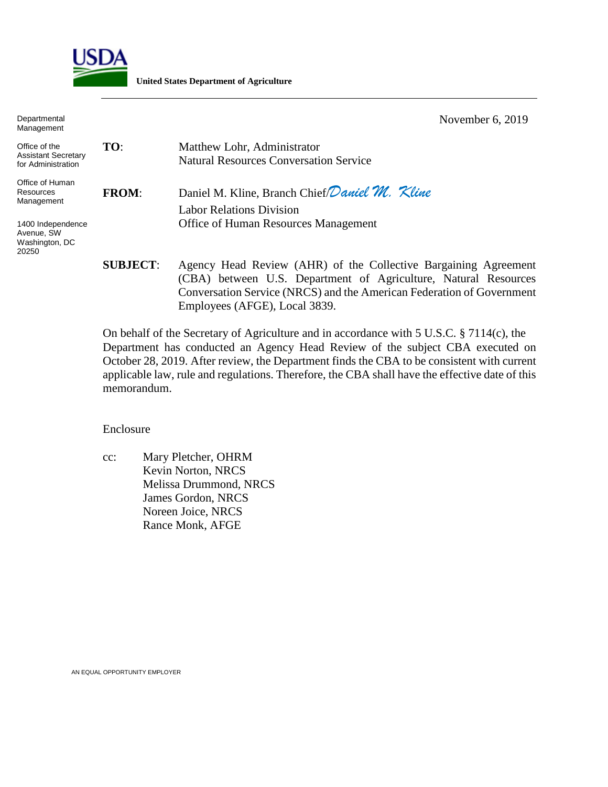

**United States Department of Agriculture**

Departmental Management November 6, 2019

| Office of the<br><b>Assistant Secretary</b><br>for Administration | TO:             | Matthew Lohr, Administrator<br><b>Natural Resources Conversation Service</b> |
|-------------------------------------------------------------------|-----------------|------------------------------------------------------------------------------|
| Office of Human<br>Resources<br>Management                        | <b>FROM:</b>    | Daniel M. Kline, Branch Chief Daniel M. Kline                                |
|                                                                   |                 | Labor Relations Division                                                     |
| 1400 Independence<br>Avenue, SW<br>Washington, DC<br>20250        |                 | Office of Human Resources Management                                         |
|                                                                   | <b>SUBJECT:</b> | Agency Head Review (AHR) of the Collective Bargaining Agreement              |
|                                                                   |                 | (CBA) between U.S. Department of Agriculture, Natural Resources              |
|                                                                   |                 | Conversation Service (NRCS) and the American Federation of Government        |

Employees (AFGE), Local 3839.

On behalf of the Secretary of Agriculture and in accordance with 5 U.S.C. § 7114(c), the Department has conducted an Agency Head Review of the subject CBA executed on October 28, 2019. After review, the Department finds the CBA to be consistent with current applicable law, rule and regulations. Therefore, the CBA shall have the effective date of this memorandum.

Enclosure

cc: Mary Pletcher, OHRM Kevin Norton, NRCS Melissa Drummond, NRCS James Gordon, NRCS Noreen Joice, NRCS Rance Monk, AFGE

AN EQUAL OPPORTUNITY EMPLOYER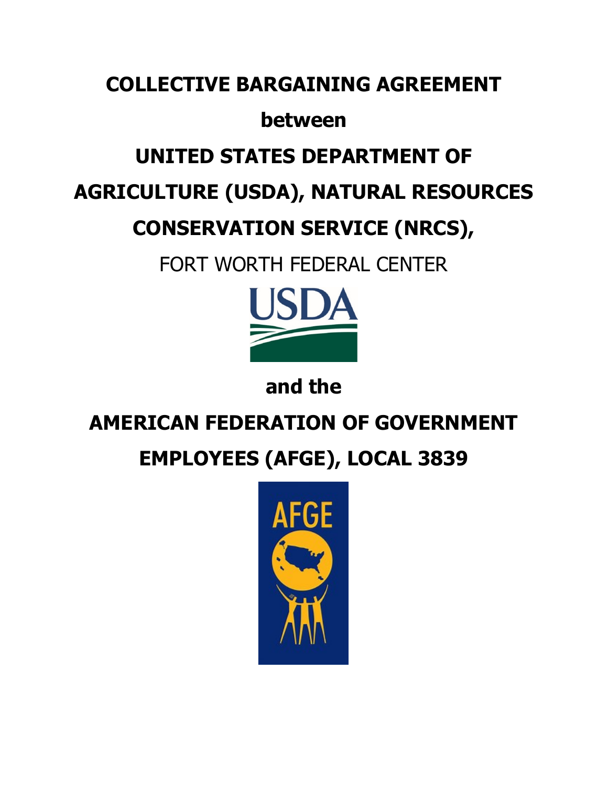# **COLLECTIVE BARGAINING AGREEMENT**

## **between**

# **UNITED STATES DEPARTMENT OF**

# **AGRICULTURE (USDA), NATURAL RESOURCES**

# **CONSERVATION SERVICE (NRCS),**

FORT WORTH FEDERAL CENTER



**and the**

# **AMERICAN FEDERATION OF GOVERNMENT**

# **EMPLOYEES (AFGE), LOCAL 3839**

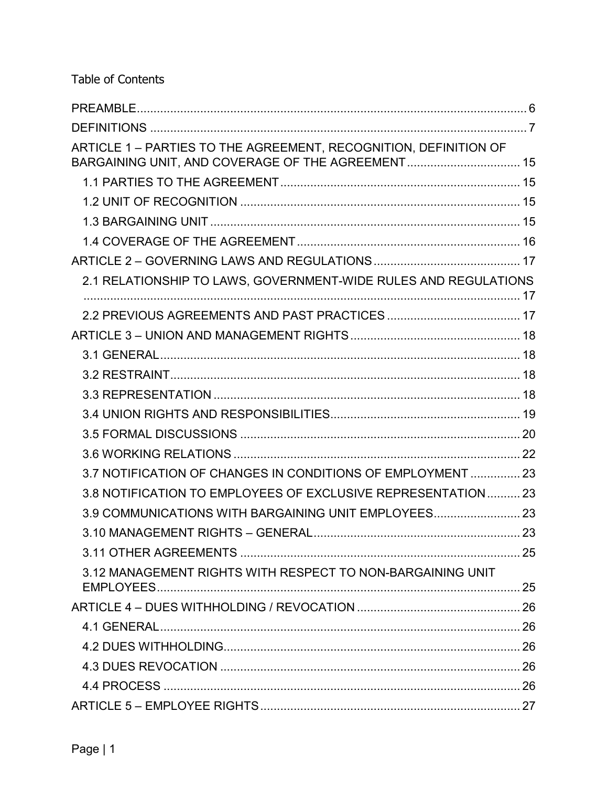Table of Contents

| ARTICLE 1 - PARTIES TO THE AGREEMENT, RECOGNITION, DEFINITION OF |  |
|------------------------------------------------------------------|--|
|                                                                  |  |
|                                                                  |  |
|                                                                  |  |
|                                                                  |  |
|                                                                  |  |
| 2.1 RELATIONSHIP TO LAWS, GOVERNMENT-WIDE RULES AND REGULATIONS  |  |
|                                                                  |  |
|                                                                  |  |
|                                                                  |  |
|                                                                  |  |
|                                                                  |  |
|                                                                  |  |
|                                                                  |  |
|                                                                  |  |
| 3.7 NOTIFICATION OF CHANGES IN CONDITIONS OF EMPLOYMENT  23      |  |
| 3.8 NOTIFICATION TO EMPLOYEES OF EXCLUSIVE REPRESENTATION 23     |  |
| 3.9 COMMUNICATIONS WITH BARGAINING UNIT EMPLOYEES                |  |
|                                                                  |  |
|                                                                  |  |
| 3.12 MANAGEMENT RIGHTS WITH RESPECT TO NON-BARGAINING UNIT       |  |
|                                                                  |  |
|                                                                  |  |
|                                                                  |  |
|                                                                  |  |
|                                                                  |  |
|                                                                  |  |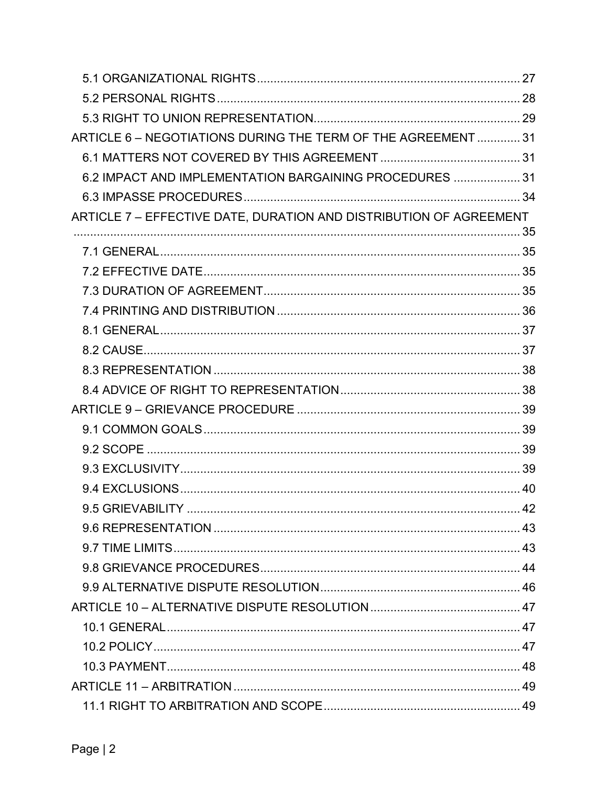| ARTICLE 6 - NEGOTIATIONS DURING THE TERM OF THE AGREEMENT  31      |  |
|--------------------------------------------------------------------|--|
|                                                                    |  |
| 6.2 IMPACT AND IMPLEMENTATION BARGAINING PROCEDURES  31            |  |
|                                                                    |  |
| ARTICLE 7 - EFFECTIVE DATE, DURATION AND DISTRIBUTION OF AGREEMENT |  |
|                                                                    |  |
|                                                                    |  |
|                                                                    |  |
|                                                                    |  |
|                                                                    |  |
|                                                                    |  |
|                                                                    |  |
|                                                                    |  |
|                                                                    |  |
|                                                                    |  |
|                                                                    |  |
|                                                                    |  |
|                                                                    |  |
|                                                                    |  |
|                                                                    |  |
|                                                                    |  |
|                                                                    |  |
|                                                                    |  |
|                                                                    |  |
|                                                                    |  |
|                                                                    |  |
|                                                                    |  |
|                                                                    |  |
|                                                                    |  |
|                                                                    |  |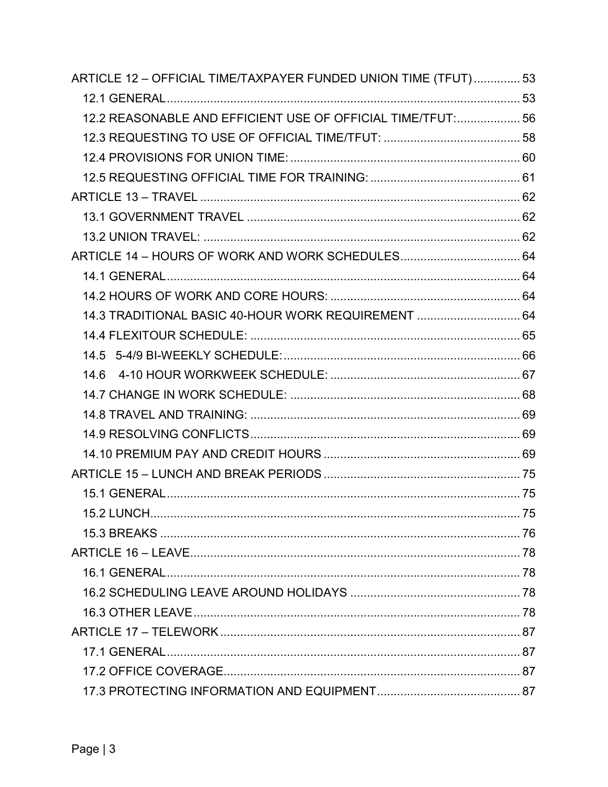| ARTICLE 12 - OFFICIAL TIME/TAXPAYER FUNDED UNION TIME (TFUT) 53 |  |
|-----------------------------------------------------------------|--|
|                                                                 |  |
| 12.2 REASONABLE AND EFFICIENT USE OF OFFICIAL TIME/TFUT: 56     |  |
|                                                                 |  |
|                                                                 |  |
|                                                                 |  |
|                                                                 |  |
|                                                                 |  |
|                                                                 |  |
|                                                                 |  |
|                                                                 |  |
|                                                                 |  |
| 14.3 TRADITIONAL BASIC 40-HOUR WORK REQUIREMENT  64             |  |
|                                                                 |  |
|                                                                 |  |
|                                                                 |  |
|                                                                 |  |
|                                                                 |  |
|                                                                 |  |
|                                                                 |  |
|                                                                 |  |
|                                                                 |  |
| $15.2$ LUNCH                                                    |  |
|                                                                 |  |
|                                                                 |  |
|                                                                 |  |
|                                                                 |  |
|                                                                 |  |
|                                                                 |  |
|                                                                 |  |
|                                                                 |  |
|                                                                 |  |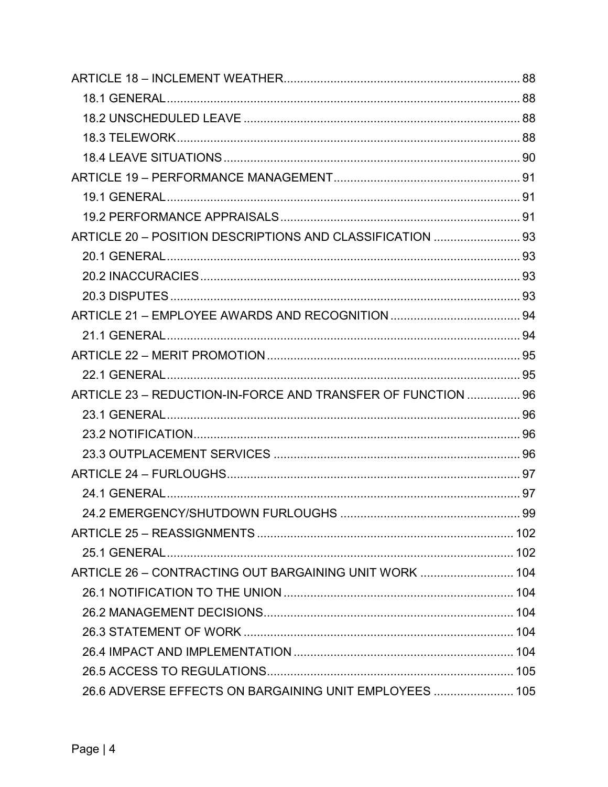| ARTICLE 20 - POSITION DESCRIPTIONS AND CLASSIFICATION  93    |    |
|--------------------------------------------------------------|----|
|                                                              |    |
|                                                              |    |
|                                                              |    |
|                                                              |    |
|                                                              |    |
|                                                              |    |
|                                                              |    |
| ARTICLE 23 - REDUCTION-IN-FORCE AND TRANSFER OF FUNCTION  96 |    |
|                                                              |    |
|                                                              |    |
|                                                              |    |
|                                                              |    |
|                                                              |    |
|                                                              | 99 |
|                                                              |    |
|                                                              |    |
| ARTICLE 26 - CONTRACTING OUT BARGAINING UNIT WORK  104       |    |
|                                                              |    |
|                                                              |    |
|                                                              |    |
|                                                              |    |
|                                                              |    |
| 26.6 ADVERSE EFFECTS ON BARGAINING UNIT EMPLOYEES  105       |    |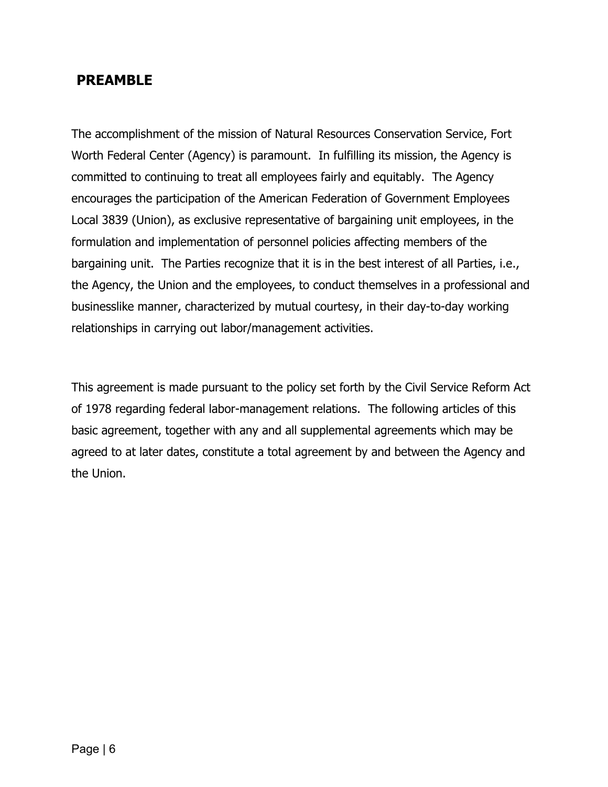## <span id="page-7-0"></span>**PREAMBLE**

The accomplishment of the mission of Natural Resources Conservation Service, Fort Worth Federal Center (Agency) is paramount. In fulfilling its mission, the Agency is committed to continuing to treat all employees fairly and equitably. The Agency encourages the participation of the American Federation of Government Employees Local 3839 (Union), as exclusive representative of bargaining unit employees, in the formulation and implementation of personnel policies affecting members of the bargaining unit. The Parties recognize that it is in the best interest of all Parties, i.e., the Agency, the Union and the employees, to conduct themselves in a professional and businesslike manner, characterized by mutual courtesy, in their day-to-day working relationships in carrying out labor/management activities.

This agreement is made pursuant to the policy set forth by the Civil Service Reform Act of 1978 regarding federal labor-management relations. The following articles of this basic agreement, together with any and all supplemental agreements which may be agreed to at later dates, constitute a total agreement by and between the Agency and the Union.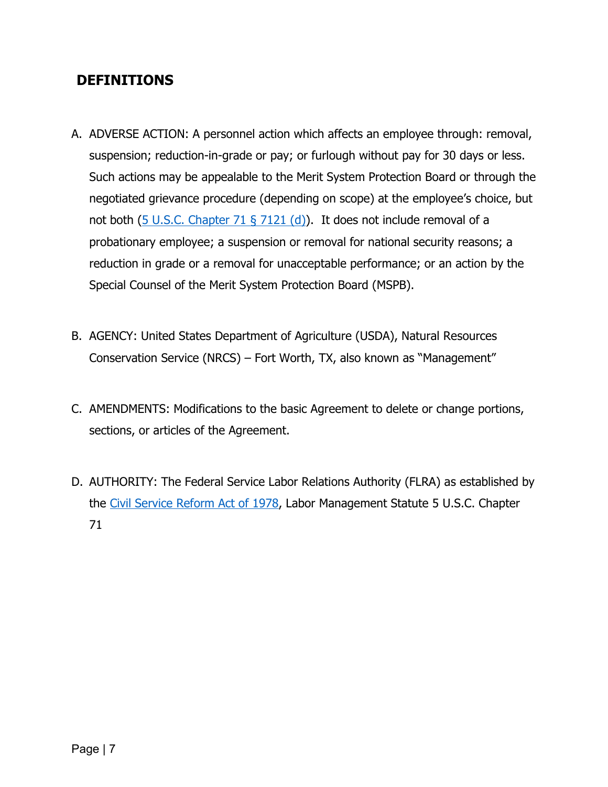## <span id="page-8-0"></span>**DEFINITIONS**

- A. ADVERSE ACTION: A personnel action which affects an employee through: removal, suspension; reduction-in-grade or pay; or furlough without pay for 30 days or less. Such actions may be appealable to the Merit System Protection Board or through the negotiated grievance procedure (depending on scope) at the employee's choice, but not both (5 [U.S.C. Chapter 71 § 7121 \(d\)\)](https://www.govinfo.gov/content/pkg/USCODE-2011-title5/html/USCODE-2011-title5-partIII-subpartF-chap71.htm). It does not include removal of a probationary employee; a suspension or removal for national security reasons; a reduction in grade or a removal for unacceptable performance; or an action by the Special Counsel of the Merit System Protection Board (MSPB).
- B. AGENCY: United States Department of Agriculture (USDA), Natural Resources Conservation Service (NRCS) – Fort Worth, TX, also known as "Management"
- C. AMENDMENTS: Modifications to the basic Agreement to delete or change portions, sections, or articles of the Agreement.
- D. AUTHORITY: The Federal Service Labor Relations Authority (FLRA) as established by the [Civil Service Reform](https://www.eeoc.gov/eeoc/history/50th/thelaw/civil_service_reform-1978.cfm) Act of 1978, Labor Management Statute 5 U.S.C. Chapter 71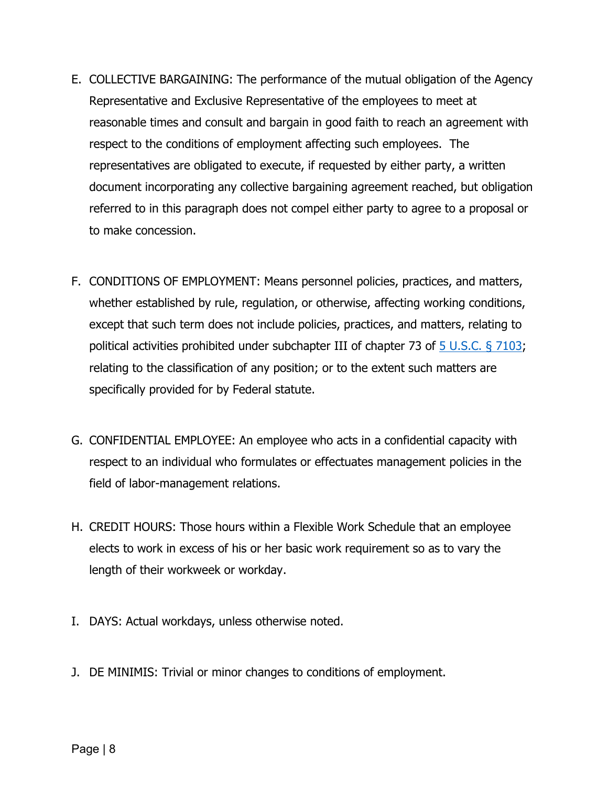- E. COLLECTIVE BARGAINING: The performance of the mutual obligation of the Agency Representative and Exclusive Representative of the employees to meet at reasonable times and consult and bargain in good faith to reach an agreement with respect to the conditions of employment affecting such employees. The representatives are obligated to execute, if requested by either party, a written document incorporating any collective bargaining agreement reached, but obligation referred to in this paragraph does not compel either party to agree to a proposal or to make concession.
- F. CONDITIONS OF EMPLOYMENT: Means personnel policies, practices, and matters, whether established by rule, regulation, or otherwise, affecting working conditions, except that such term does not include policies, practices, and matters, relating to political activities prohibited under subchapter III of chapter 73 of [5 U.S.C. § 7103;](https://uscode.house.gov/view.xhtml?req=(title:5%20section:7103%20edition:prelim)%20OR%20(granuleid:USC-prelim-title5-section7103)&f=treesort&edition=prelim&num=0&jumpTo=true) relating to the classification of any position; or to the extent such matters are specifically provided for by Federal statute.
- G. CONFIDENTIAL EMPLOYEE: An employee who acts in a confidential capacity with respect to an individual who formulates or effectuates management policies in the field of labor-management relations.
- H. CREDIT HOURS: Those hours within a Flexible Work Schedule that an employee elects to work in excess of his or her basic work requirement so as to vary the length of their workweek or workday.
- I. DAYS: Actual workdays, unless otherwise noted.
- J. DE MINIMIS: Trivial or minor changes to conditions of employment.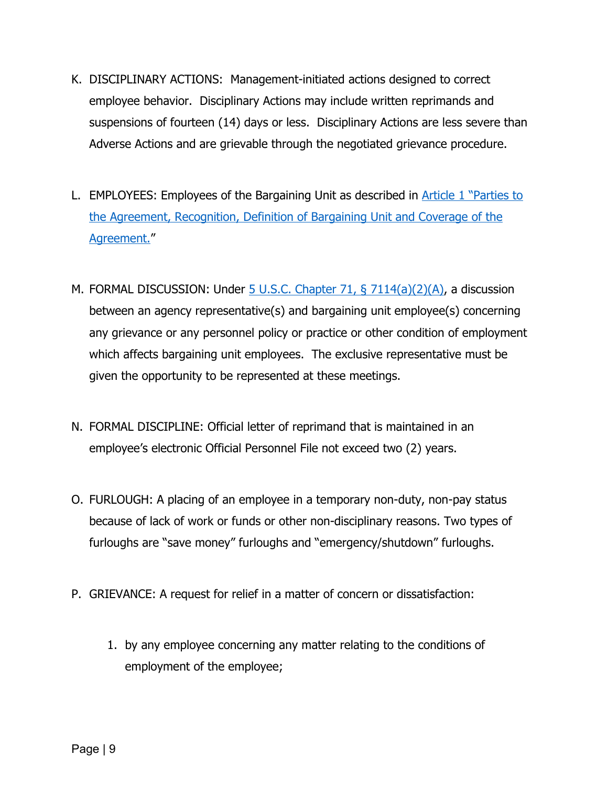- K. DISCIPLINARY ACTIONS: Management-initiated actions designed to correct employee behavior. Disciplinary Actions may include written reprimands and suspensions of fourteen (14) days or less. Disciplinary Actions are less severe than Adverse Actions and are grievable through the negotiated grievance procedure.
- L. EMPLOYEES: Employees of the Bargaining Unit as described in [Article 1](#page-16-0) "Parties to [the Agreement, Recognition, Definition of Bargaining Unit and Coverage of the](#page-16-0)  [Agreement."](#page-16-0)
- M. FORMAL DISCUSSION: Under  $\frac{5 \text{ U.S.C. Chapter 71, } 8 \text{ 7114(a)(2)(A),}}{2 \text{ J.A.}}$ between an agency representative(s) and bargaining unit employee(s) concerning any grievance or any personnel policy or practice or other condition of employment which affects bargaining unit employees. The exclusive representative must be given the opportunity to be represented at these meetings.
- N. FORMAL DISCIPLINE: Official letter of reprimand that is maintained in an employee's electronic Official Personnel File not exceed two (2) years.
- O. FURLOUGH: A placing of an employee in a temporary non-duty, non-pay status because of lack of work or funds or other non-disciplinary reasons. Two types of furloughs are "save money" furloughs and "emergency/shutdown" furloughs.
- P. GRIEVANCE: A request for relief in a matter of concern or dissatisfaction:
	- 1. by any employee concerning any matter relating to the conditions of employment of the employee;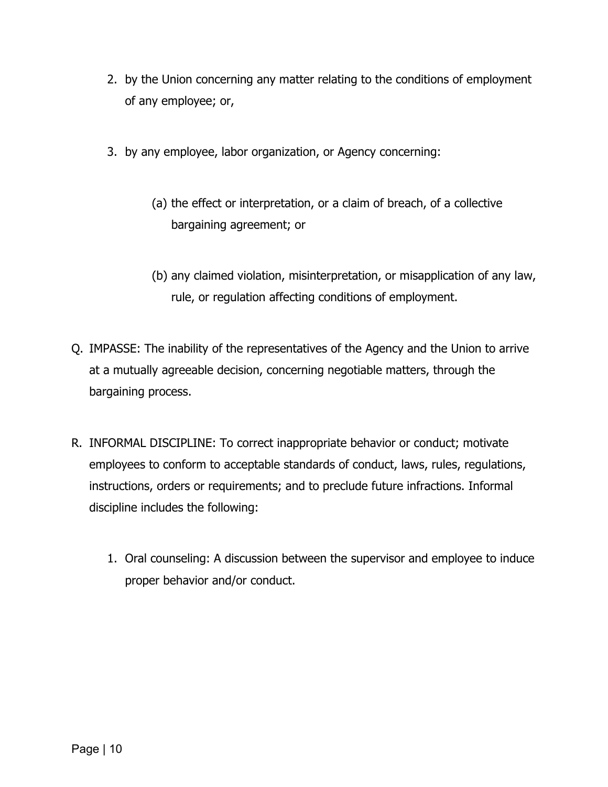- 2. by the Union concerning any matter relating to the conditions of employment of any employee; or,
- 3. by any employee, labor organization, or Agency concerning:
	- (a) the effect or interpretation, or a claim of breach, of a collective bargaining agreement; or
	- (b) any claimed violation, misinterpretation, or misapplication of any law, rule, or regulation affecting conditions of employment.
- Q. IMPASSE: The inability of the representatives of the Agency and the Union to arrive at a mutually agreeable decision, concerning negotiable matters, through the bargaining process.
- R. INFORMAL DISCIPLINE: To correct inappropriate behavior or conduct; motivate employees to conform to acceptable standards of conduct, laws, rules, regulations, instructions, orders or requirements; and to preclude future infractions. Informal discipline includes the following:
	- 1. Oral counseling: A discussion between the supervisor and employee to induce proper behavior and/or conduct.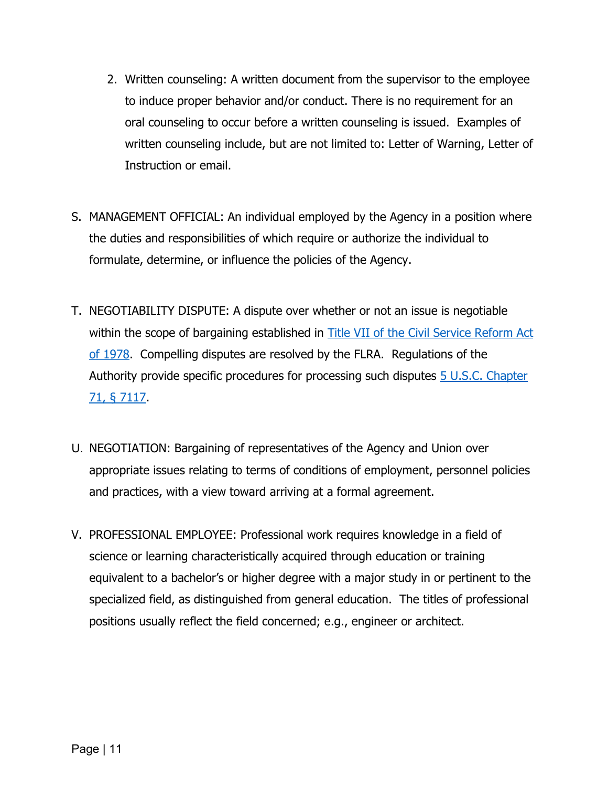- 2. Written counseling: A written document from the supervisor to the employee to induce proper behavior and/or conduct. There is no requirement for an oral counseling to occur before a written counseling is issued. Examples of written counseling include, but are not limited to: Letter of Warning, Letter of Instruction or email.
- S. MANAGEMENT OFFICIAL: An individual employed by the Agency in a position where the duties and responsibilities of which require or authorize the individual to formulate, determine, or influence the policies of the Agency.
- T. NEGOTIABILITY DISPUTE: A dispute over whether or not an issue is negotiable within the scope of bargaining established in Title VII of the [Civil Service](https://www.flra.gov/resources-training/resources/statute-and-regulations/statute) Reform Act of [1978.](https://www.flra.gov/resources-training/resources/statute-and-regulations/statute) Compelling disputes are resolved by the FLRA. Regulations of the Authority provide specific procedures for processing such disputes 5 U.S.C. Chapter [71, § 7117.](https://uscode.house.gov/view.xhtml?req=granuleid:USC-prelim-title5-section7117&num=0&edition=prelim)
- U. NEGOTIATION: Bargaining of representatives of the Agency and Union over appropriate issues relating to terms of conditions of employment, personnel policies and practices, with a view toward arriving at a formal agreement.
- V. PROFESSIONAL EMPLOYEE: Professional work requires knowledge in a field of science or learning characteristically acquired through education or training equivalent to a bachelor's or higher degree with a major study in or pertinent to the specialized field, as distinguished from general education. The titles of professional positions usually reflect the field concerned; e.g., engineer or architect.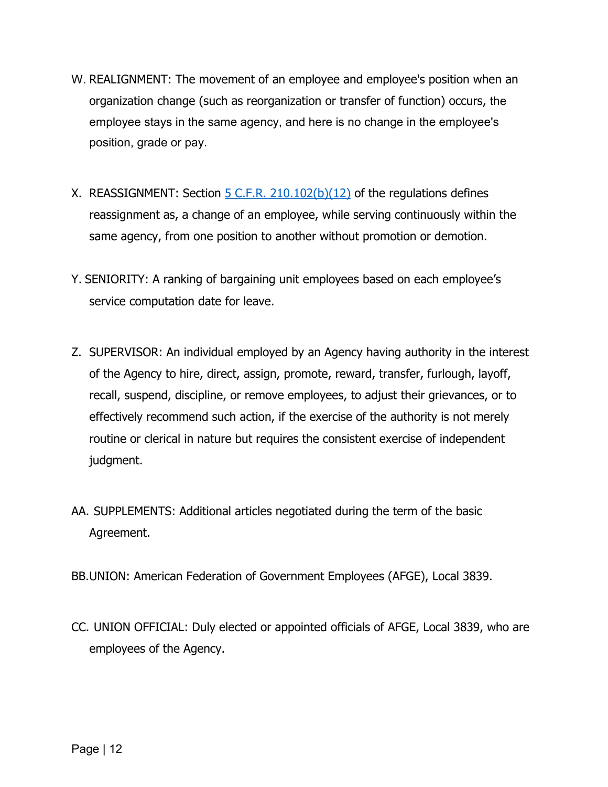- W. REALIGNMENT: The movement of an employee and employee's position when an organization change (such as reorganization or transfer of function) occurs, the employee stays in the same agency, and here is no change in the employee's position, grade or pay.
- X. REASSIGNMENT: Section  $5$  C.F.R. 210.102(b)(12) of the regulations defines reassignment as, a change of an employee, while serving continuously within the same agency, from one position to another without promotion or demotion.
- Y. SENIORITY: A ranking of bargaining unit employees based on each employee's service computation date for leave.
- Z. SUPERVISOR: An individual employed by an Agency having authority in the interest of the Agency to hire, direct, assign, promote, reward, transfer, furlough, layoff, recall, suspend, discipline, or remove employees, to adjust their grievances, or to effectively recommend such action, if the exercise of the authority is not merely routine or clerical in nature but requires the consistent exercise of independent judgment.
- AA. SUPPLEMENTS: Additional articles negotiated during the term of the basic Agreement.
- BB.UNION: American Federation of Government Employees (AFGE), Local 3839.
- CC. UNION OFFICIAL: Duly elected or appointed officials of AFGE, Local 3839, who are employees of the Agency.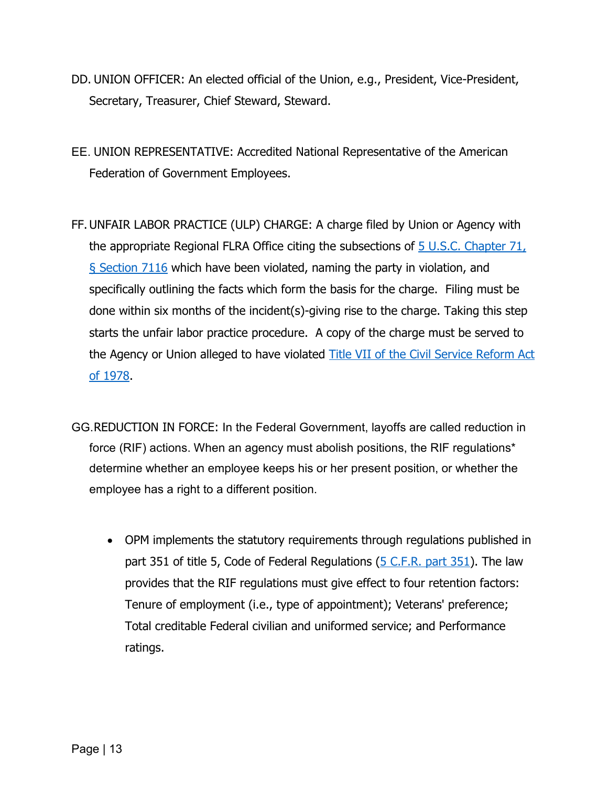- DD. UNION OFFICER: An elected official of the Union, e.g., President, Vice-President, Secretary, Treasurer, Chief Steward, Steward.
- EE. UNION REPRESENTATIVE: Accredited National Representative of the American Federation of Government Employees.
- FF.UNFAIR LABOR PRACTICE (ULP) CHARGE: A charge filed by Union or Agency with the appropriate Regional FLRA Office citing the subsections of [5 U.S.C. Chapter 71,](https://uscode.house.gov/view.xhtml?req=granuleid:USC-prelim-title5-section7116&num=0&edition=prelim)  [§ Section](https://uscode.house.gov/view.xhtml?req=granuleid:USC-prelim-title5-section7116&num=0&edition=prelim) 7116 which have been violated, naming the party in violation, and specifically outlining the facts which form the basis for the charge. Filing must be done within six months of the incident(s)-giving rise to the charge. Taking this step starts the unfair labor practice procedure. A copy of the charge must be served to the Agency or Union alleged to have violated Title VII of the [Civil Service](https://www.flra.gov/resources-training/resources/statute-and-regulations/statute) Reform Act of [1978.](https://www.flra.gov/resources-training/resources/statute-and-regulations/statute)
- GG.REDUCTION IN FORCE: In the Federal Government, layoffs are called reduction in force (RIF) actions. When an agency must abolish positions, the RIF regulations\* determine whether an employee keeps his or her present position, or whether the employee has a right to a different position.
	- OPM implements the statutory requirements through regulations published in part 351 of title 5, Code of Federal Regulations [\(5 C.F.R. part 351\)](https://www.govinfo.gov/content/pkg/CFR-2011-title5-vol1/pdf/CFR-2011-title5-vol1-part351.pdf). The law provides that the RIF regulations must give effect to four retention factors: Tenure of employment (i.e., type of appointment); Veterans' preference; Total creditable Federal civilian and uniformed service; and Performance ratings.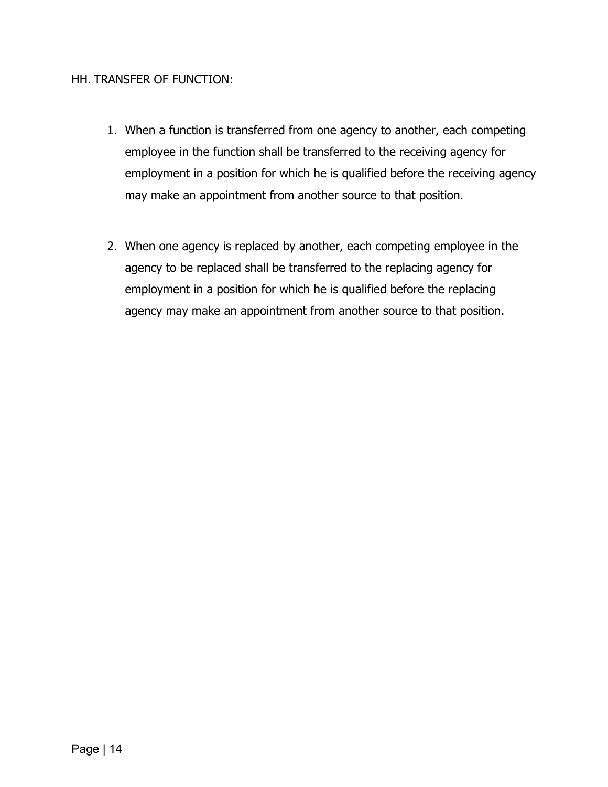#### HH. TRANSFER OF FUNCTION:

- 1. When a function is transferred from one agency to another, each competing employee in the function shall be transferred to the receiving agency for employment in a position for which he is qualified before the receiving agency may make an appointment from another source to that position.
- 2. When one agency is replaced by another, each competing employee in the agency to be replaced shall be transferred to the replacing agency for employment in a position for which he is qualified before the replacing agency may make an appointment from another source to that position.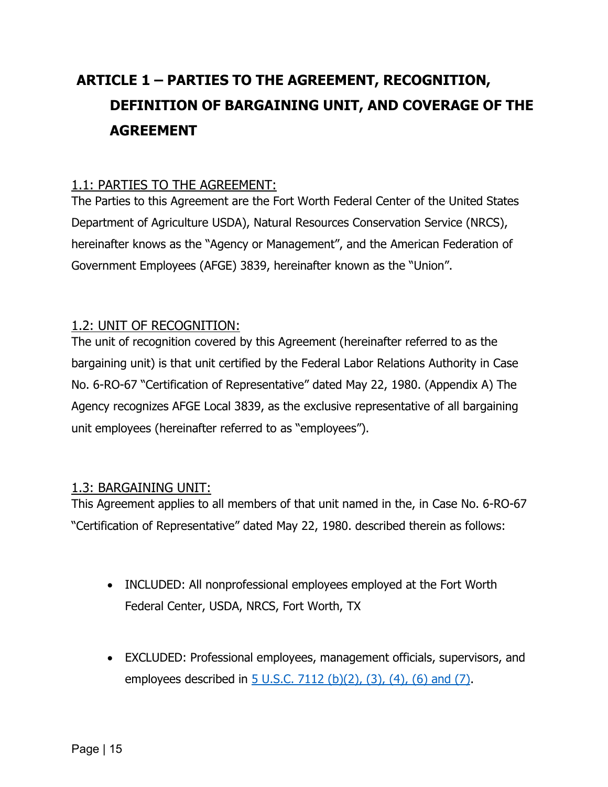## <span id="page-16-4"></span><span id="page-16-0"></span>**ARTICLE 1 – PARTIES TO THE AGREEMENT, RECOGNITION, DEFINITION OF BARGAINING UNIT, AND COVERAGE OF THE AGREEMENT**

## <span id="page-16-1"></span>1.1: PARTIES TO THE AGREEMENT:

The Parties to this Agreement are the Fort Worth Federal Center of the United States Department of Agriculture USDA), Natural Resources Conservation Service (NRCS), hereinafter knows as the "Agency or Management", and the American Federation of Government Employees (AFGE) 3839, hereinafter known as the "Union".

#### <span id="page-16-2"></span>1.2: UNIT OF RECOGNITION:

The unit of recognition covered by this Agreement (hereinafter referred to as the bargaining unit) is that unit certified by the Federal Labor Relations Authority in Case No. 6-RO-67 "Certification of Representative" dated May 22, 1980. (Appendix A) The Agency recognizes AFGE Local 3839, as the exclusive representative of all bargaining unit employees (hereinafter referred to as "employees").

### <span id="page-16-3"></span>1.3: BARGAINING UNIT:

This Agreement applies to all members of that unit named in the, in Case No. 6-RO-67 "Certification of Representative" dated May 22, 1980. described therein as follows:

- INCLUDED: All nonprofessional employees employed at the Fort Worth Federal Center, USDA, NRCS, Fort Worth, TX
- EXCLUDED: Professional employees, management officials, supervisors, and employees described in 5 U.S.C. [7112 \(b\)\(2\), \(3\), \(4\), \(6\) and \(7\).](https://uscode.house.gov/view.xhtml?req=granuleid:USC-prelim-title5-section7112&num=0&edition=prelim)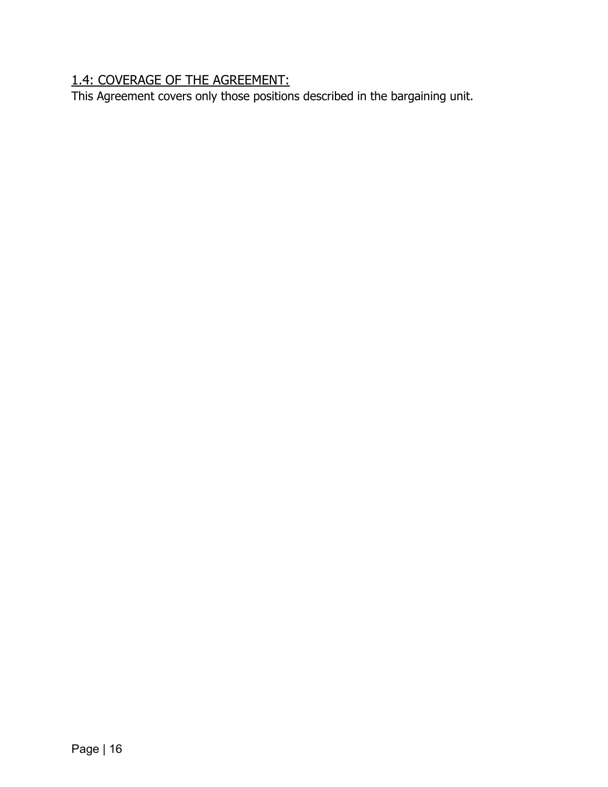## 1.4: COVERAGE OF THE AGREEMENT:

This Agreement covers only those positions described in the bargaining unit.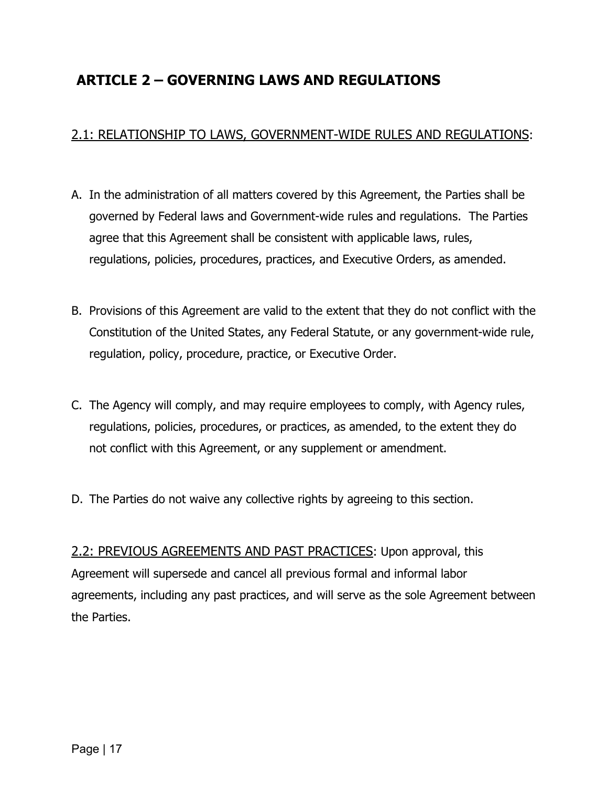## <span id="page-18-0"></span>**ARTICLE 2 – GOVERNING LAWS AND REGULATIONS**

## <span id="page-18-1"></span>2.1: RELATIONSHIP TO LAWS, GOVERNMENT-WIDE RULES AND REGULATIONS:

- A. In the administration of all matters covered by this Agreement, the Parties shall be governed by Federal laws and Government-wide rules and regulations. The Parties agree that this Agreement shall be consistent with applicable laws, rules, regulations, policies, procedures, practices, and Executive Orders, as amended.
- B. Provisions of this Agreement are valid to the extent that they do not conflict with the Constitution of the United States, any Federal Statute, or any government-wide rule, regulation, policy, procedure, practice, or Executive Order.
- C. The Agency will comply, and may require employees to comply, with Agency rules, regulations, policies, procedures, or practices, as amended, to the extent they do not conflict with this Agreement, or any supplement or amendment.
- D. The Parties do not waive any collective rights by agreeing to this section.

<span id="page-18-2"></span>2.2: PREVIOUS AGREEMENTS AND PAST PRACTICES: Upon approval, this Agreement will supersede and cancel all previous formal and informal labor agreements, including any past practices, and will serve as the sole Agreement between the Parties.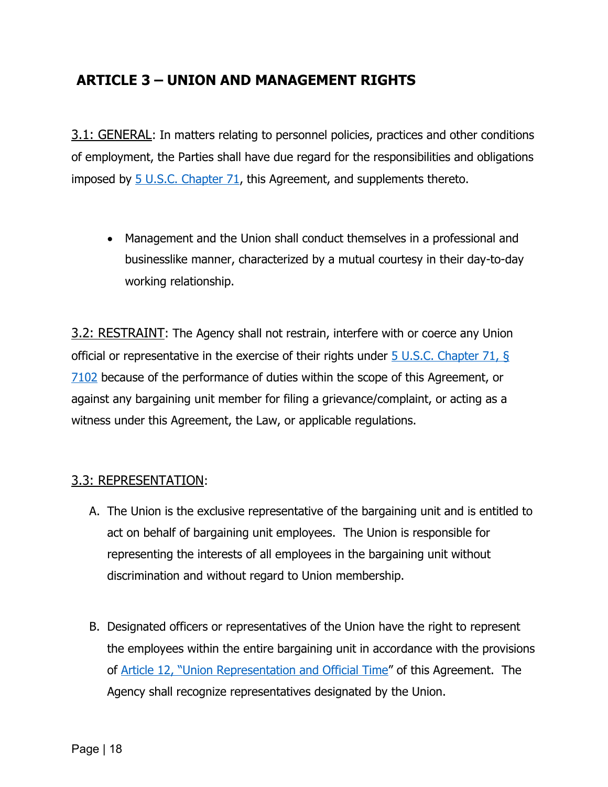## <span id="page-19-0"></span>**ARTICLE 3 – UNION AND MANAGEMENT RIGHTS**

<span id="page-19-1"></span>3.1: GENERAL: In matters relating to personnel policies, practices and other conditions of employment, the Parties shall have due regard for the responsibilities and obligations imposed by  $5$  U.S.C. [Chapter 71,](https://uscode.house.gov/browse/prelim@title5/part3/subpartF&edition=prelim) this Agreement, and supplements thereto.

• Management and the Union shall conduct themselves in a professional and businesslike manner, characterized by a mutual courtesy in their day-to-day working relationship.

<span id="page-19-2"></span>3.2: RESTRAINT: The Agency shall not restrain, interfere with or coerce any Union official or representative in the exercise of their rights under 5 U.S.C. [Chapter 71,](https://uscode.house.gov/view.xhtml?req=granuleid:USC-prelim-title5-section7102&num=0&edition=prelim) § [7102](https://uscode.house.gov/view.xhtml?req=granuleid:USC-prelim-title5-section7102&num=0&edition=prelim) because of the performance of duties within the scope of this Agreement, or against any bargaining unit member for filing a grievance/complaint, or acting as a witness under this Agreement, the Law, or applicable regulations.

#### <span id="page-19-3"></span>3.3: REPRESENTATION:

- A. The Union is the exclusive representative of the bargaining unit and is entitled to act on behalf of bargaining unit employees. The Union is responsible for representing the interests of all employees in the bargaining unit without discrimination and without regard to Union membership.
- B. Designated officers or representatives of the Union have the right to represent the employees within the entire bargaining unit in accordance with the provisions of [Article 12, "Union Representation and Official Time"](#page-54-0) of this Agreement. The Agency shall recognize representatives designated by the Union.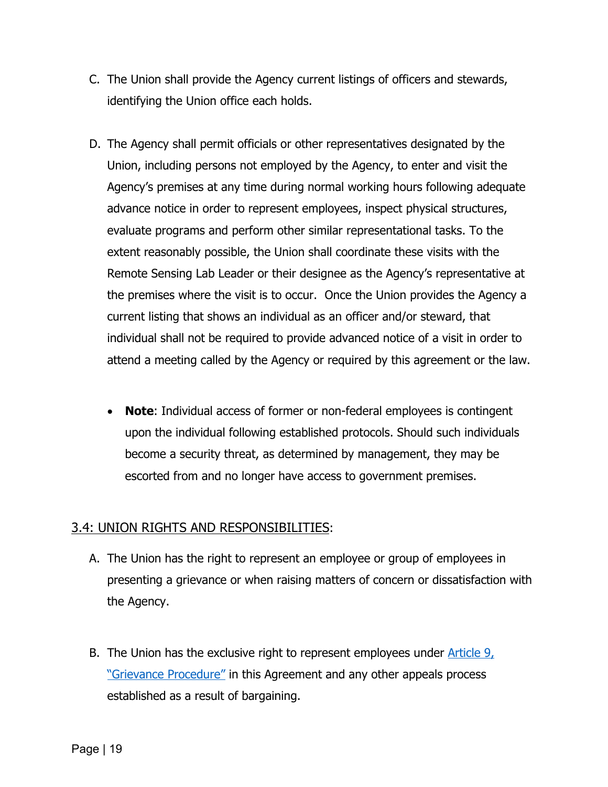- C. The Union shall provide the Agency current listings of officers and stewards, identifying the Union office each holds.
- D. The Agency shall permit officials or other representatives designated by the Union, including persons not employed by the Agency, to enter and visit the Agency's premises at any time during normal working hours following adequate advance notice in order to represent employees, inspect physical structures, evaluate programs and perform other similar representational tasks. To the extent reasonably possible, the Union shall coordinate these visits with the Remote Sensing Lab Leader or their designee as the Agency's representative at the premises where the visit is to occur. Once the Union provides the Agency a current listing that shows an individual as an officer and/or steward, that individual shall not be required to provide advanced notice of a visit in order to attend a meeting called by the Agency or required by this agreement or the law.
	- **Note**: Individual access of former or non-federal employees is contingent upon the individual following established protocols. Should such individuals become a security threat, as determined by management, they may be escorted from and no longer have access to government premises.

### <span id="page-20-0"></span>3.4: UNION RIGHTS AND RESPONSIBILITIES:

- A. The Union has the right to represent an employee or group of employees in presenting a grievance or when raising matters of concern or dissatisfaction with the Agency.
- B. The Union has the exclusive right to represent employees under  $\frac{\text{Article } 9.}{\text{7}}$ ["Grievance Procedure"](#page-39-2) in this Agreement and any other appeals process established as a result of bargaining.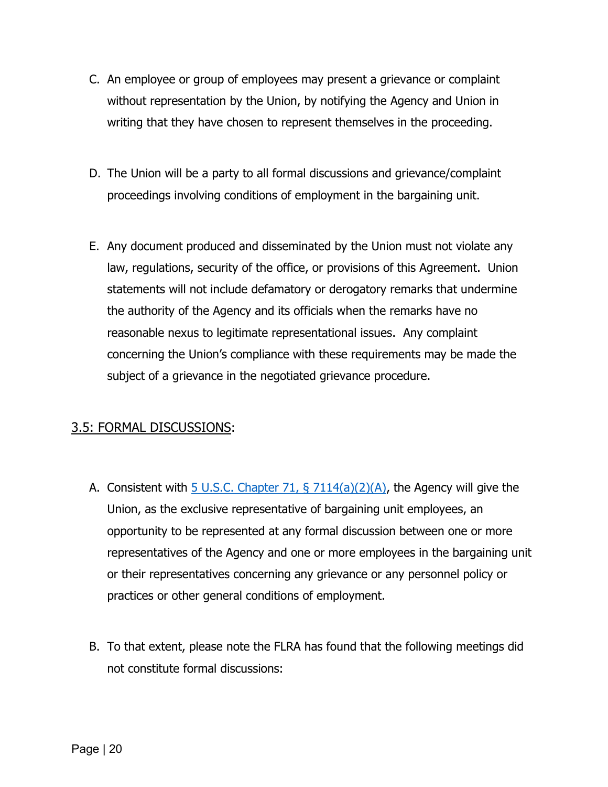- C. An employee or group of employees may present a grievance or complaint without representation by the Union, by notifying the Agency and Union in writing that they have chosen to represent themselves in the proceeding.
- D. The Union will be a party to all formal discussions and grievance/complaint proceedings involving conditions of employment in the bargaining unit.
- E. Any document produced and disseminated by the Union must not violate any law, regulations, security of the office, or provisions of this Agreement. Union statements will not include defamatory or derogatory remarks that undermine the authority of the Agency and its officials when the remarks have no reasonable nexus to legitimate representational issues. Any complaint concerning the Union's compliance with these requirements may be made the subject of a grievance in the negotiated grievance procedure.

### <span id="page-21-0"></span>3.5: FORMAL DISCUSSIONS:

- A. Consistent with  $\overline{5}$  U.S.C. [Chapter 71, § 7114\(a\)\(2\)\(A\),](https://uscode.house.gov/view.xhtml?req=granuleid:USC-prelim-title5-section7114&num=0&edition=prelim) the Agency will give the Union, as the exclusive representative of bargaining unit employees, an opportunity to be represented at any formal discussion between one or more representatives of the Agency and one or more employees in the bargaining unit or their representatives concerning any grievance or any personnel policy or practices or other general conditions of employment.
- B. To that extent, please note the FLRA has found that the following meetings did not constitute formal discussions: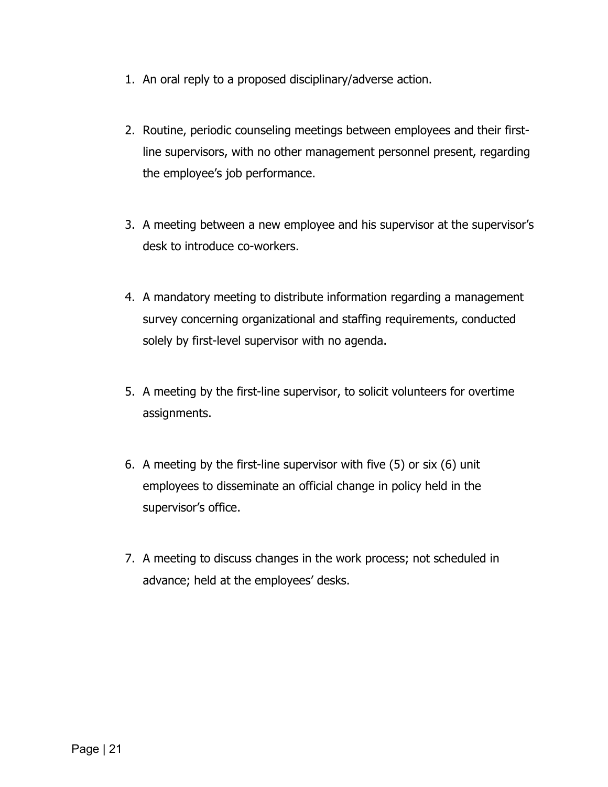- 1. An oral reply to a proposed disciplinary/adverse action.
- 2. Routine, periodic counseling meetings between employees and their firstline supervisors, with no other management personnel present, regarding the employee's job performance.
- 3. A meeting between a new employee and his supervisor at the supervisor's desk to introduce co-workers.
- 4. A mandatory meeting to distribute information regarding a management survey concerning organizational and staffing requirements, conducted solely by first-level supervisor with no agenda.
- 5. A meeting by the first-line supervisor, to solicit volunteers for overtime assignments.
- 6. A meeting by the first-line supervisor with five (5) or six (6) unit employees to disseminate an official change in policy held in the supervisor's office.
- 7. A meeting to discuss changes in the work process; not scheduled in advance; held at the employees' desks.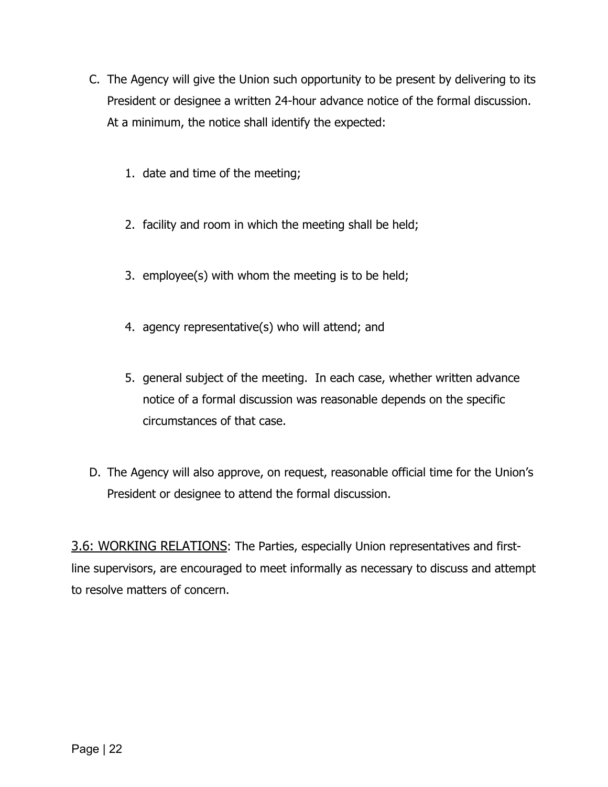- C. The Agency will give the Union such opportunity to be present by delivering to its President or designee a written 24-hour advance notice of the formal discussion. At a minimum, the notice shall identify the expected:
	- 1. date and time of the meeting;
	- 2. facility and room in which the meeting shall be held;
	- 3. employee(s) with whom the meeting is to be held;
	- 4. agency representative(s) who will attend; and
	- 5. general subject of the meeting. In each case, whether written advance notice of a formal discussion was reasonable depends on the specific circumstances of that case.
- D. The Agency will also approve, on request, reasonable official time for the Union's President or designee to attend the formal discussion.

<span id="page-23-0"></span>3.6: WORKING RELATIONS: The Parties, especially Union representatives and firstline supervisors, are encouraged to meet informally as necessary to discuss and attempt to resolve matters of concern.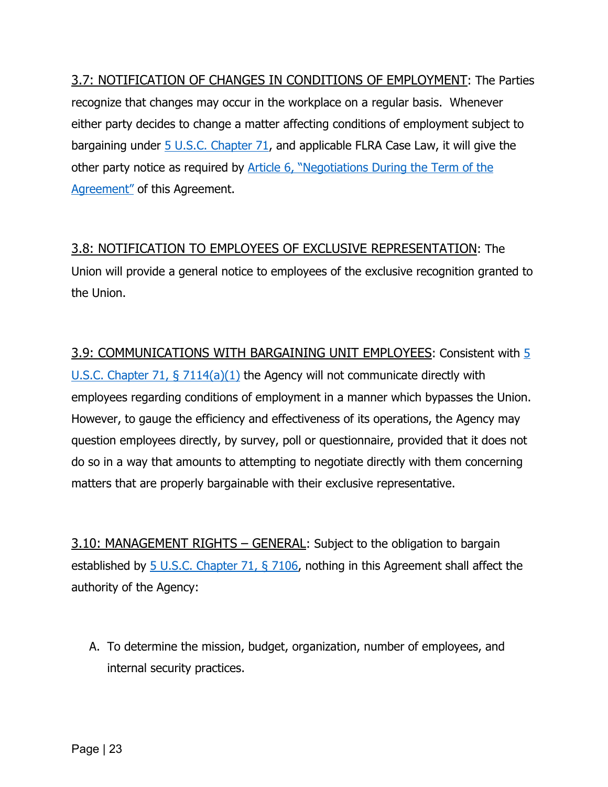<span id="page-24-0"></span>3.7: NOTIFICATION OF CHANGES IN CONDITIONS OF EMPLOYMENT: The Parties recognize that changes may occur in the workplace on a regular basis. Whenever either party decides to change a matter affecting conditions of employment subject to bargaining under 5 U.S.C. [Chapter 71,](https://uscode.house.gov/browse/prelim@title5/part3/subpartF&edition=prelim) and applicable FLRA Case Law, it will give the other party notice as required by [Article 6, "Negotiations During the Term of the](#page-32-0)  [Agreement"](#page-32-0) of this Agreement.

## <span id="page-24-1"></span>3.8: NOTIFICATION TO EMPLOYEES OF EXCLUSIVE REPRESENTATION: The

Union will provide a general notice to employees of the exclusive recognition granted to the Union.

<span id="page-24-2"></span>3.9: COMMUNICATIONS WITH BARGAINING UNIT EMPLOYEES: Consistent with 5 U.S.C. [Chapter 71, § 7114\(a\)\(1\)](https://uscode.house.gov/view.xhtml?req=granuleid:USC-prelim-title5-section7114&num=0&edition=prelim) the Agency will not communicate directly with employees regarding conditions of employment in a manner which bypasses the Union. However, to gauge the efficiency and effectiveness of its operations, the Agency may question employees directly, by survey, poll or questionnaire, provided that it does not do so in a way that amounts to attempting to negotiate directly with them concerning matters that are properly bargainable with their exclusive representative.

<span id="page-24-3"></span>3.10: MANAGEMENT RIGHTS – GENERAL: Subject to the obligation to bargain established by 5 U.S.C. [Chapter 71, § 7106,](https://uscode.house.gov/view.xhtml?req=granuleid:USC-prelim-title5-section7106&num=0&edition=prelim) nothing in this Agreement shall affect the authority of the Agency:

A. To determine the mission, budget, organization, number of employees, and internal security practices.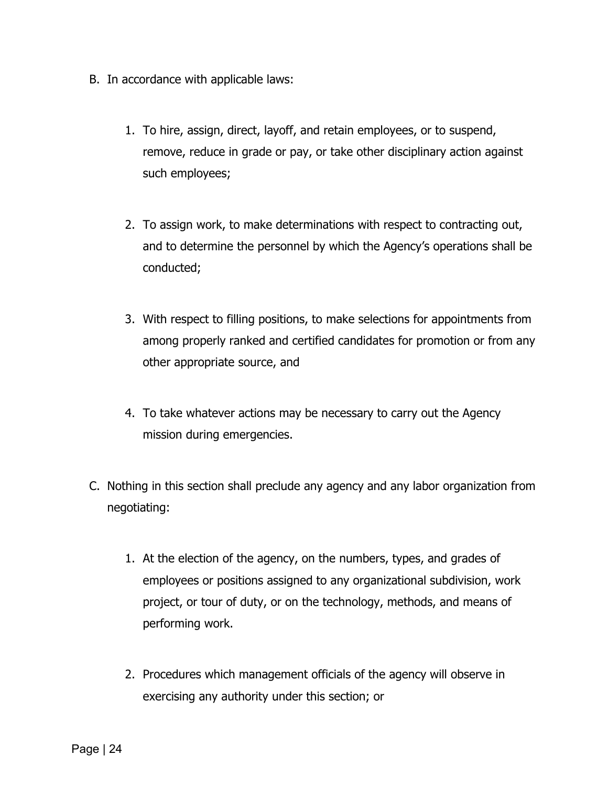- B. In accordance with applicable laws:
	- 1. To hire, assign, direct, layoff, and retain employees, or to suspend, remove, reduce in grade or pay, or take other disciplinary action against such employees;
	- 2. To assign work, to make determinations with respect to contracting out, and to determine the personnel by which the Agency's operations shall be conducted;
	- 3. With respect to filling positions, to make selections for appointments from among properly ranked and certified candidates for promotion or from any other appropriate source, and
	- 4. To take whatever actions may be necessary to carry out the Agency mission during emergencies.
- C. Nothing in this section shall preclude any agency and any labor organization from negotiating:
	- 1. At the election of the agency, on the numbers, types, and grades of employees or positions assigned to any organizational subdivision, work project, or tour of duty, or on the technology, methods, and means of performing work.
	- 2. Procedures which management officials of the agency will observe in exercising any authority under this section; or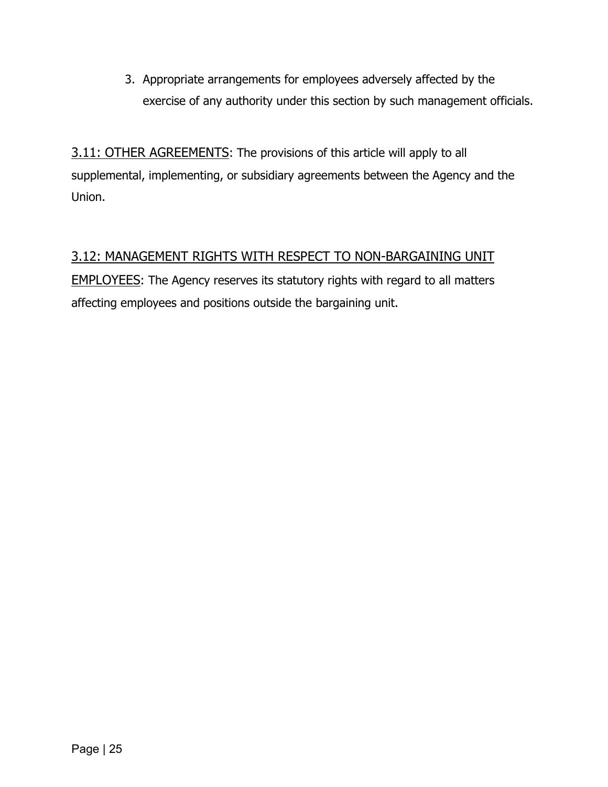3. Appropriate arrangements for employees adversely affected by the exercise of any authority under this section by such management officials.

<span id="page-26-0"></span>3.11: OTHER AGREEMENTS: The provisions of this article will apply to all supplemental, implementing, or subsidiary agreements between the Agency and the Union.

## <span id="page-26-1"></span>3.12: MANAGEMENT RIGHTS WITH RESPECT TO NON-BARGAINING UNIT

EMPLOYEES: The Agency reserves its statutory rights with regard to all matters affecting employees and positions outside the bargaining unit.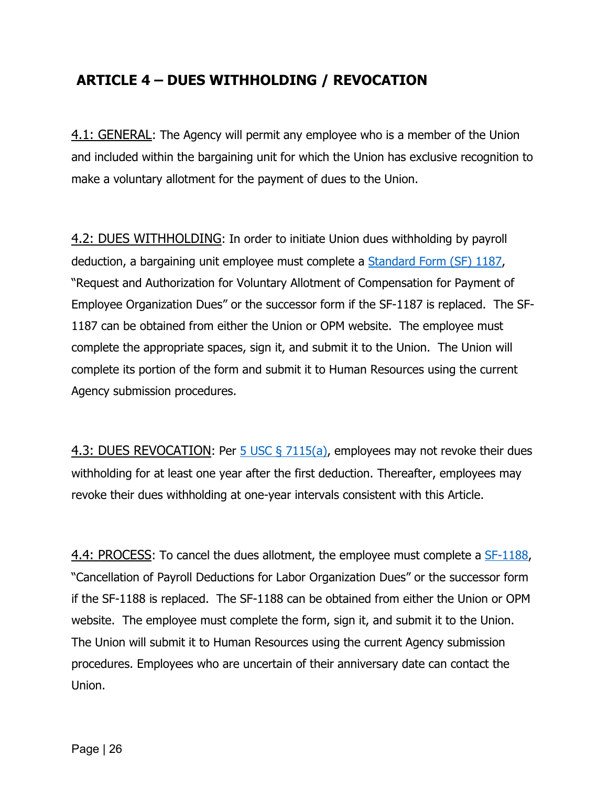## <span id="page-27-0"></span>**ARTICLE 4 – DUES WITHHOLDING / REVOCATION**

<span id="page-27-1"></span>4.1: GENERAL: The Agency will permit any employee who is a member of the Union and included within the bargaining unit for which the Union has exclusive recognition to make a voluntary allotment for the payment of dues to the Union.

<span id="page-27-2"></span>4.2: DUES WITHHOLDING: In order to initiate Union dues withholding by payroll deduction, a bargaining unit employee must complete a [Standard Form \(SF\) 1187,](https://www.gsa.gov/Forms/TrackForm/32802) "Request and Authorization for Voluntary Allotment of Compensation for Payment of Employee Organization Dues" or the successor form if the SF-1187 is replaced. The SF-1187 can be obtained from either the Union or OPM website. The employee must complete the appropriate spaces, sign it, and submit it to the Union. The Union will complete its portion of the form and submit it to Human Resources using the current Agency submission procedures.

<span id="page-27-3"></span>4.3: DUES REVOCATION: Per [5 USC § 7115\(a\),](https://uscode.house.gov/view.xhtml?req=granuleid:USC-prelim-title5-section7115&num=0&edition=prelim) employees may not revoke their dues withholding for at least one year after the first deduction. Thereafter, employees may revoke their dues withholding at one-year intervals consistent with this Article.

<span id="page-27-4"></span>4.4: PROCESS: To cancel the dues allotment, the employee must complete a [SF-1188,](https://www.gsa.gov/Forms/TrackForm/32803) "Cancellation of Payroll Deductions for Labor Organization Dues" or the successor form if the SF-1188 is replaced. The SF-1188 can be obtained from either the Union or OPM website. The employee must complete the form, sign it, and submit it to the Union. The Union will submit it to Human Resources using the current Agency submission procedures. Employees who are uncertain of their anniversary date can contact the Union.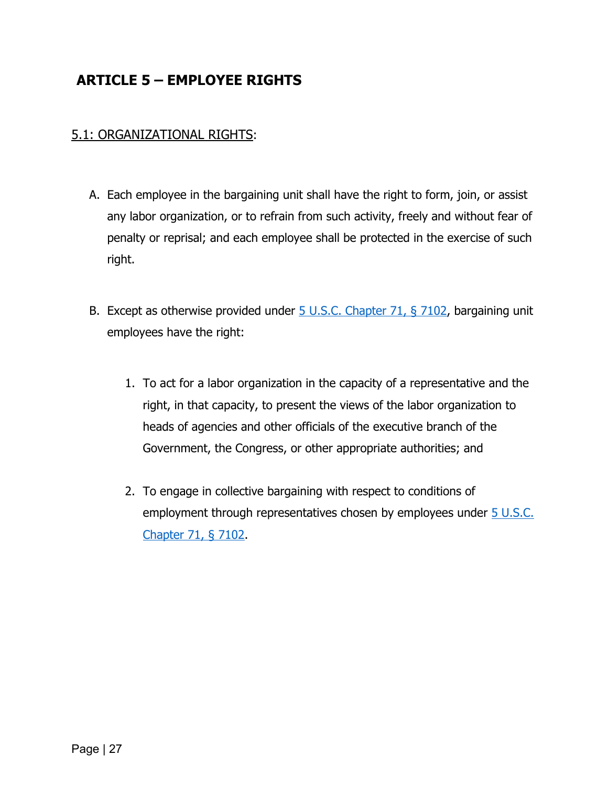## <span id="page-28-0"></span>**ARTICLE 5 – EMPLOYEE RIGHTS**

### <span id="page-28-1"></span>5.1: ORGANIZATIONAL RIGHTS:

- A. Each employee in the bargaining unit shall have the right to form, join, or assist any labor organization, or to refrain from such activity, freely and without fear of penalty or reprisal; and each employee shall be protected in the exercise of such right.
- B. Except as otherwise provided under 5 U.S.C. [Chapter 71, § 7102,](https://uscode.house.gov/view.xhtml?req=granuleid:USC-prelim-title5-section7102&num=0&edition=prelim) bargaining unit employees have the right:
	- 1. To act for a labor organization in the capacity of a representative and the right, in that capacity, to present the views of the labor organization to heads of agencies and other officials of the executive branch of the Government, the Congress, or other appropriate authorities; and
	- 2. To engage in collective bargaining with respect to conditions of employment through representatives chosen by employees under [5 U.S.C.](https://uscode.house.gov/view.xhtml?req=granuleid:USC-prelim-title5-section7102&num=0&edition=prelim) [Chapter 71, § 7102.](https://uscode.house.gov/view.xhtml?req=granuleid:USC-prelim-title5-section7102&num=0&edition=prelim)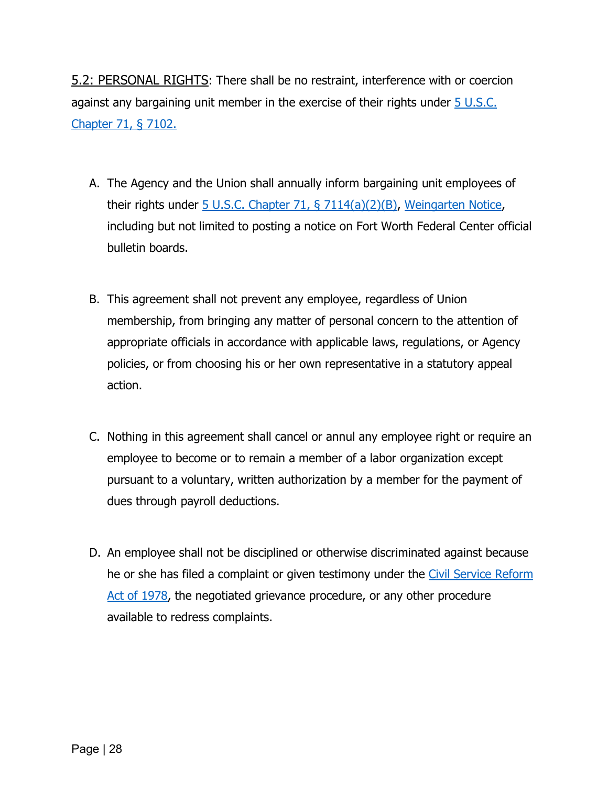<span id="page-29-0"></span>5.2: PERSONAL RIGHTS: There shall be no restraint, interference with or coercion against any bargaining unit member in the exercise of their rights under  $\overline{5}$  U.S.C. [Chapter 71, § 7102.](https://uscode.house.gov/view.xhtml?req=granuleid:USC-prelim-title5-section7102&num=0&edition=prelim)

- A. The Agency and the Union shall annually inform bargaining unit employees of their rights under 5 U.S.C. [Chapter 71, § 7114\(a\)\(2\)\(B\),](https://uscode.house.gov/view.xhtml?req=granuleid:USC-prelim-title5-section7114&num=0&edition=prelim) [Weingarten Notice,](https://www.dm.usda.gov/employ/labor/weingarten.htm) including but not limited to posting a notice on Fort Worth Federal Center official bulletin boards.
- B. This agreement shall not prevent any employee, regardless of Union membership, from bringing any matter of personal concern to the attention of appropriate officials in accordance with applicable laws, regulations, or Agency policies, or from choosing his or her own representative in a statutory appeal action.
- C. Nothing in this agreement shall cancel or annul any employee right or require an employee to become or to remain a member of a labor organization except pursuant to a voluntary, written authorization by a member for the payment of dues through payroll deductions.
- D. An employee shall not be disciplined or otherwise discriminated against because he or she has filed a complaint or given testimony under the [Civil Service Reform](https://www.eeoc.gov/eeoc/history/50th/thelaw/civil_service_reform-1978.cfm)  Act [of 1978,](https://www.eeoc.gov/eeoc/history/50th/thelaw/civil_service_reform-1978.cfm) the negotiated grievance procedure, or any other procedure available to redress complaints.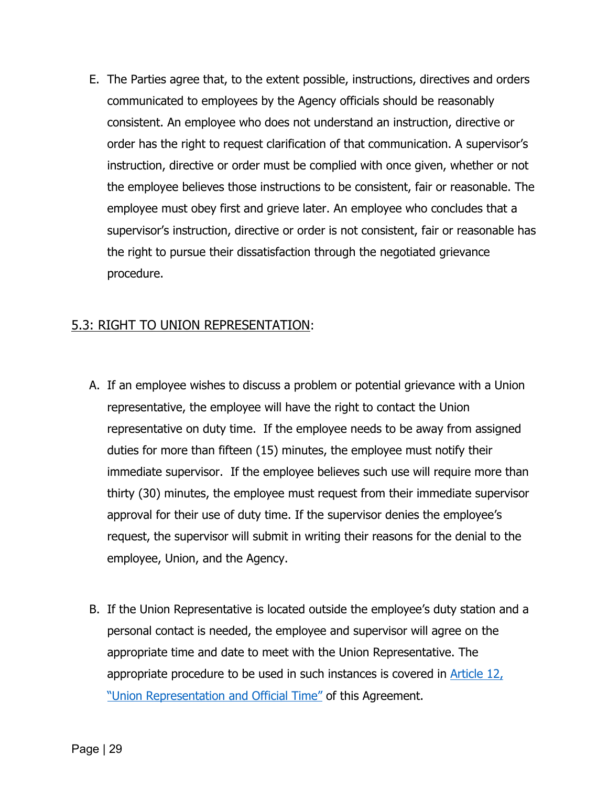E. The Parties agree that, to the extent possible, instructions, directives and orders communicated to employees by the Agency officials should be reasonably consistent. An employee who does not understand an instruction, directive or order has the right to request clarification of that communication. A supervisor's instruction, directive or order must be complied with once given, whether or not the employee believes those instructions to be consistent, fair or reasonable. The employee must obey first and grieve later. An employee who concludes that a supervisor's instruction, directive or order is not consistent, fair or reasonable has the right to pursue their dissatisfaction through the negotiated grievance procedure.

#### <span id="page-30-0"></span>5.3: RIGHT TO UNION REPRESENTATION:

- A. If an employee wishes to discuss a problem or potential grievance with a Union representative, the employee will have the right to contact the Union representative on duty time. If the employee needs to be away from assigned duties for more than fifteen (15) minutes, the employee must notify their immediate supervisor. If the employee believes such use will require more than thirty (30) minutes, the employee must request from their immediate supervisor approval for their use of duty time. If the supervisor denies the employee's request, the supervisor will submit in writing their reasons for the denial to the employee, Union, and the Agency.
- B. If the Union Representative is located outside the employee's duty station and a personal contact is needed, the employee and supervisor will agree on the appropriate time and date to meet with the Union Representative. The appropriate procedure to be used in such instances is covered in [Article 12,](#page-54-0)  ["Union Representation and Official Time"](#page-54-0) of this Agreement.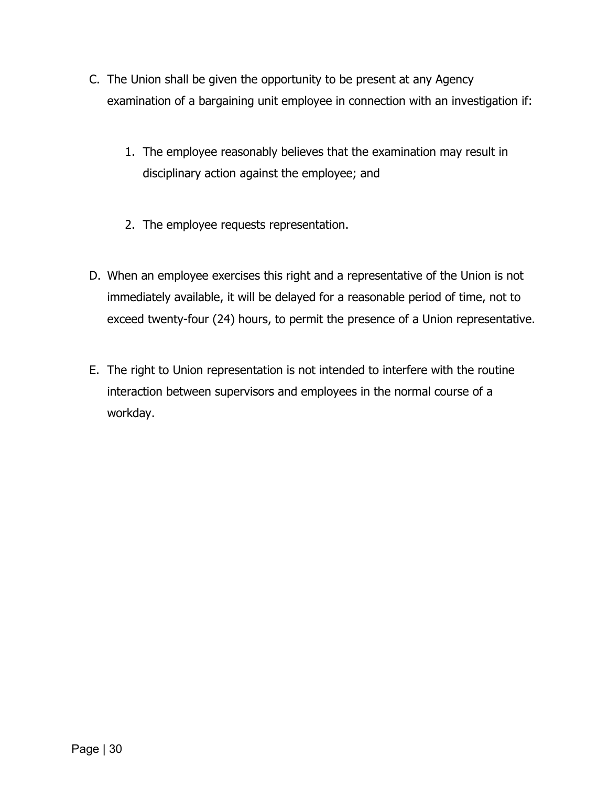- C. The Union shall be given the opportunity to be present at any Agency examination of a bargaining unit employee in connection with an investigation if:
	- 1. The employee reasonably believes that the examination may result in disciplinary action against the employee; and
	- 2. The employee requests representation.
- D. When an employee exercises this right and a representative of the Union is not immediately available, it will be delayed for a reasonable period of time, not to exceed twenty-four (24) hours, to permit the presence of a Union representative.
- E. The right to Union representation is not intended to interfere with the routine interaction between supervisors and employees in the normal course of a workday.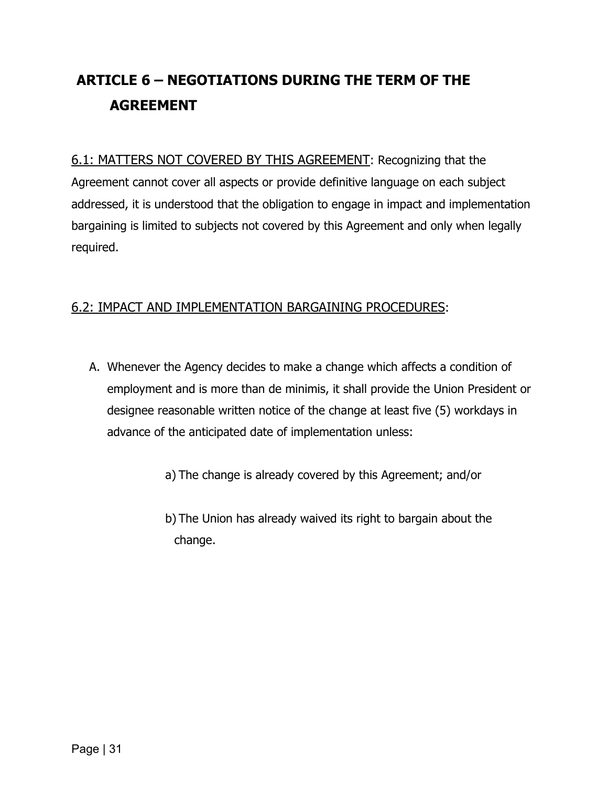## <span id="page-32-0"></span>**ARTICLE 6 – NEGOTIATIONS DURING THE TERM OF THE AGREEMENT**

<span id="page-32-1"></span>6.1: MATTERS NOT COVERED BY THIS AGREEMENT: Recognizing that the Agreement cannot cover all aspects or provide definitive language on each subject addressed, it is understood that the obligation to engage in impact and implementation bargaining is limited to subjects not covered by this Agreement and only when legally required.

## <span id="page-32-2"></span>6.2: IMPACT AND IMPLEMENTATION BARGAINING PROCEDURES:

- A. Whenever the Agency decides to make a change which affects a condition of employment and is more than de minimis, it shall provide the Union President or designee reasonable written notice of the change at least five (5) workdays in advance of the anticipated date of implementation unless:
	- a) The change is already covered by this Agreement; and/or
	- b) The Union has already waived its right to bargain about the change.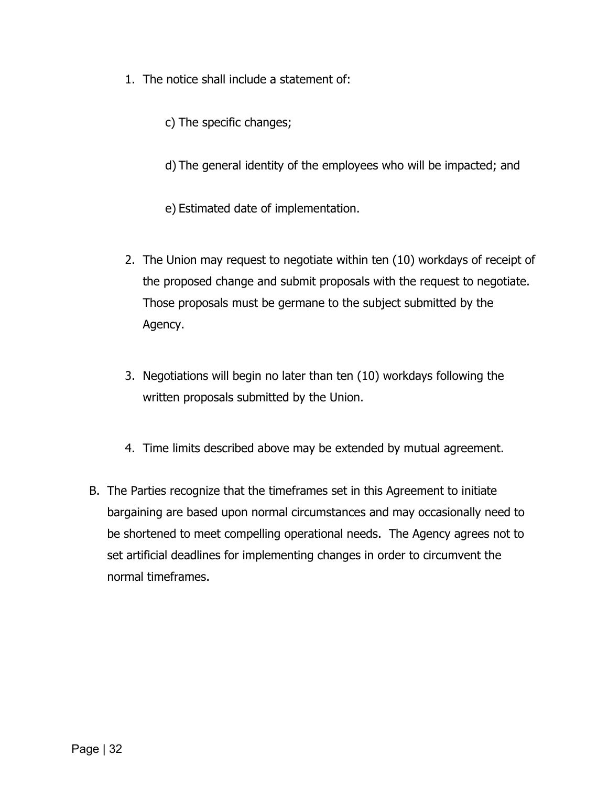- 1. The notice shall include a statement of:
	- c) The specific changes;
	- d) The general identity of the employees who will be impacted; and
	- e) Estimated date of implementation.
- 2. The Union may request to negotiate within ten (10) workdays of receipt of the proposed change and submit proposals with the request to negotiate. Those proposals must be germane to the subject submitted by the Agency.
- 3. Negotiations will begin no later than ten (10) workdays following the written proposals submitted by the Union.
- 4. Time limits described above may be extended by mutual agreement.
- B. The Parties recognize that the timeframes set in this Agreement to initiate bargaining are based upon normal circumstances and may occasionally need to be shortened to meet compelling operational needs. The Agency agrees not to set artificial deadlines for implementing changes in order to circumvent the normal timeframes.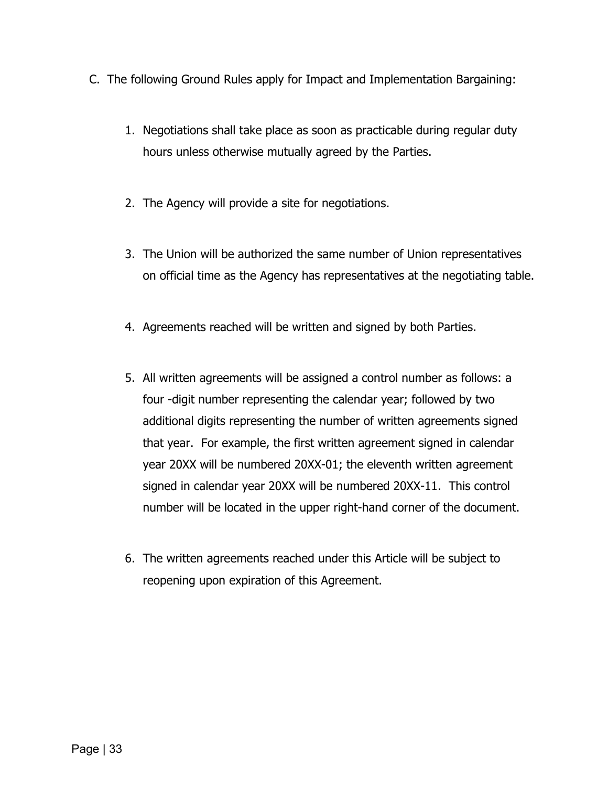- C. The following Ground Rules apply for Impact and Implementation Bargaining:
	- 1. Negotiations shall take place as soon as practicable during regular duty hours unless otherwise mutually agreed by the Parties.
	- 2. The Agency will provide a site for negotiations.
	- 3. The Union will be authorized the same number of Union representatives on official time as the Agency has representatives at the negotiating table.
	- 4. Agreements reached will be written and signed by both Parties.
	- 5. All written agreements will be assigned a control number as follows: a four -digit number representing the calendar year; followed by two additional digits representing the number of written agreements signed that year. For example, the first written agreement signed in calendar year 20XX will be numbered 20XX-01; the eleventh written agreement signed in calendar year 20XX will be numbered 20XX-11. This control number will be located in the upper right-hand corner of the document.
	- 6. The written agreements reached under this Article will be subject to reopening upon expiration of this Agreement.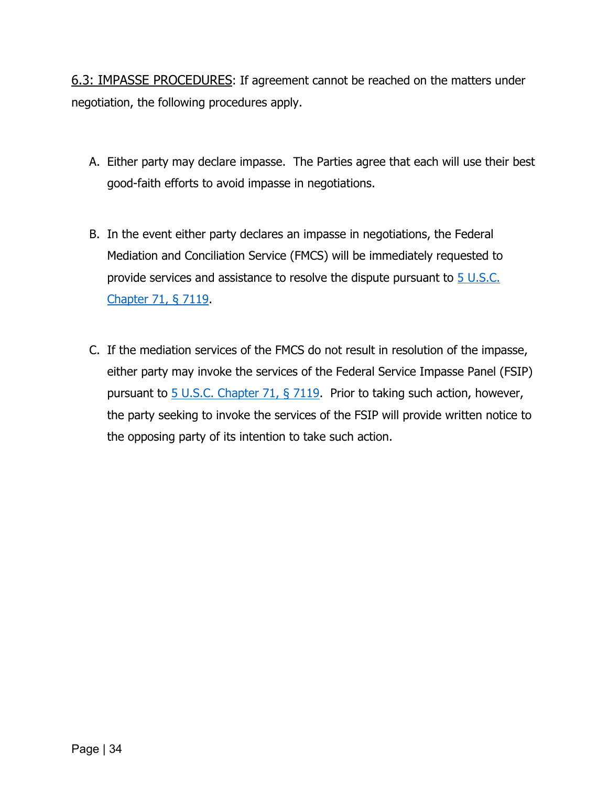<span id="page-35-0"></span>6.3: IMPASSE PROCEDURES: If agreement cannot be reached on the matters under negotiation, the following procedures apply.

- A. Either party may declare impasse. The Parties agree that each will use their best good-faith efforts to avoid impasse in negotiations.
- B. In the event either party declares an impasse in negotiations, the Federal Mediation and Conciliation Service (FMCS) will be immediately requested to provide services and assistance to resolve the dispute pursuant to 5 U.S.C. [Chapter 71, § 7119.](https://uscode.house.gov/view.xhtml?req=granuleid:USC-prelim-title5-section7119&num=0&edition=prelim)
- C. If the mediation services of the FMCS do not result in resolution of the impasse, either party may invoke the services of the Federal Service Impasse Panel (FSIP) pursuant to  $5$  U.S.C. Chapter 71,  $\S$  7119. Prior to taking such action, however, the party seeking to invoke the services of the FSIP will provide written notice to the opposing party of its intention to take such action.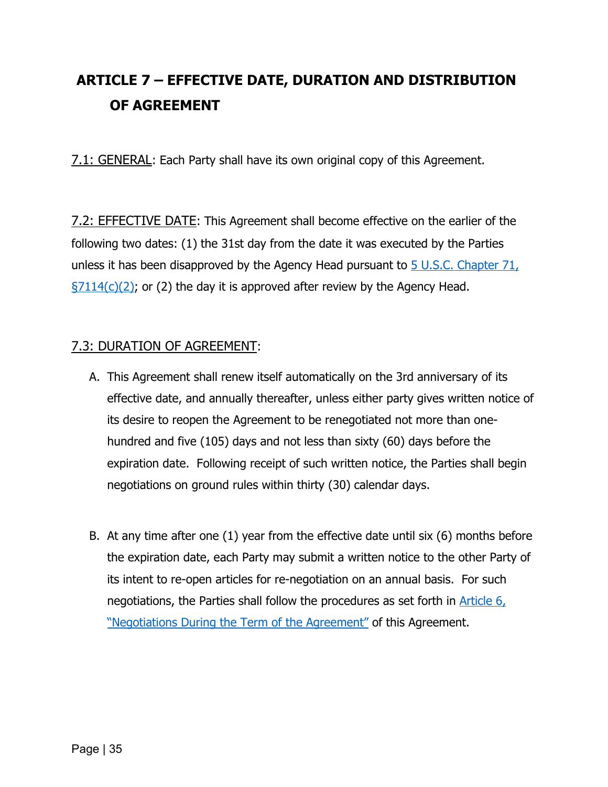# **ARTICLE 7 – EFFECTIVE DATE, DURATION AND DISTRIBUTION OF AGREEMENT**

7.1: GENERAL: Each Party shall have its own original copy of this Agreement.

7.2: EFFECTIVE DATE: This Agreement shall become effective on the earlier of the following two dates: (1) the 31st day from the date it was executed by the Parties unless it has been disapproved by the Agency Head pursuant to [5 U.S.C. Chapter 71,](https://uscode.house.gov/view.xhtml?req=granuleid:USC-prelim-title5-section7114&num=0&edition=prelim)  $\S7114(c)(2)$ ; or (2) the day it is approved after review by the Agency Head.

## 7.3: DURATION OF AGREEMENT:

- A. This Agreement shall renew itself automatically on the 3rd anniversary of its effective date, and annually thereafter, unless either party gives written notice of its desire to reopen the Agreement to be renegotiated not more than onehundred and five (105) days and not less than sixty (60) days before the expiration date. Following receipt of such written notice, the Parties shall begin negotiations on ground rules within thirty (30) calendar days.
- B. At any time after one (1) year from the effective date until six (6) months before the expiration date, each Party may submit a written notice to the other Party of its intent to re-open articles for re-negotiation on an annual basis. For such negotiations, the Parties shall follow the procedures as set forth in **Article 6**, ["Negotiations During the Term of the Agreement"](#page-32-0) of this Agreement.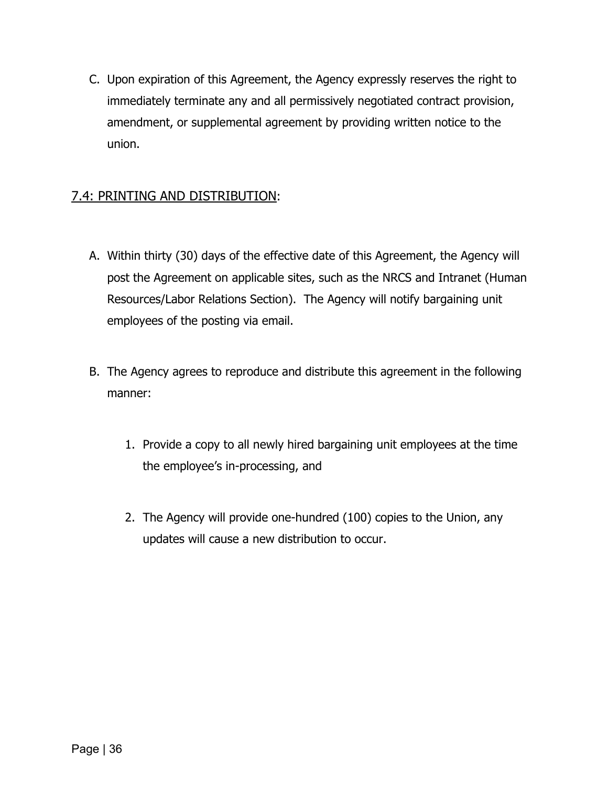C. Upon expiration of this Agreement, the Agency expressly reserves the right to immediately terminate any and all permissively negotiated contract provision, amendment, or supplemental agreement by providing written notice to the union.

## 7.4: PRINTING AND DISTRIBUTION:

- A. Within thirty (30) days of the effective date of this Agreement, the Agency will post the Agreement on applicable sites, such as the NRCS and Intranet (Human Resources/Labor Relations Section). The Agency will notify bargaining unit employees of the posting via email.
- B. The Agency agrees to reproduce and distribute this agreement in the following manner:
	- 1. Provide a copy to all newly hired bargaining unit employees at the time the employee's in-processing, and
	- 2. The Agency will provide one-hundred (100) copies to the Union, any updates will cause a new distribution to occur.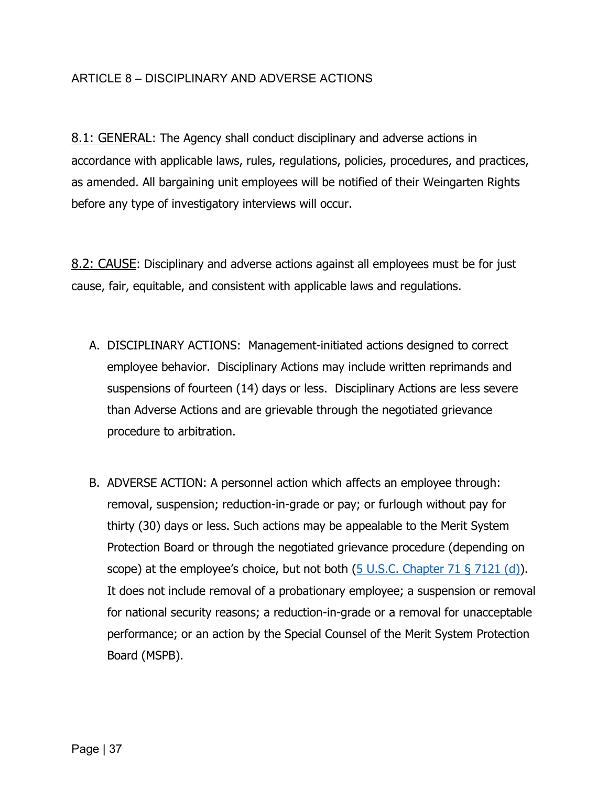#### ARTICLE 8 – DISCIPLINARY AND ADVERSE ACTIONS

8.1: GENERAL: The Agency shall conduct disciplinary and adverse actions in accordance with applicable laws, rules, regulations, policies, procedures, and practices, as amended. All bargaining unit employees will be notified of their Weingarten Rights before any type of investigatory interviews will occur.

8.2: CAUSE: Disciplinary and adverse actions against all employees must be for just cause, fair, equitable, and consistent with applicable laws and regulations.

- A. DISCIPLINARY ACTIONS: Management-initiated actions designed to correct employee behavior. Disciplinary Actions may include written reprimands and suspensions of fourteen (14) days or less. Disciplinary Actions are less severe than Adverse Actions and are grievable through the negotiated grievance procedure to arbitration.
- B. ADVERSE ACTION: A personnel action which affects an employee through: removal, suspension; reduction-in-grade or pay; or furlough without pay for thirty (30) days or less. Such actions may be appealable to the Merit System Protection Board or through the negotiated grievance procedure (depending on scope) at the employee's choice, but not both  $(5 \cup S.C.$  Chapter 71 § 7121 (d)). It does not include removal of a probationary employee; a suspension or removal for national security reasons; a reduction-in-grade or a removal for unacceptable performance; or an action by the Special Counsel of the Merit System Protection Board (MSPB).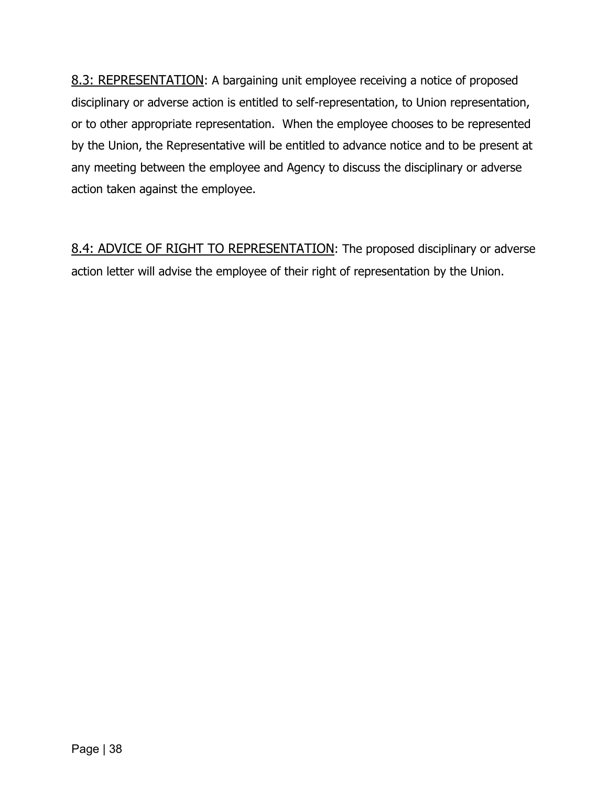8.3: REPRESENTATION: A bargaining unit employee receiving a notice of proposed disciplinary or adverse action is entitled to self-representation, to Union representation, or to other appropriate representation. When the employee chooses to be represented by the Union, the Representative will be entitled to advance notice and to be present at any meeting between the employee and Agency to discuss the disciplinary or adverse action taken against the employee.

<span id="page-39-0"></span>8.4: ADVICE OF RIGHT TO REPRESENTATION: The proposed disciplinary or adverse action letter will advise the employee of their right of representation by the Union.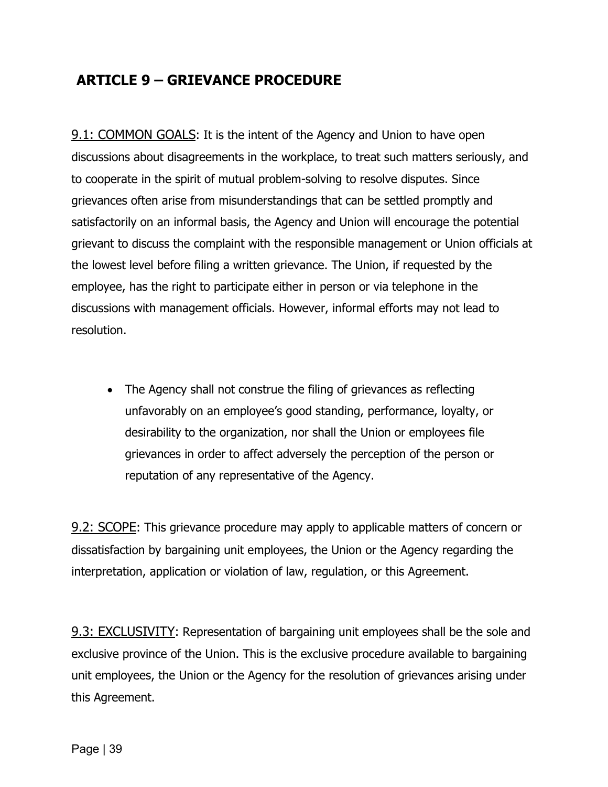# **ARTICLE 9 – GRIEVANCE PROCEDURE**

**9.1: COMMON GOALS:** It is the intent of the Agency and Union to have open discussions about disagreements in the workplace, to treat such matters seriously, and to cooperate in the spirit of mutual problem-solving to resolve disputes. Since grievances often arise from misunderstandings that can be settled promptly and satisfactorily on an informal basis, the Agency and Union will encourage the potential grievant to discuss the complaint with the responsible management or Union officials at the lowest level before filing a written grievance. The Union, if requested by the employee, has the right to participate either in person or via telephone in the discussions with management officials. However, informal efforts may not lead to resolution.

• The Agency shall not construe the filing of grievances as reflecting unfavorably on an employee's good standing, performance, loyalty, or desirability to the organization, nor shall the Union or employees file grievances in order to affect adversely the perception of the person or reputation of any representative of the Agency.

**9.2: SCOPE:** This grievance procedure may apply to applicable matters of concern or dissatisfaction by bargaining unit employees, the Union or the Agency regarding the interpretation, application or violation of law, regulation, or this Agreement.

9.3: EXCLUSIVITY: Representation of bargaining unit employees shall be the sole and exclusive province of the Union. This is the exclusive procedure available to bargaining unit employees, the Union or the Agency for the resolution of grievances arising under this Agreement.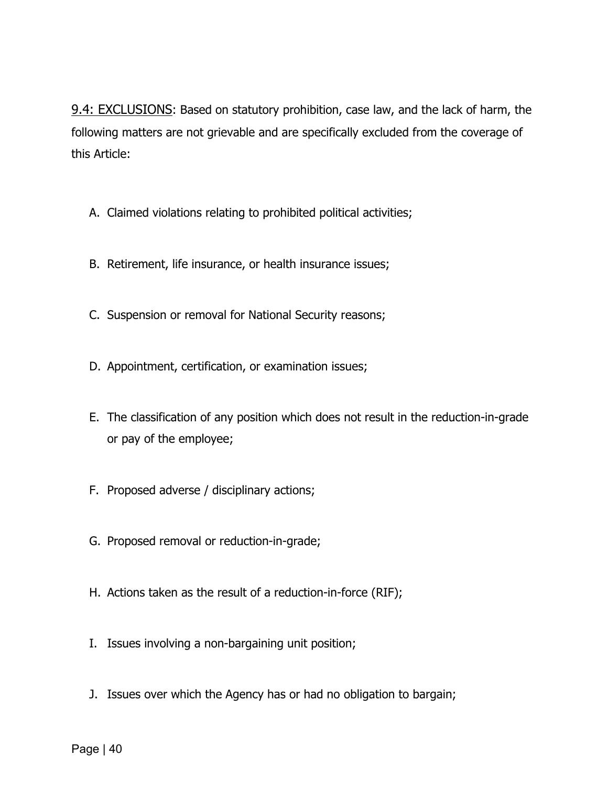9.4: EXCLUSIONS: Based on statutory prohibition, case law, and the lack of harm, the following matters are not grievable and are specifically excluded from the coverage of this Article:

- A. Claimed violations relating to prohibited political activities;
- B. Retirement, life insurance, or health insurance issues;
- C. Suspension or removal for National Security reasons;
- D. Appointment, certification, or examination issues;
- E. The classification of any position which does not result in the reduction-in-grade or pay of the employee;
- F. Proposed adverse / disciplinary actions;
- G. Proposed removal or reduction-in-grade;
- H. Actions taken as the result of a reduction-in-force (RIF);
- I. Issues involving a non-bargaining unit position;
- J. Issues over which the Agency has or had no obligation to bargain;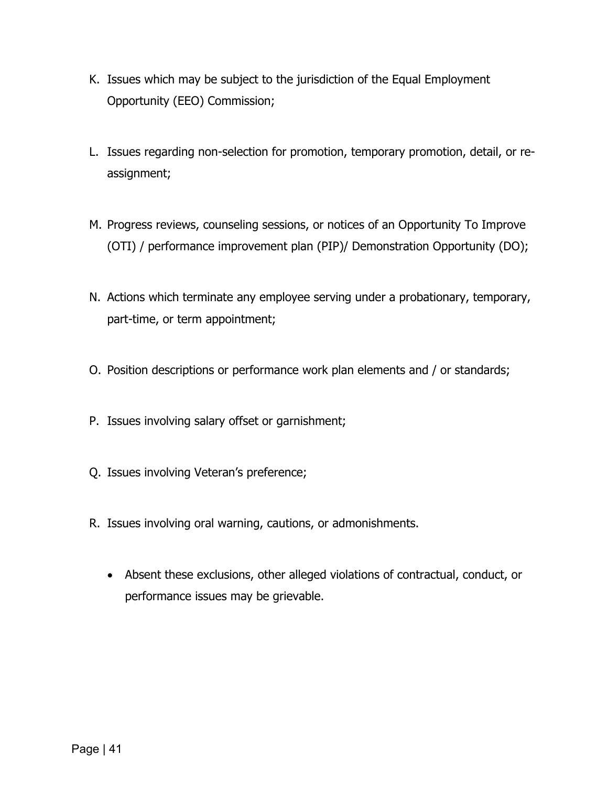- K. Issues which may be subject to the jurisdiction of the Equal Employment Opportunity (EEO) Commission;
- L. Issues regarding non-selection for promotion, temporary promotion, detail, or reassignment;
- M. Progress reviews, counseling sessions, or notices of an Opportunity To Improve (OTI) / performance improvement plan (PIP)/ Demonstration Opportunity (DO);
- N. Actions which terminate any employee serving under a probationary, temporary, part-time, or term appointment;
- O. Position descriptions or performance work plan elements and / or standards;
- P. Issues involving salary offset or garnishment;
- Q. Issues involving Veteran's preference;
- R. Issues involving oral warning, cautions, or admonishments.
	- Absent these exclusions, other alleged violations of contractual, conduct, or performance issues may be grievable.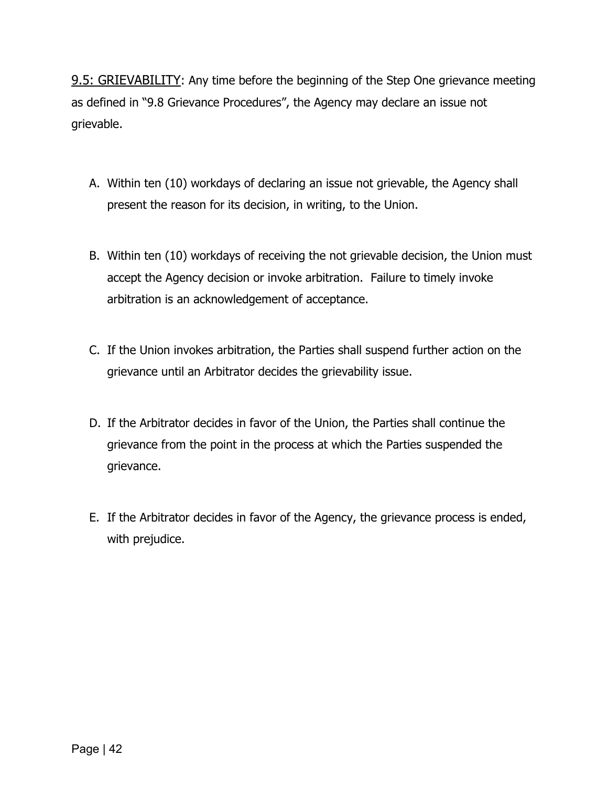9.5: GRIEVABILITY: Any time before the beginning of the Step One grievance meeting as defined in "9.8 Grievance Procedures", the Agency may declare an issue not grievable.

- A. Within ten (10) workdays of declaring an issue not grievable, the Agency shall present the reason for its decision, in writing, to the Union.
- B. Within ten (10) workdays of receiving the not grievable decision, the Union must accept the Agency decision or invoke arbitration. Failure to timely invoke arbitration is an acknowledgement of acceptance.
- C. If the Union invokes arbitration, the Parties shall suspend further action on the grievance until an Arbitrator decides the grievability issue.
- D. If the Arbitrator decides in favor of the Union, the Parties shall continue the grievance from the point in the process at which the Parties suspended the grievance.
- E. If the Arbitrator decides in favor of the Agency, the grievance process is ended, with prejudice.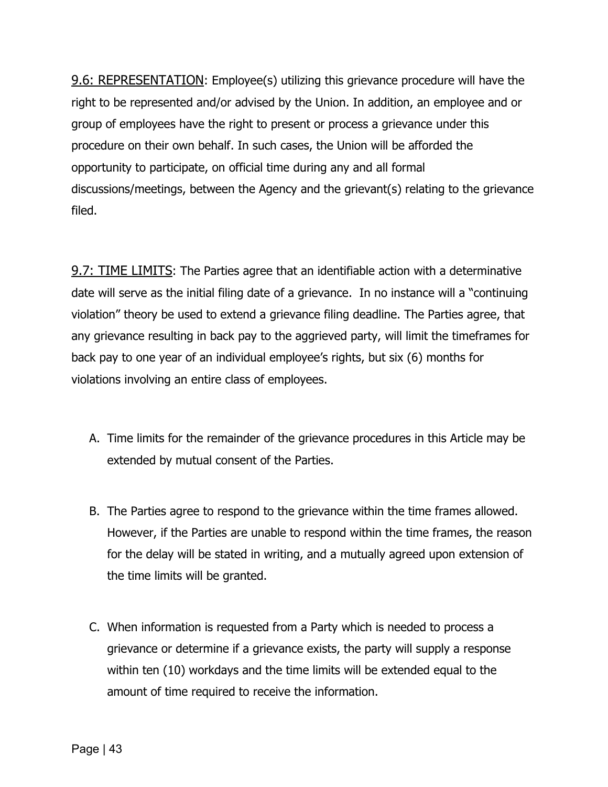9.6: REPRESENTATION: Employee(s) utilizing this grievance procedure will have the right to be represented and/or advised by the Union. In addition, an employee and or group of employees have the right to present or process a grievance under this procedure on their own behalf. In such cases, the Union will be afforded the opportunity to participate, on official time during any and all formal discussions/meetings, between the Agency and the grievant(s) relating to the grievance filed.

**9.7: TIME LIMITS:** The Parties agree that an identifiable action with a determinative date will serve as the initial filing date of a grievance. In no instance will a "continuing violation" theory be used to extend a grievance filing deadline. The Parties agree, that any grievance resulting in back pay to the aggrieved party, will limit the timeframes for back pay to one year of an individual employee's rights, but six (6) months for violations involving an entire class of employees.

- A. Time limits for the remainder of the grievance procedures in this Article may be extended by mutual consent of the Parties.
- B. The Parties agree to respond to the grievance within the time frames allowed. However, if the Parties are unable to respond within the time frames, the reason for the delay will be stated in writing, and a mutually agreed upon extension of the time limits will be granted.
- C. When information is requested from a Party which is needed to process a grievance or determine if a grievance exists, the party will supply a response within ten (10) workdays and the time limits will be extended equal to the amount of time required to receive the information.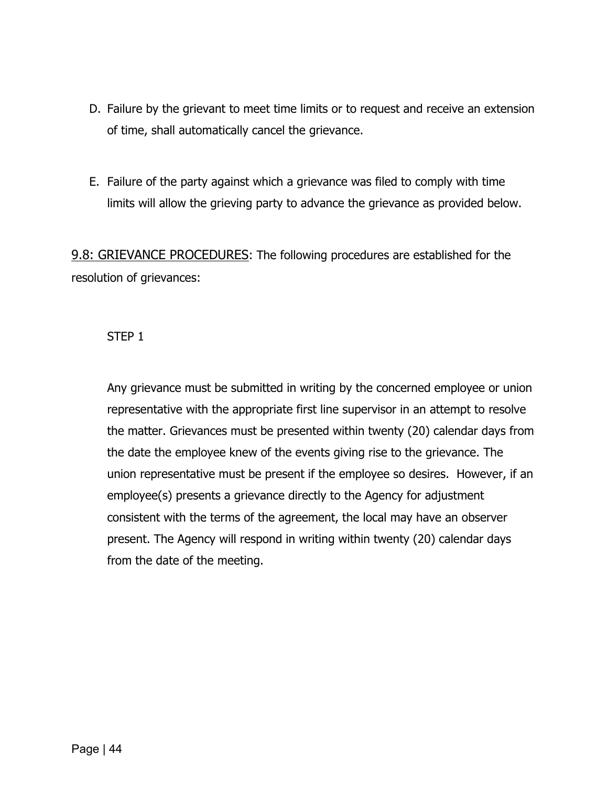- D. Failure by the grievant to meet time limits or to request and receive an extension of time, shall automatically cancel the grievance.
- E. Failure of the party against which a grievance was filed to comply with time limits will allow the grieving party to advance the grievance as provided below.

9.8: GRIEVANCE PROCEDURES: The following procedures are established for the resolution of grievances:

#### STEP 1

Any grievance must be submitted in writing by the concerned employee or union representative with the appropriate first line supervisor in an attempt to resolve the matter. Grievances must be presented within twenty (20) calendar days from the date the employee knew of the events giving rise to the grievance. The union representative must be present if the employee so desires. However, if an employee(s) presents a grievance directly to the Agency for adjustment consistent with the terms of the agreement, the local may have an observer present. The Agency will respond in writing within twenty (20) calendar days from the date of the meeting.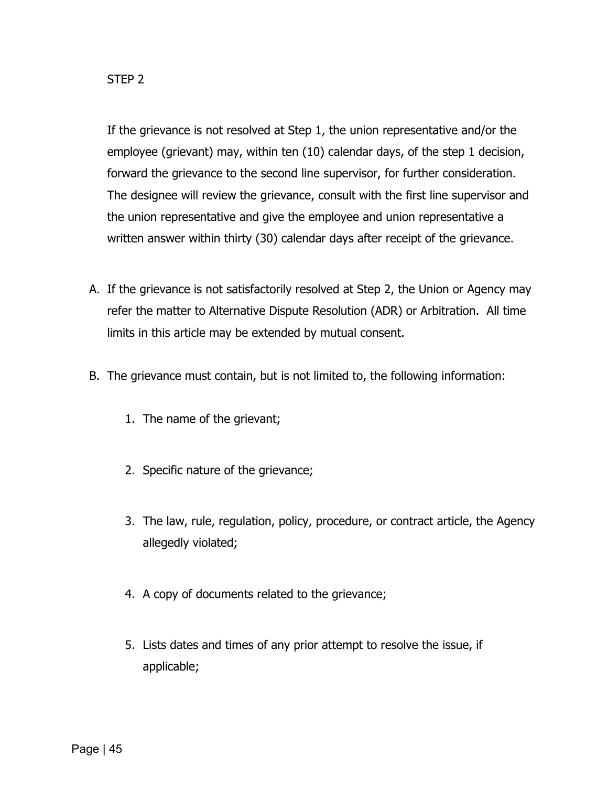If the grievance is not resolved at Step 1, the union representative and/or the employee (grievant) may, within ten (10) calendar days, of the step 1 decision, forward the grievance to the second line supervisor, for further consideration. The designee will review the grievance, consult with the first line supervisor and the union representative and give the employee and union representative a written answer within thirty (30) calendar days after receipt of the grievance.

- A. If the grievance is not satisfactorily resolved at Step 2, the Union or Agency may refer the matter to Alternative Dispute Resolution (ADR) or Arbitration. All time limits in this article may be extended by mutual consent.
- B. The grievance must contain, but is not limited to, the following information:
	- 1. The name of the grievant;
	- 2. Specific nature of the grievance;
	- 3. The law, rule, regulation, policy, procedure, or contract article, the Agency allegedly violated;
	- 4. A copy of documents related to the grievance;
	- 5. Lists dates and times of any prior attempt to resolve the issue, if applicable;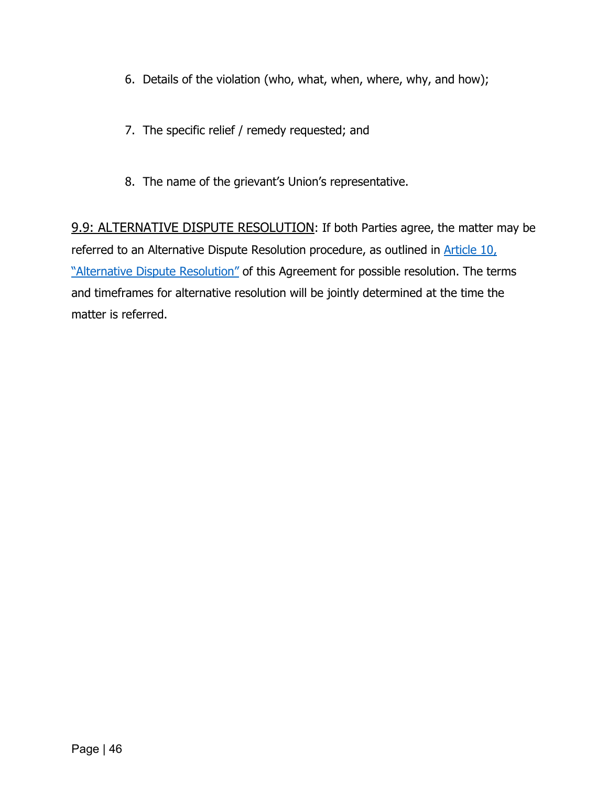- 6. Details of the violation (who, what, when, where, why, and how);
- 7. The specific relief / remedy requested; and
- 8. The name of the grievant's Union's representative.

9.9: ALTERNATIVE DISPUTE RESOLUTION: If both Parties agree, the matter may be referred to an Alternative Dispute Resolution procedure, as outlined in Article 10, ["Alternative Dispute Resolution"](#page-48-0) of this Agreement for possible resolution. The terms and timeframes for alternative resolution will be jointly determined at the time the matter is referred.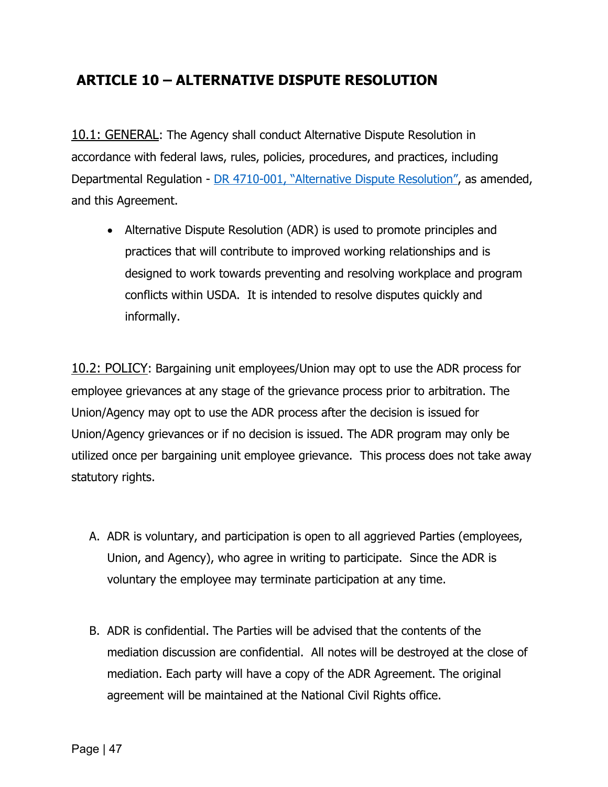# <span id="page-48-0"></span>**ARTICLE 10 – ALTERNATIVE DISPUTE RESOLUTION**

10.1: GENERAL: The Agency shall conduct Alternative Dispute Resolution in accordance with federal laws, rules, policies, procedures, and practices, including Departmental Regulation - [DR 4710-001, "Alternative Dispute Resolution",](https://www.ocio.usda.gov/sites/default/files/docs/2012/DR4710-001%5B1%5D.htm) as amended, and this Agreement.

• Alternative Dispute Resolution (ADR) is used to promote principles and practices that will contribute to improved working relationships and is designed to work towards preventing and resolving workplace and program conflicts within USDA. It is intended to resolve disputes quickly and informally.

10.2: POLICY: Bargaining unit employees/Union may opt to use the ADR process for employee grievances at any stage of the grievance process prior to arbitration. The Union/Agency may opt to use the ADR process after the decision is issued for Union/Agency grievances or if no decision is issued. The ADR program may only be utilized once per bargaining unit employee grievance. This process does not take away statutory rights.

- A. ADR is voluntary, and participation is open to all aggrieved Parties (employees, Union, and Agency), who agree in writing to participate. Since the ADR is voluntary the employee may terminate participation at any time.
- B. ADR is confidential. The Parties will be advised that the contents of the mediation discussion are confidential. All notes will be destroyed at the close of mediation. Each party will have a copy of the ADR Agreement. The original agreement will be maintained at the National Civil Rights office.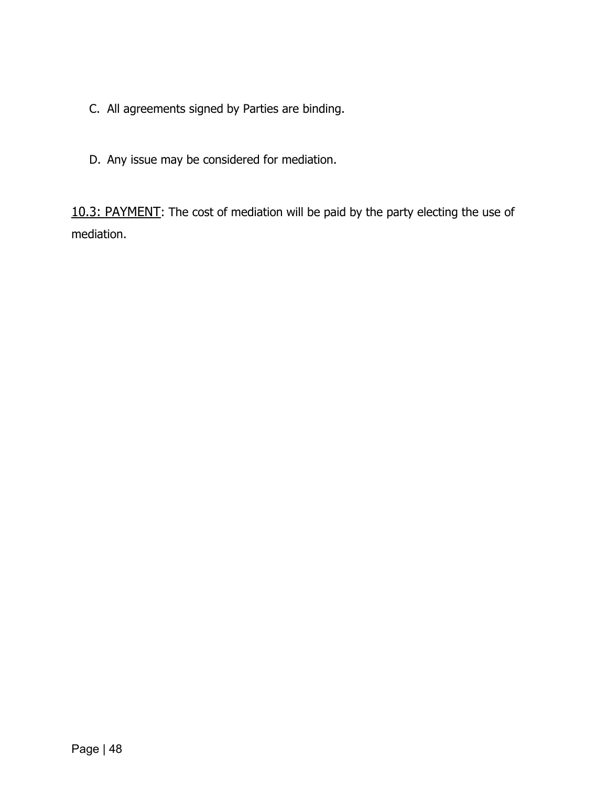- C. All agreements signed by Parties are binding.
- D. Any issue may be considered for mediation.

10.3: PAYMENT: The cost of mediation will be paid by the party electing the use of mediation.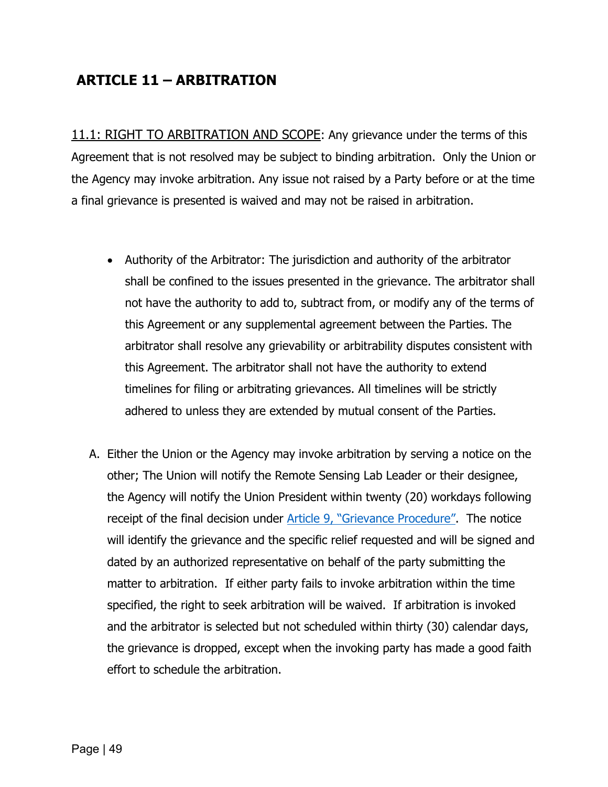# **ARTICLE 11 – ARBITRATION**

11.1: RIGHT TO ARBITRATION AND SCOPE: Any grievance under the terms of this Agreement that is not resolved may be subject to binding arbitration. Only the Union or the Agency may invoke arbitration. Any issue not raised by a Party before or at the time a final grievance is presented is waived and may not be raised in arbitration.

- Authority of the Arbitrator: The jurisdiction and authority of the arbitrator shall be confined to the issues presented in the grievance. The arbitrator shall not have the authority to add to, subtract from, or modify any of the terms of this Agreement or any supplemental agreement between the Parties. The arbitrator shall resolve any grievability or arbitrability disputes consistent with this Agreement. The arbitrator shall not have the authority to extend timelines for filing or arbitrating grievances. All timelines will be strictly adhered to unless they are extended by mutual consent of the Parties.
- A. Either the Union or the Agency may invoke arbitration by serving a notice on the other; The Union will notify the Remote Sensing Lab Leader or their designee, the Agency will notify the Union President within twenty (20) workdays following receipt of the final decision under [Article 9, "Grievance Procedure".](#page-39-0) The notice will identify the grievance and the specific relief requested and will be signed and dated by an authorized representative on behalf of the party submitting the matter to arbitration. If either party fails to invoke arbitration within the time specified, the right to seek arbitration will be waived. If arbitration is invoked and the arbitrator is selected but not scheduled within thirty (30) calendar days, the grievance is dropped, except when the invoking party has made a good faith effort to schedule the arbitration.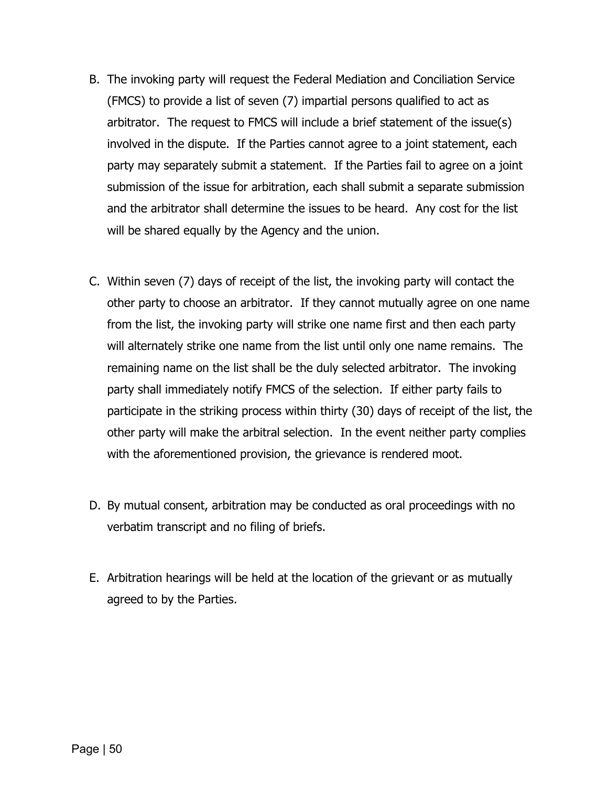- B. The invoking party will request the Federal Mediation and Conciliation Service (FMCS) to provide a list of seven (7) impartial persons qualified to act as arbitrator. The request to FMCS will include a brief statement of the issue(s) involved in the dispute. If the Parties cannot agree to a joint statement, each party may separately submit a statement. If the Parties fail to agree on a joint submission of the issue for arbitration, each shall submit a separate submission and the arbitrator shall determine the issues to be heard. Any cost for the list will be shared equally by the Agency and the union.
- C. Within seven (7) days of receipt of the list, the invoking party will contact the other party to choose an arbitrator. If they cannot mutually agree on one name from the list, the invoking party will strike one name first and then each party will alternately strike one name from the list until only one name remains. The remaining name on the list shall be the duly selected arbitrator. The invoking party shall immediately notify FMCS of the selection. If either party fails to participate in the striking process within thirty (30) days of receipt of the list, the other party will make the arbitral selection. In the event neither party complies with the aforementioned provision, the grievance is rendered moot.
- D. By mutual consent, arbitration may be conducted as oral proceedings with no verbatim transcript and no filing of briefs.
- E. Arbitration hearings will be held at the location of the grievant or as mutually agreed to by the Parties.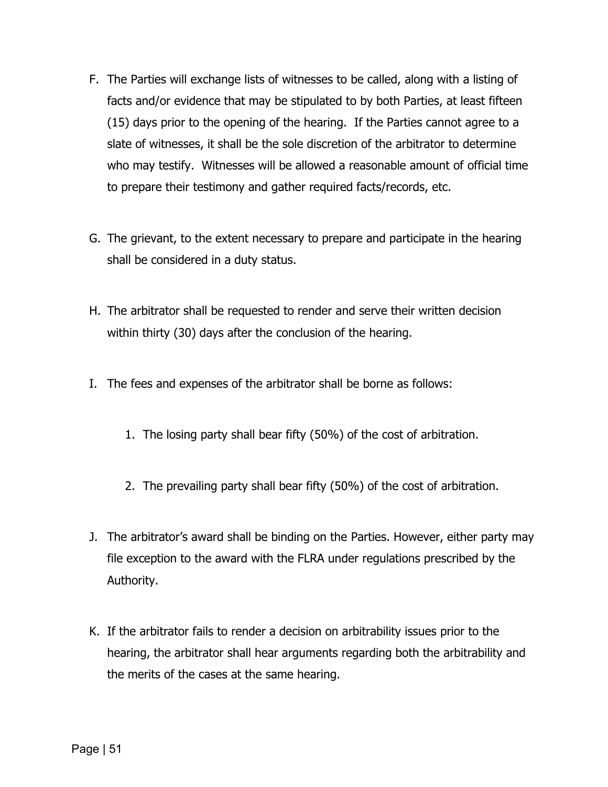- F. The Parties will exchange lists of witnesses to be called, along with a listing of facts and/or evidence that may be stipulated to by both Parties, at least fifteen (15) days prior to the opening of the hearing. If the Parties cannot agree to a slate of witnesses, it shall be the sole discretion of the arbitrator to determine who may testify. Witnesses will be allowed a reasonable amount of official time to prepare their testimony and gather required facts/records, etc.
- G. The grievant, to the extent necessary to prepare and participate in the hearing shall be considered in a duty status.
- H. The arbitrator shall be requested to render and serve their written decision within thirty (30) days after the conclusion of the hearing.
- I. The fees and expenses of the arbitrator shall be borne as follows:
	- 1. The losing party shall bear fifty (50%) of the cost of arbitration.
	- 2. The prevailing party shall bear fifty (50%) of the cost of arbitration.
- J. The arbitrator's award shall be binding on the Parties. However, either party may file exception to the award with the FLRA under regulations prescribed by the Authority.
- K. If the arbitrator fails to render a decision on arbitrability issues prior to the hearing, the arbitrator shall hear arguments regarding both the arbitrability and the merits of the cases at the same hearing.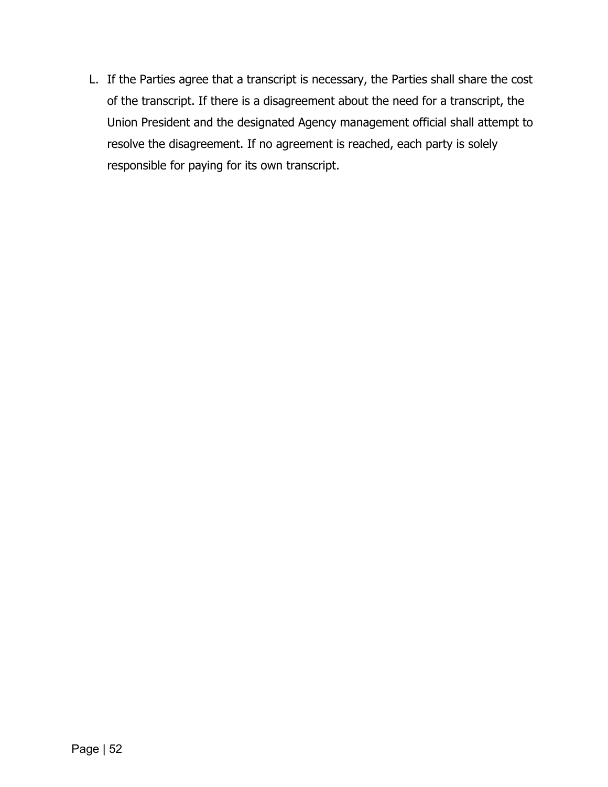L. If the Parties agree that a transcript is necessary, the Parties shall share the cost of the transcript. If there is a disagreement about the need for a transcript, the Union President and the designated Agency management official shall attempt to resolve the disagreement. If no agreement is reached, each party is solely responsible for paying for its own transcript.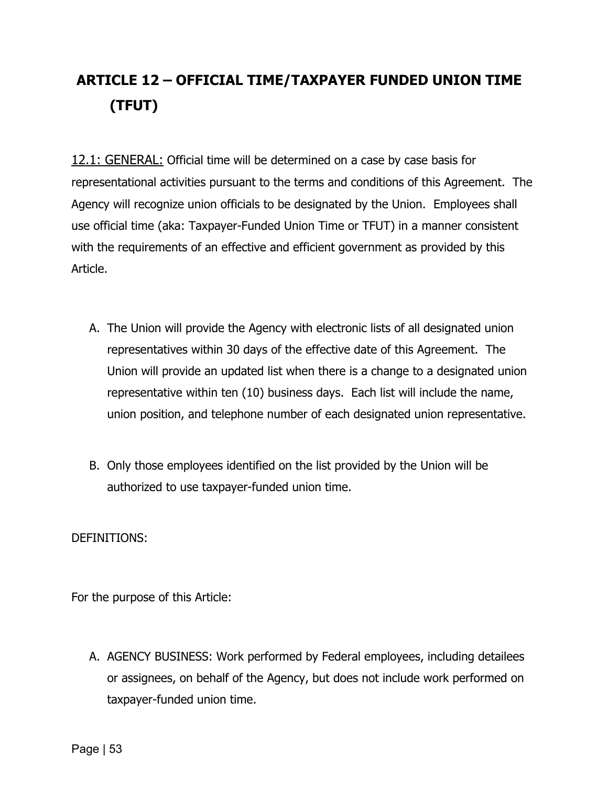# **ARTICLE 12 – OFFICIAL TIME/TAXPAYER FUNDED UNION TIME (TFUT)**

12.1: GENERAL: Official time will be determined on a case by case basis for representational activities pursuant to the terms and conditions of this Agreement. The Agency will recognize union officials to be designated by the Union. Employees shall use official time (aka: Taxpayer-Funded Union Time or TFUT) in a manner consistent with the requirements of an effective and efficient government as provided by this Article.

- A. The Union will provide the Agency with electronic lists of all designated union representatives within 30 days of the effective date of this Agreement. The Union will provide an updated list when there is a change to a designated union representative within ten (10) business days. Each list will include the name, union position, and telephone number of each designated union representative.
- B. Only those employees identified on the list provided by the Union will be authorized to use taxpayer-funded union time.

DEFINITIONS:

For the purpose of this Article:

A. AGENCY BUSINESS: Work performed by Federal employees, including detailees or assignees, on behalf of the Agency, but does not include work performed on taxpayer-funded union time.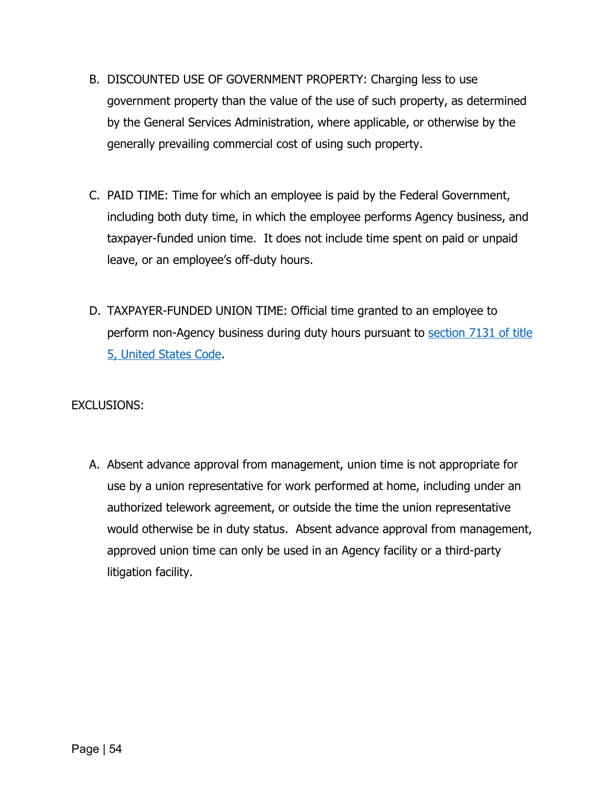- B. DISCOUNTED USE OF GOVERNMENT PROPERTY: Charging less to use government property than the value of the use of such property, as determined by the General Services Administration, where applicable, or otherwise by the generally prevailing commercial cost of using such property.
- C. PAID TIME: Time for which an employee is paid by the Federal Government, including both duty time, in which the employee performs Agency business, and taxpayer-funded union time. It does not include time spent on paid or unpaid leave, or an employee's off-duty hours.
- D. TAXPAYER-FUNDED UNION TIME: Official time granted to an employee to perform non-Agency business during duty hours pursuant to [section 7131 of title](https://uscode.house.gov/view.xhtml?req=granuleid:USC-prelim-title5-section7131&num=0&edition=prelim)  [5, United States Code.](https://uscode.house.gov/view.xhtml?req=granuleid:USC-prelim-title5-section7131&num=0&edition=prelim)

#### EXCLUSIONS:

A. Absent advance approval from management, union time is not appropriate for use by a union representative for work performed at home, including under an authorized telework agreement, or outside the time the union representative would otherwise be in duty status. Absent advance approval from management, approved union time can only be used in an Agency facility or a third-party litigation facility.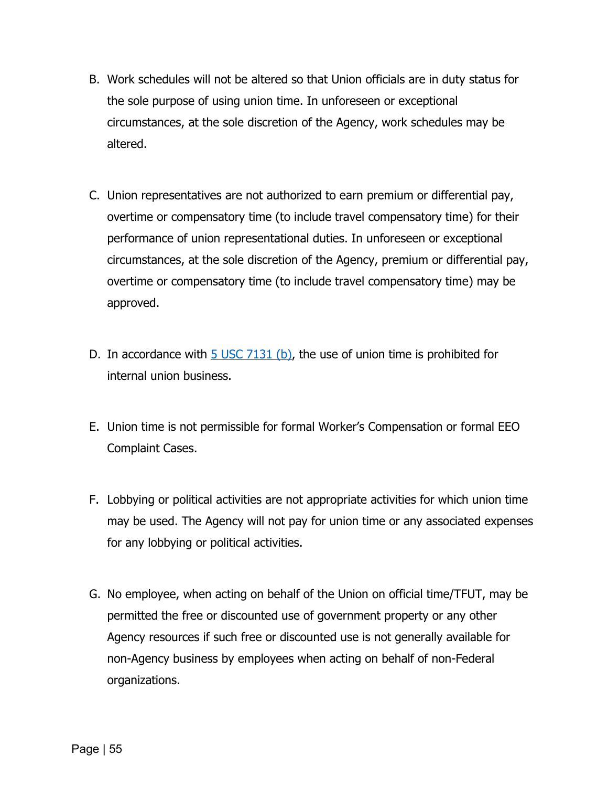- B. Work schedules will not be altered so that Union officials are in duty status for the sole purpose of using union time. In unforeseen or exceptional circumstances, at the sole discretion of the Agency, work schedules may be altered.
- C. Union representatives are not authorized to earn premium or differential pay, overtime or compensatory time (to include travel compensatory time) for their performance of union representational duties. In unforeseen or exceptional circumstances, at the sole discretion of the Agency, premium or differential pay, overtime or compensatory time (to include travel compensatory time) may be approved.
- D. In accordance with  $5 \text{ USC } 7131$  (b), the use of union time is prohibited for internal union business.
- E. Union time is not permissible for formal Worker's Compensation or formal EEO Complaint Cases.
- F. Lobbying or political activities are not appropriate activities for which union time may be used. The Agency will not pay for union time or any associated expenses for any lobbying or political activities.
- G. No employee, when acting on behalf of the Union on official time/TFUT, may be permitted the free or discounted use of government property or any other Agency resources if such free or discounted use is not generally available for non-Agency business by employees when acting on behalf of non-Federal organizations.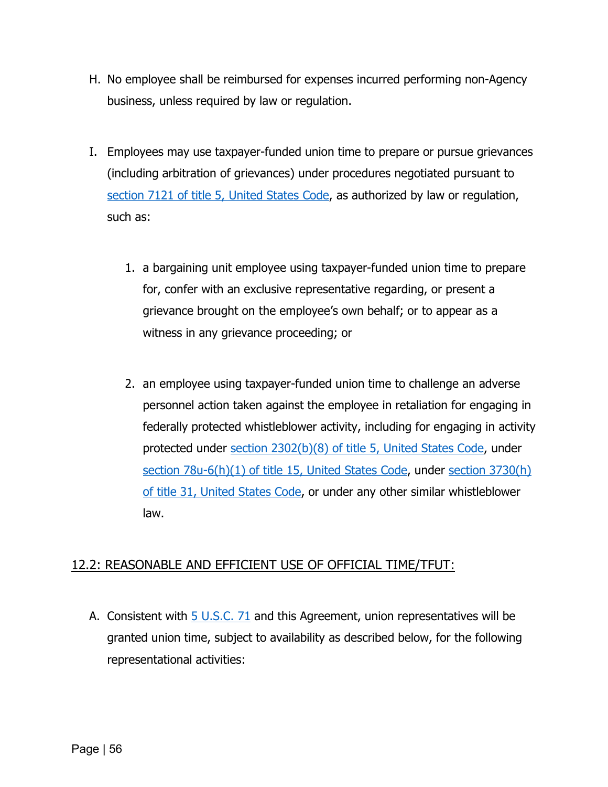- H. No employee shall be reimbursed for expenses incurred performing non-Agency business, unless required by law or regulation.
- I. Employees may use taxpayer-funded union time to prepare or pursue grievances (including arbitration of grievances) under procedures negotiated pursuant to [section 7121 of title 5, United States Code,](https://uscode.house.gov/view.xhtml?req=granuleid:USC-prelim-title5-section7121&num=0&edition=prelim) as authorized by law or regulation, such as:
	- 1. a bargaining unit employee using taxpayer-funded union time to prepare for, confer with an exclusive representative regarding, or present a grievance brought on the employee's own behalf; or to appear as a witness in any grievance proceeding; or
	- 2. an employee using taxpayer-funded union time to challenge an adverse personnel action taken against the employee in retaliation for engaging in federally protected whistleblower activity, including for engaging in activity protected under [section 2302\(b\)\(8\) of title 5, United States Code,](https://uscode.house.gov/view.xhtml?req=29&f=treesort&num=125) under section 78u-6(h)(1) [of title 15, United States Code,](https://uscode.house.gov/view.xhtml?hl=false&edition=prelim&req=granuleid%3AUSC-prelim-title15-section78u-6&num=0&saved=%7CKHRpdGxlOjE1IHNlY3Rpb246Nzh1LTEgZWRpdGlvbjpwcmVsaW0p%7C%7C%7C0%7Cfalse%7Cprelim) under section 3730(h) [of title 31, United States Code,](https://www.govinfo.gov/content/pkg/USCODE-2011-title31/pdf/USCODE-2011-title31-subtitleIII-chap37-subchapIII-sec3730.pdf) or under any other similar whistleblower law.

## 12.2: REASONABLE AND EFFICIENT USE OF OFFICIAL TIME/TFUT:

A. Consistent with  $5 \text{ U.S.C. } 71$  and this Agreement, union representatives will be granted union time, subject to availability as described below, for the following representational activities: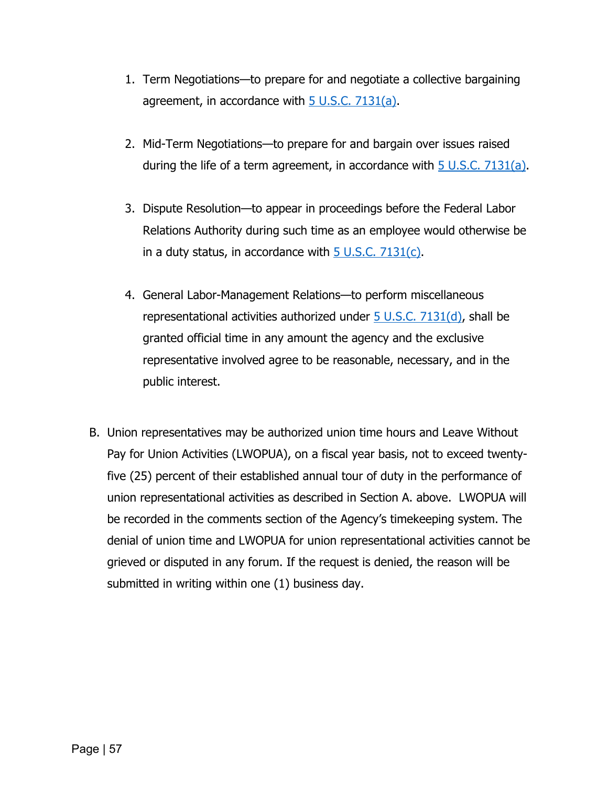- 1. Term Negotiations—to prepare for and negotiate a collective bargaining agreement, in accordance with  $\frac{5 \text{ U.S.C. } 7131(a)}{2}$ .
- 2. Mid-Term Negotiations—to prepare for and bargain over issues raised during the life of a term agreement, in accordance with  $\frac{5 \text{ U.S.C. } 7131(a)}{2}$ .
- 3. Dispute Resolution—to appear in proceedings before the Federal Labor Relations Authority during such time as an employee would otherwise be in a duty status, in accordance with  $5 \text{ U.S.C. } 7131(c)$ .
- 4. General Labor-Management Relations—to perform miscellaneous representational activities authorized under  $5 \cup S.C. 7131(d)$ , shall be granted official time in any amount the agency and the exclusive representative involved agree to be reasonable, necessary, and in the public interest.
- B. Union representatives may be authorized union time hours and Leave Without Pay for Union Activities (LWOPUA), on a fiscal year basis, not to exceed twentyfive (25) percent of their established annual tour of duty in the performance of union representational activities as described in Section A. above. LWOPUA will be recorded in the comments section of the Agency's timekeeping system. The denial of union time and LWOPUA for union representational activities cannot be grieved or disputed in any forum. If the request is denied, the reason will be submitted in writing within one (1) business day.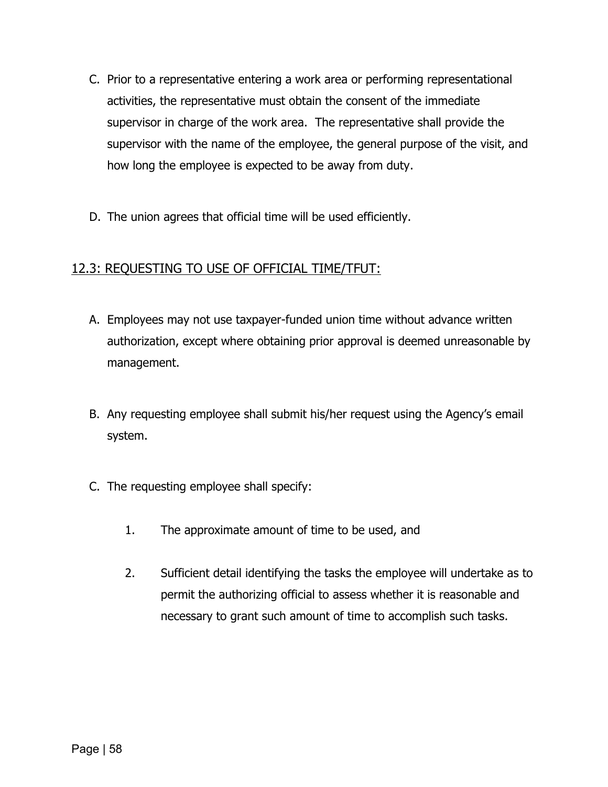- C. Prior to a representative entering a work area or performing representational activities, the representative must obtain the consent of the immediate supervisor in charge of the work area. The representative shall provide the supervisor with the name of the employee, the general purpose of the visit, and how long the employee is expected to be away from duty.
- D. The union agrees that official time will be used efficiently.

## 12.3: REQUESTING TO USE OF OFFICIAL TIME/TFUT:

- A. Employees may not use taxpayer-funded union time without advance written authorization, except where obtaining prior approval is deemed unreasonable by management.
- B. Any requesting employee shall submit his/her request using the Agency's email system.
- C. The requesting employee shall specify:
	- 1. The approximate amount of time to be used, and
	- 2. Sufficient detail identifying the tasks the employee will undertake as to permit the authorizing official to assess whether it is reasonable and necessary to grant such amount of time to accomplish such tasks.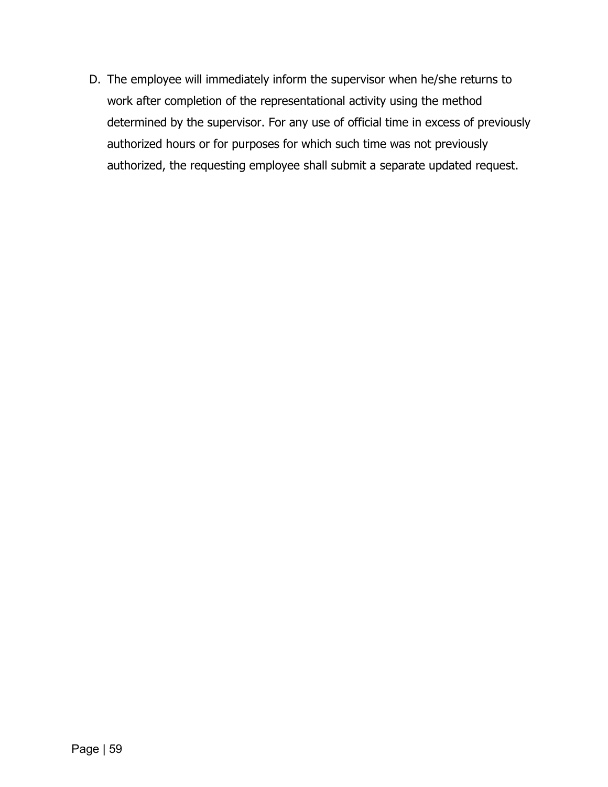D. The employee will immediately inform the supervisor when he/she returns to work after completion of the representational activity using the method determined by the supervisor. For any use of official time in excess of previously authorized hours or for purposes for which such time was not previously authorized, the requesting employee shall submit a separate updated request.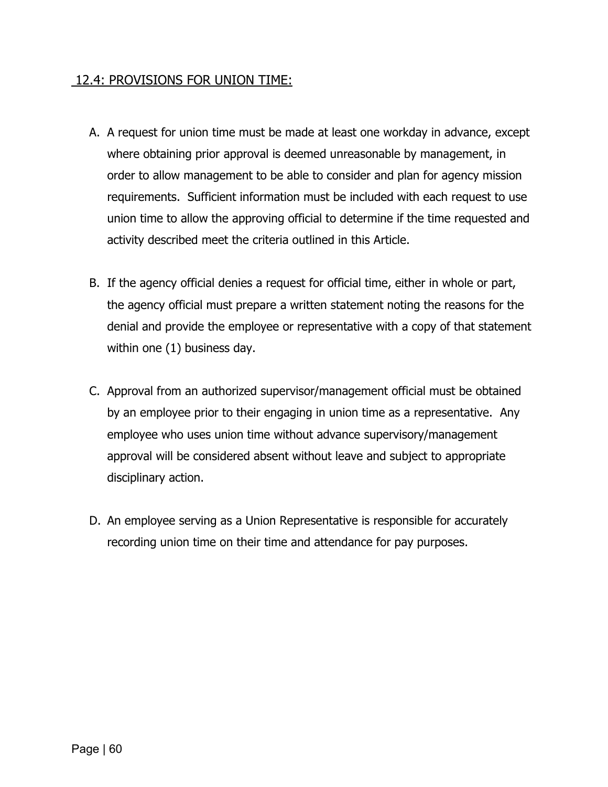#### 12.4: PROVISIONS FOR UNION TIME:

- A. A request for union time must be made at least one workday in advance, except where obtaining prior approval is deemed unreasonable by management, in order to allow management to be able to consider and plan for agency mission requirements. Sufficient information must be included with each request to use union time to allow the approving official to determine if the time requested and activity described meet the criteria outlined in this Article.
- B. If the agency official denies a request for official time, either in whole or part, the agency official must prepare a written statement noting the reasons for the denial and provide the employee or representative with a copy of that statement within one (1) business day.
- C. Approval from an authorized supervisor/management official must be obtained by an employee prior to their engaging in union time as a representative. Any employee who uses union time without advance supervisory/management approval will be considered absent without leave and subject to appropriate disciplinary action.
- D. An employee serving as a Union Representative is responsible for accurately recording union time on their time and attendance for pay purposes.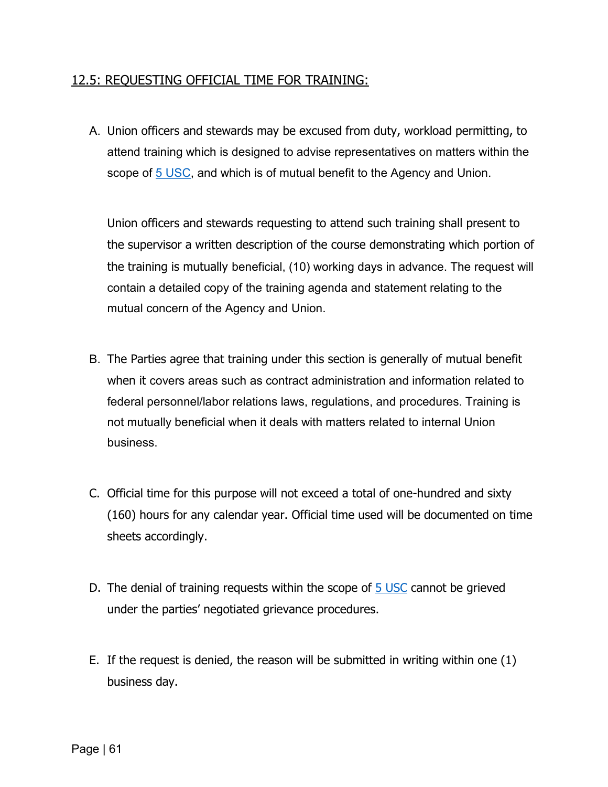#### 12.5: REQUESTING OFFICIAL TIME FOR TRAINING:

A. Union officers and stewards may be excused from duty, workload permitting, to attend training which is designed to advise representatives on matters within the scope of [5 USC,](https://uscode.house.gov/view.xhtml?req=granuleid%3AUSC-prelim-title5&saved=%7CZ3JhbnVsZWlkOlVTQy1wcmVsaW0tdGl0bGU1LXNlY3Rpb243MTMx%7C%7C%7C0%7Cfalse%7Cprelim&edition=prelim) and which is of mutual benefit to the Agency and Union.

Union officers and stewards requesting to attend such training shall present to the supervisor a written description of the course demonstrating which portion of the training is mutually beneficial, (10) working days in advance. The request will contain a detailed copy of the training agenda and statement relating to the mutual concern of the Agency and Union.

- B. The Parties agree that training under this section is generally of mutual benefit when it covers areas such as contract administration and information related to federal personnel/labor relations laws, regulations, and procedures. Training is not mutually beneficial when it deals with matters related to internal Union business.
- C. Official time for this purpose will not exceed a total of one-hundred and sixty (160) hours for any calendar year. Official time used will be documented on time sheets accordingly.
- D. The denial of training requests within the scope of [5 USC](https://uscode.house.gov/view.xhtml?req=granuleid%3AUSC-prelim-title5&saved=%7CZ3JhbnVsZWlkOlVTQy1wcmVsaW0tdGl0bGU1LXNlY3Rpb243MTMx%7C%7C%7C0%7Cfalse%7Cprelim&edition=prelim) cannot be grieved under the parties' negotiated grievance procedures.
- E. If the request is denied, the reason will be submitted in writing within one (1) business day.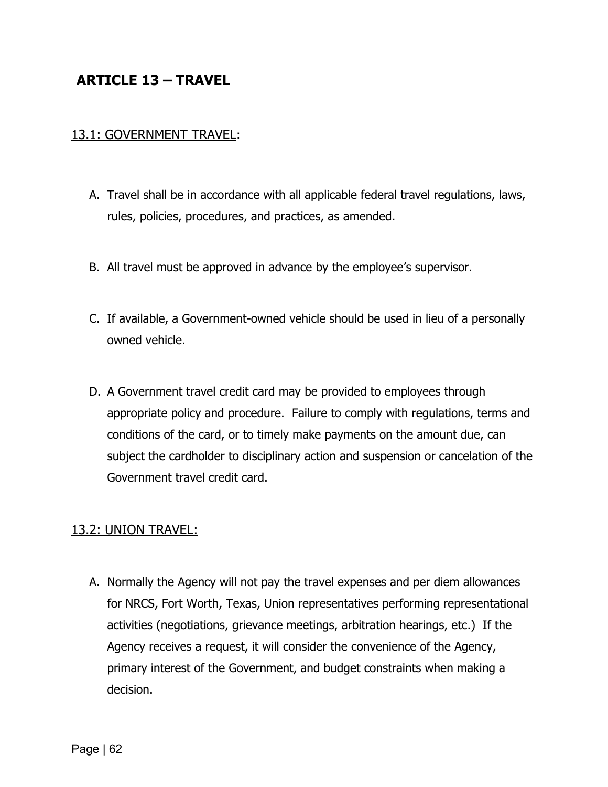# **ARTICLE 13 – TRAVEL**

#### 13.1: GOVERNMENT TRAVEL:

- A. Travel shall be in accordance with all applicable federal travel regulations, laws, rules, policies, procedures, and practices, as amended.
- B. All travel must be approved in advance by the employee's supervisor.
- C. If available, a Government-owned vehicle should be used in lieu of a personally owned vehicle.
- D. A Government travel credit card may be provided to employees through appropriate policy and procedure. Failure to comply with regulations, terms and conditions of the card, or to timely make payments on the amount due, can subject the cardholder to disciplinary action and suspension or cancelation of the Government travel credit card.

#### 13.2: UNION TRAVEL:

A. Normally the Agency will not pay the travel expenses and per diem allowances for NRCS, Fort Worth, Texas, Union representatives performing representational activities (negotiations, grievance meetings, arbitration hearings, etc.) If the Agency receives a request, it will consider the convenience of the Agency, primary interest of the Government, and budget constraints when making a decision.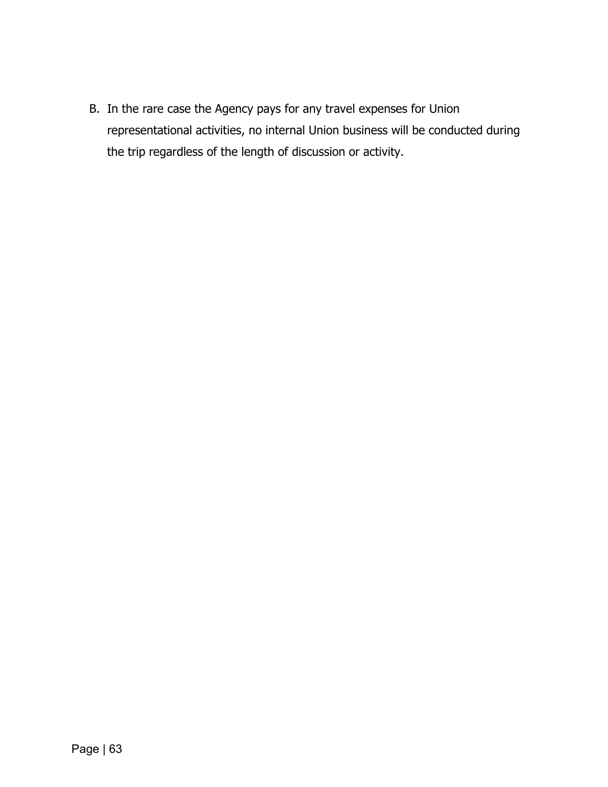B. In the rare case the Agency pays for any travel expenses for Union representational activities, no internal Union business will be conducted during the trip regardless of the length of discussion or activity.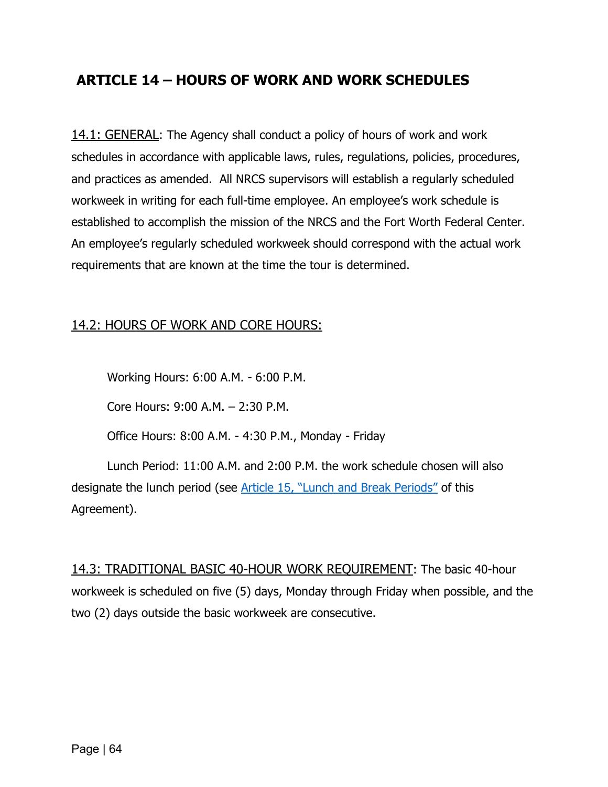# **ARTICLE 14 – HOURS OF WORK AND WORK SCHEDULES**

14.1: GENERAL: The Agency shall conduct a policy of hours of work and work schedules in accordance with applicable laws, rules, regulations, policies, procedures, and practices as amended. All NRCS supervisors will establish a regularly scheduled workweek in writing for each full-time employee. An employee's work schedule is established to accomplish the mission of the NRCS and the Fort Worth Federal Center. An employee's regularly scheduled workweek should correspond with the actual work requirements that are known at the time the tour is determined.

#### 14.2: HOURS OF WORK AND CORE HOURS:

Working Hours: 6:00 A.M. - 6:00 P.M.

Core Hours: 9:00 A.M. – 2:30 P.M.

Office Hours: 8:00 A.M. - 4:30 P.M., Monday - Friday

Lunch Period: 11:00 A.M. and 2:00 P.M. the work schedule chosen will also designate the lunch period (see Article 15, ["Lunch and Break Periods"](#page-75-0) of this Agreement).

14.3: TRADITIONAL BASIC 40-HOUR WORK REQUIREMENT: The basic 40-hour workweek is scheduled on five (5) days, Monday through Friday when possible, and the two (2) days outside the basic workweek are consecutive.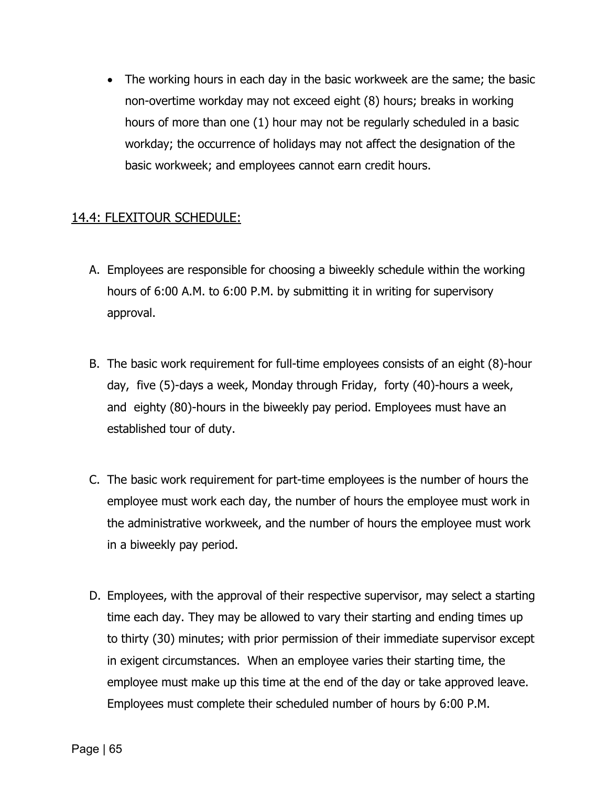• The working hours in each day in the basic workweek are the same; the basic non-overtime workday may not exceed eight (8) hours; breaks in working hours of more than one (1) hour may not be regularly scheduled in a basic workday; the occurrence of holidays may not affect the designation of the basic workweek; and employees cannot earn credit hours.

## 14.4: FLEXITOUR SCHEDULE:

- A. Employees are responsible for choosing a biweekly schedule within the working hours of 6:00 A.M. to 6:00 P.M. by submitting it in writing for supervisory approval.
- B. The basic work requirement for full-time employees consists of an eight (8)-hour day, five (5)-days a week, Monday through Friday, forty (40)-hours a week, and eighty (80)-hours in the biweekly pay period. Employees must have an established tour of duty.
- C. The basic work requirement for part-time employees is the number of hours the employee must work each day, the number of hours the employee must work in the administrative workweek, and the number of hours the employee must work in a biweekly pay period.
- D. Employees, with the approval of their respective supervisor, may select a starting time each day. They may be allowed to vary their starting and ending times up to thirty (30) minutes; with prior permission of their immediate supervisor except in exigent circumstances. When an employee varies their starting time, the employee must make up this time at the end of the day or take approved leave. Employees must complete their scheduled number of hours by 6:00 P.M.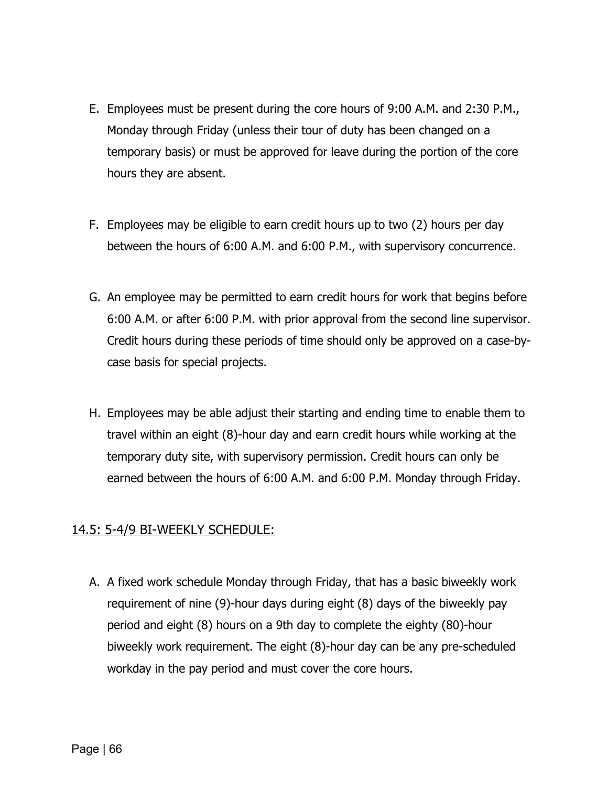- E. Employees must be present during the core hours of 9:00 A.M. and 2:30 P.M., Monday through Friday (unless their tour of duty has been changed on a temporary basis) or must be approved for leave during the portion of the core hours they are absent.
- F. Employees may be eligible to earn credit hours up to two (2) hours per day between the hours of 6:00 A.M. and 6:00 P.M., with supervisory concurrence.
- G. An employee may be permitted to earn credit hours for work that begins before 6:00 A.M. or after 6:00 P.M. with prior approval from the second line supervisor. Credit hours during these periods of time should only be approved on a case-bycase basis for special projects.
- H. Employees may be able adjust their starting and ending time to enable them to travel within an eight (8)-hour day and earn credit hours while working at the temporary duty site, with supervisory permission. Credit hours can only be earned between the hours of 6:00 A.M. and 6:00 P.M. Monday through Friday.

### 14.5: 5-4/9 BI-WEEKLY SCHEDULE:

A. A fixed work schedule Monday through Friday, that has a basic biweekly work requirement of nine (9)-hour days during eight (8) days of the biweekly pay period and eight (8) hours on a 9th day to complete the eighty (80)-hour biweekly work requirement. The eight (8)-hour day can be any pre-scheduled workday in the pay period and must cover the core hours.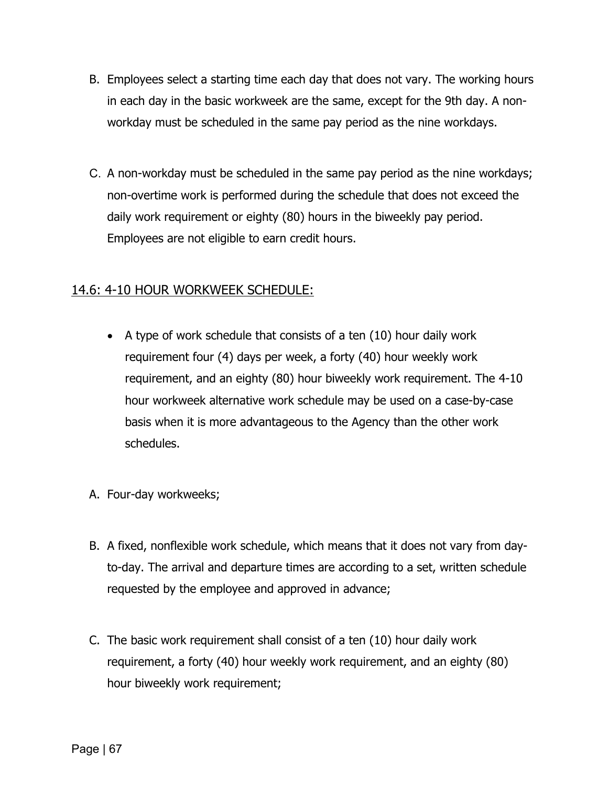- B. Employees select a starting time each day that does not vary. The working hours in each day in the basic workweek are the same, except for the 9th day. A nonworkday must be scheduled in the same pay period as the nine workdays.
- C. A non-workday must be scheduled in the same pay period as the nine workdays; non-overtime work is performed during the schedule that does not exceed the daily work requirement or eighty (80) hours in the biweekly pay period. Employees are not eligible to earn credit hours.

### 14.6: 4-10 HOUR WORKWEEK SCHEDULE:

- A type of work schedule that consists of a ten (10) hour daily work requirement four (4) days per week, a forty (40) hour weekly work requirement, and an eighty (80) hour biweekly work requirement. The 4-10 hour workweek alternative work schedule may be used on a case-by-case basis when it is more advantageous to the Agency than the other work schedules.
- A. Four-day workweeks;
- B. A fixed, nonflexible work schedule, which means that it does not vary from dayto-day. The arrival and departure times are according to a set, written schedule requested by the employee and approved in advance;
- C. The basic work requirement shall consist of a ten (10) hour daily work requirement, a forty (40) hour weekly work requirement, and an eighty (80) hour biweekly work requirement;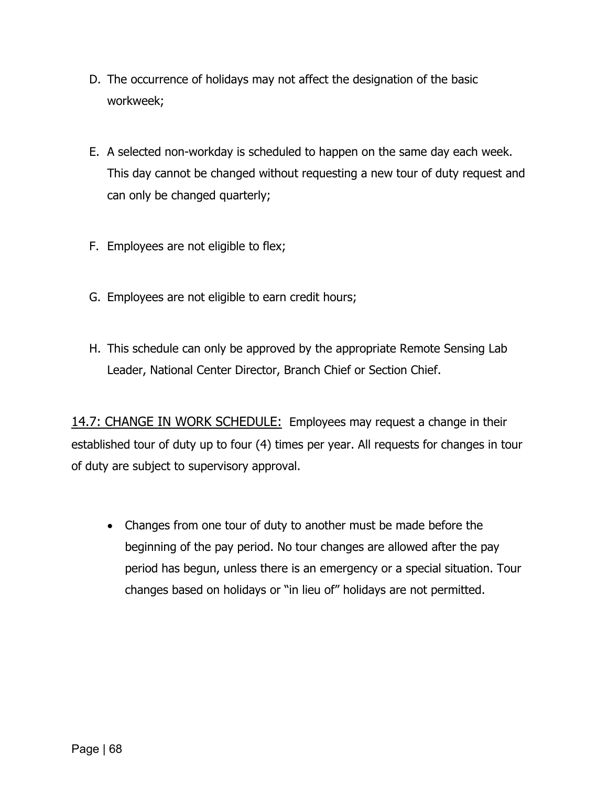- D. The occurrence of holidays may not affect the designation of the basic workweek;
- E. A selected non-workday is scheduled to happen on the same day each week. This day cannot be changed without requesting a new tour of duty request and can only be changed quarterly;
- F. Employees are not eligible to flex;
- G. Employees are not eligible to earn credit hours;
- H. This schedule can only be approved by the appropriate Remote Sensing Lab Leader, National Center Director, Branch Chief or Section Chief.

14.7: CHANGE IN WORK SCHEDULE: Employees may request a change in their established tour of duty up to four (4) times per year. All requests for changes in tour of duty are subject to supervisory approval.

• Changes from one tour of duty to another must be made before the beginning of the pay period. No tour changes are allowed after the pay period has begun, unless there is an emergency or a special situation. Tour changes based on holidays or "in lieu of" holidays are not permitted.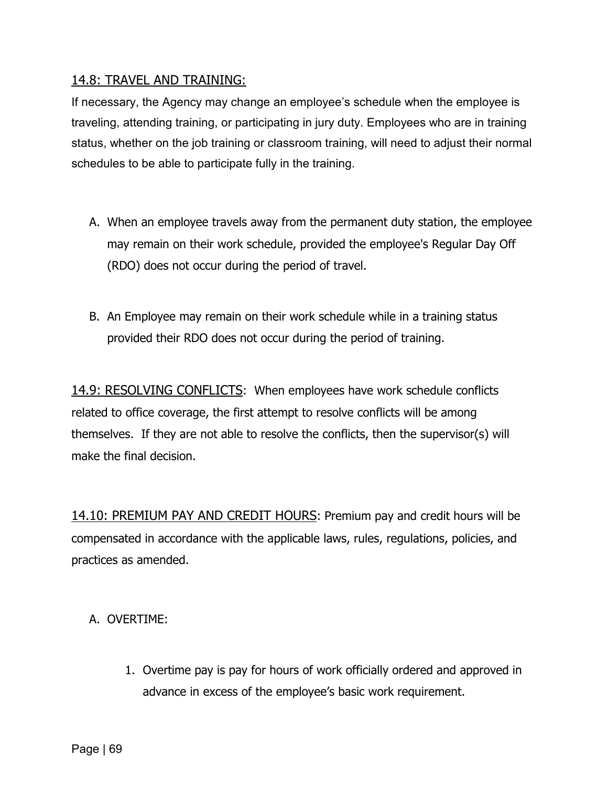#### 14.8: TRAVEL AND TRAINING:

If necessary, the Agency may change an employee's schedule when the employee is traveling, attending training, or participating in jury duty. Employees who are in training status, whether on the job training or classroom training, will need to adjust their normal schedules to be able to participate fully in the training.

- A. When an employee travels away from the permanent duty station, the employee may remain on their work schedule, provided the employee's Regular Day Off (RDO) does not occur during the period of travel.
- B. An Employee may remain on their work schedule while in a training status provided their RDO does not occur during the period of training.

14.9: RESOLVING CONFLICTS: When employees have work schedule conflicts related to office coverage, the first attempt to resolve conflicts will be among themselves. If they are not able to resolve the conflicts, then the supervisor(s) will make the final decision.

14.10: PREMIUM PAY AND CREDIT HOURS: Premium pay and credit hours will be compensated in accordance with the applicable laws, rules, regulations, policies, and practices as amended.

#### A. OVERTIME:

1. Overtime pay is pay for hours of work officially ordered and approved in advance in excess of the employee's basic work requirement.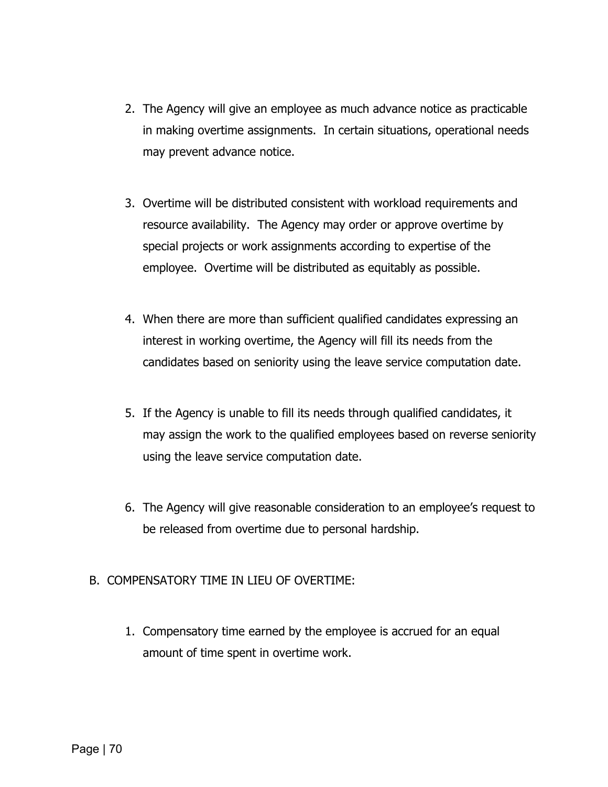- 2. The Agency will give an employee as much advance notice as practicable in making overtime assignments. In certain situations, operational needs may prevent advance notice.
- 3. Overtime will be distributed consistent with workload requirements and resource availability. The Agency may order or approve overtime by special projects or work assignments according to expertise of the employee. Overtime will be distributed as equitably as possible.
- 4. When there are more than sufficient qualified candidates expressing an interest in working overtime, the Agency will fill its needs from the candidates based on seniority using the leave service computation date.
- 5. If the Agency is unable to fill its needs through qualified candidates, it may assign the work to the qualified employees based on reverse seniority using the leave service computation date.
- 6. The Agency will give reasonable consideration to an employee's request to be released from overtime due to personal hardship.
- B. COMPENSATORY TIME IN LIEU OF OVERTIME:
	- 1. Compensatory time earned by the employee is accrued for an equal amount of time spent in overtime work.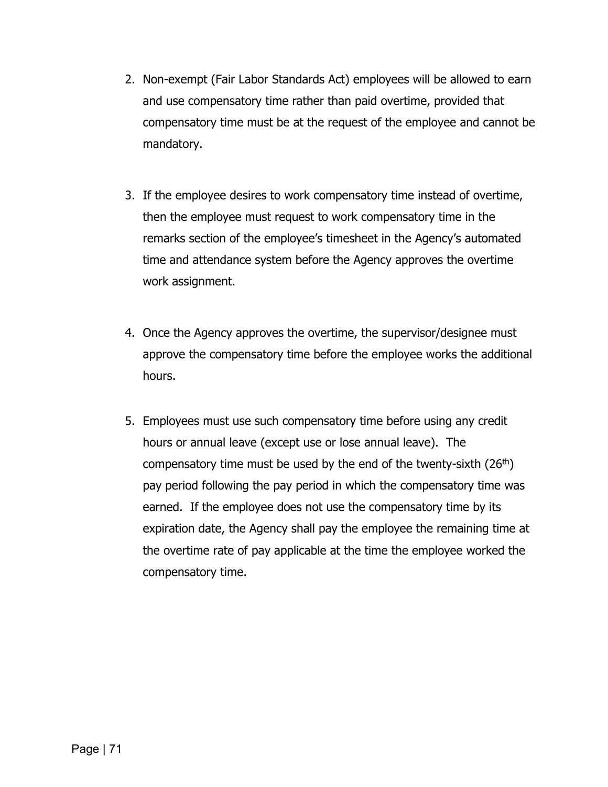- 2. Non-exempt (Fair Labor Standards Act) employees will be allowed to earn and use compensatory time rather than paid overtime, provided that compensatory time must be at the request of the employee and cannot be mandatory.
- 3. If the employee desires to work compensatory time instead of overtime, then the employee must request to work compensatory time in the remarks section of the employee's timesheet in the Agency's automated time and attendance system before the Agency approves the overtime work assignment.
- 4. Once the Agency approves the overtime, the supervisor/designee must approve the compensatory time before the employee works the additional hours.
- 5. Employees must use such compensatory time before using any credit hours or annual leave (except use or lose annual leave). The compensatory time must be used by the end of the twenty-sixth  $(26<sup>th</sup>)$ pay period following the pay period in which the compensatory time was earned. If the employee does not use the compensatory time by its expiration date, the Agency shall pay the employee the remaining time at the overtime rate of pay applicable at the time the employee worked the compensatory time.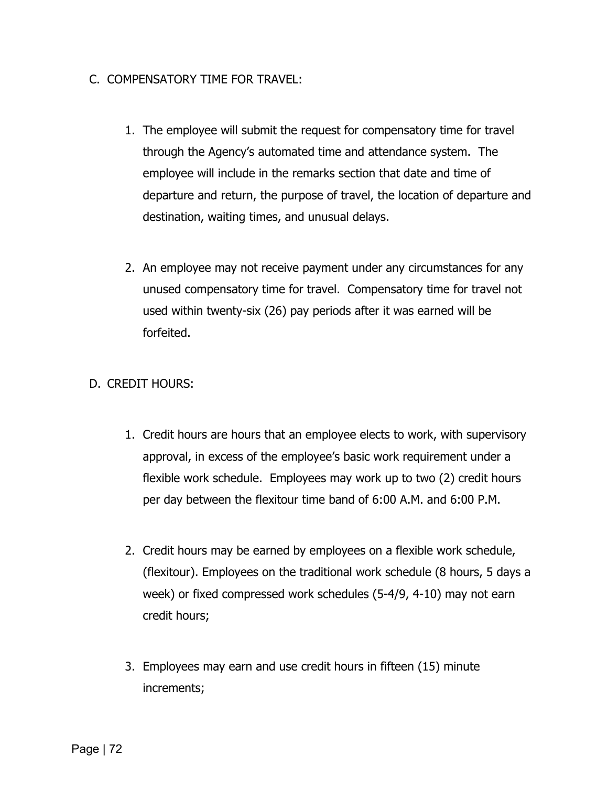#### C. COMPENSATORY TIME FOR TRAVEL:

- 1. The employee will submit the request for compensatory time for travel through the Agency's automated time and attendance system. The employee will include in the remarks section that date and time of departure and return, the purpose of travel, the location of departure and destination, waiting times, and unusual delays.
- 2. An employee may not receive payment under any circumstances for any unused compensatory time for travel. Compensatory time for travel not used within twenty-six (26) pay periods after it was earned will be forfeited.

#### D. CREDIT HOURS:

- 1. Credit hours are hours that an employee elects to work, with supervisory approval, in excess of the employee's basic work requirement under a flexible work schedule. Employees may work up to two (2) credit hours per day between the flexitour time band of 6:00 A.M. and 6:00 P.M.
- 2. Credit hours may be earned by employees on a flexible work schedule, (flexitour). Employees on the traditional work schedule (8 hours, 5 days a week) or fixed compressed work schedules (5-4/9, 4-10) may not earn credit hours;
- 3. Employees may earn and use credit hours in fifteen (15) minute increments;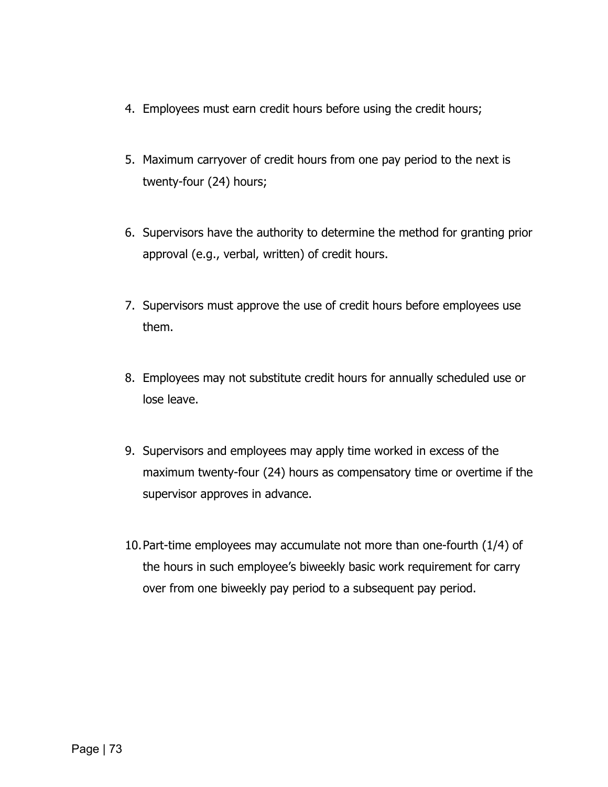- 4. Employees must earn credit hours before using the credit hours;
- 5. Maximum carryover of credit hours from one pay period to the next is twenty-four (24) hours;
- 6. Supervisors have the authority to determine the method for granting prior approval (e.g., verbal, written) of credit hours.
- 7. Supervisors must approve the use of credit hours before employees use them.
- 8. Employees may not substitute credit hours for annually scheduled use or lose leave.
- 9. Supervisors and employees may apply time worked in excess of the maximum twenty-four (24) hours as compensatory time or overtime if the supervisor approves in advance.
- 10.Part-time employees may accumulate not more than one-fourth (1/4) of the hours in such employee's biweekly basic work requirement for carry over from one biweekly pay period to a subsequent pay period.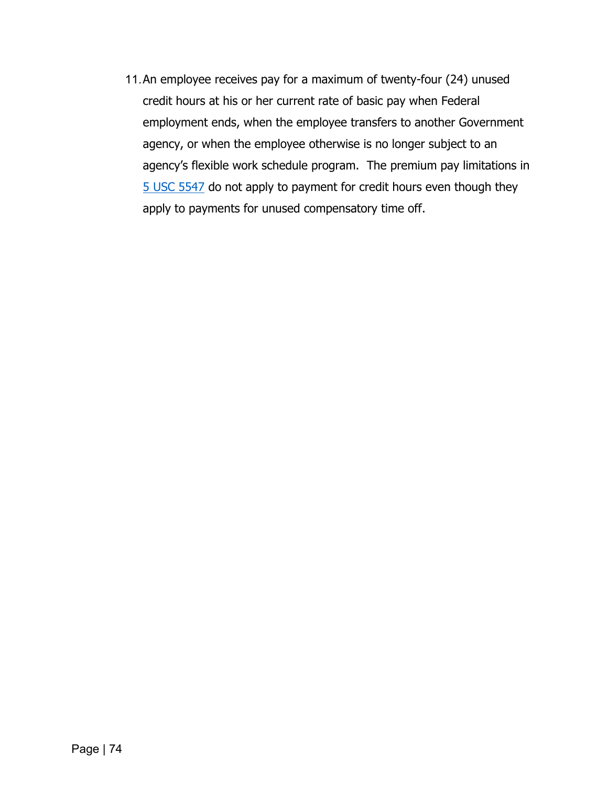11.An employee receives pay for a maximum of twenty-four (24) unused credit hours at his or her current rate of basic pay when Federal employment ends, when the employee transfers to another Government agency, or when the employee otherwise is no longer subject to an agency's flexible work schedule program. The premium pay limitations in [5 USC 5547](https://uscode.house.gov/view.xhtml?req=granuleid:USC-prelim-title5-section5547&num=0&edition=prelim) do not apply to payment for credit hours even though they apply to payments for unused compensatory time off.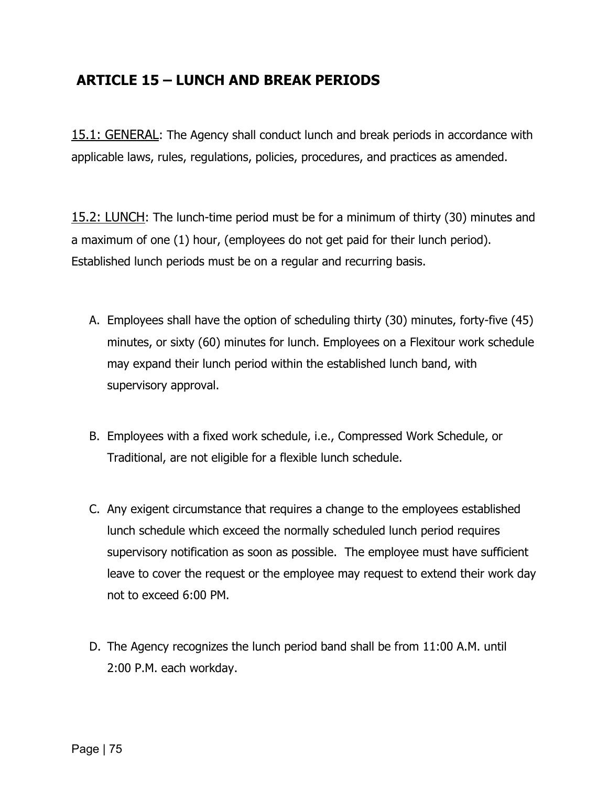### **ARTICLE 15 – LUNCH AND BREAK PERIODS**

15.1: GENERAL: The Agency shall conduct lunch and break periods in accordance with applicable laws, rules, regulations, policies, procedures, and practices as amended.

15.2: LUNCH: The lunch-time period must be for a minimum of thirty (30) minutes and a maximum of one (1) hour, (employees do not get paid for their lunch period). Established lunch periods must be on a regular and recurring basis.

- A. Employees shall have the option of scheduling thirty (30) minutes, forty-five (45) minutes, or sixty (60) minutes for lunch. Employees on a Flexitour work schedule may expand their lunch period within the established lunch band, with supervisory approval.
- B. Employees with a fixed work schedule, i.e., Compressed Work Schedule, or Traditional, are not eligible for a flexible lunch schedule.
- C. Any exigent circumstance that requires a change to the employees established lunch schedule which exceed the normally scheduled lunch period requires supervisory notification as soon as possible. The employee must have sufficient leave to cover the request or the employee may request to extend their work day not to exceed 6:00 PM.
- D. The Agency recognizes the lunch period band shall be from 11:00 A.M. until 2:00 P.M. each workday.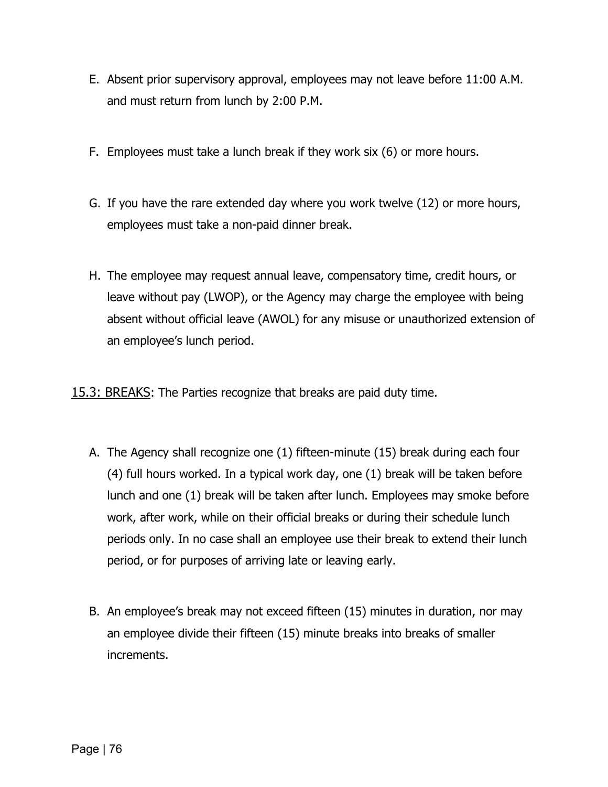- E. Absent prior supervisory approval, employees may not leave before 11:00 A.M. and must return from lunch by 2:00 P.M.
- F. Employees must take a lunch break if they work six (6) or more hours.
- G. If you have the rare extended day where you work twelve (12) or more hours, employees must take a non-paid dinner break.
- H. The employee may request annual leave, compensatory time, credit hours, or leave without pay (LWOP), or the Agency may charge the employee with being absent without official leave (AWOL) for any misuse or unauthorized extension of an employee's lunch period.

15.3: BREAKS: The Parties recognize that breaks are paid duty time.

- A. The Agency shall recognize one (1) fifteen-minute (15) break during each four (4) full hours worked. In a typical work day, one (1) break will be taken before lunch and one (1) break will be taken after lunch. Employees may smoke before work, after work, while on their official breaks or during their schedule lunch periods only. In no case shall an employee use their break to extend their lunch period, or for purposes of arriving late or leaving early.
- B. An employee's break may not exceed fifteen (15) minutes in duration, nor may an employee divide their fifteen (15) minute breaks into breaks of smaller increments.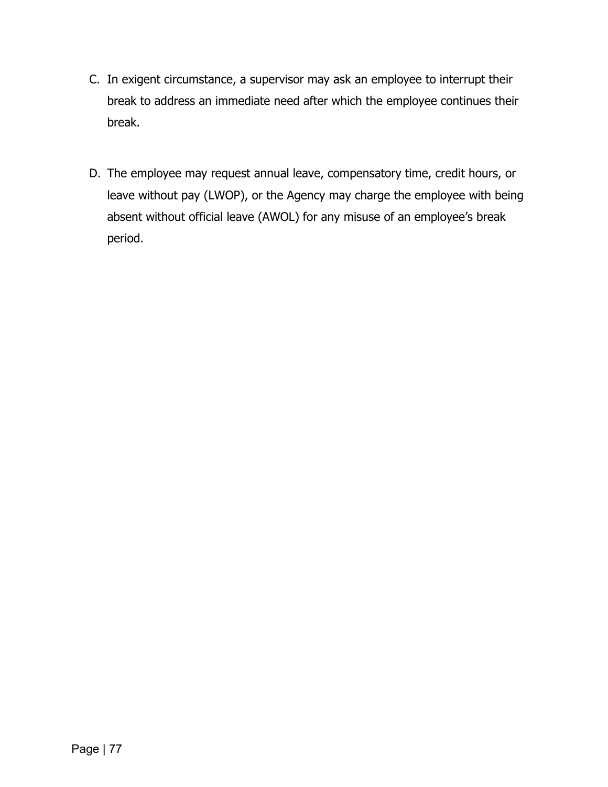- C. In exigent circumstance, a supervisor may ask an employee to interrupt their break to address an immediate need after which the employee continues their break.
- D. The employee may request annual leave, compensatory time, credit hours, or leave without pay (LWOP), or the Agency may charge the employee with being absent without official leave (AWOL) for any misuse of an employee's break period.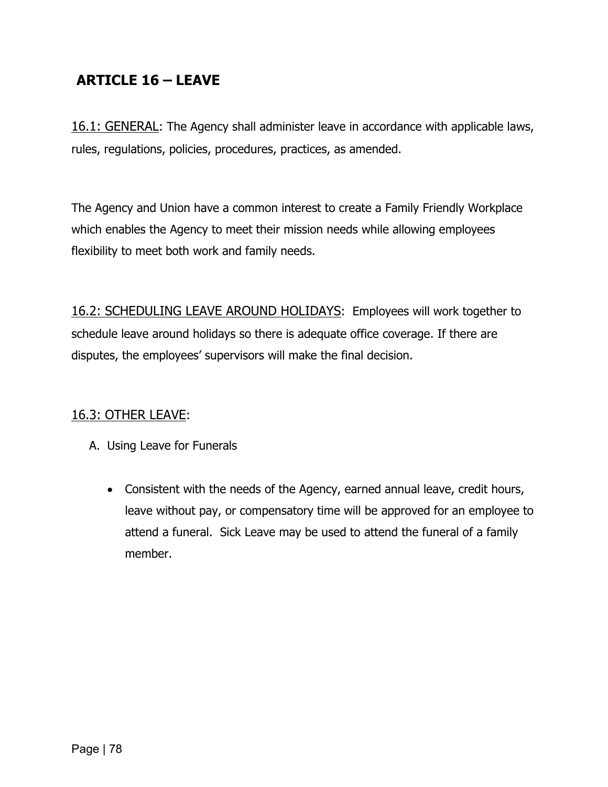# **ARTICLE 16 – LEAVE**

16.1: GENERAL: The Agency shall administer leave in accordance with applicable laws, rules, regulations, policies, procedures, practices, as amended.

The Agency and Union have a common interest to create a Family Friendly Workplace which enables the Agency to meet their mission needs while allowing employees flexibility to meet both work and family needs.

16.2: SCHEDULING LEAVE AROUND HOLIDAYS: Employees will work together to schedule leave around holidays so there is adequate office coverage. If there are disputes, the employees' supervisors will make the final decision.

#### 16.3: OTHER LEAVE:

- A. Using Leave for Funerals
	- Consistent with the needs of the Agency, earned annual leave, credit hours, leave without pay, or compensatory time will be approved for an employee to attend a funeral. Sick Leave may be used to attend the funeral of a family member.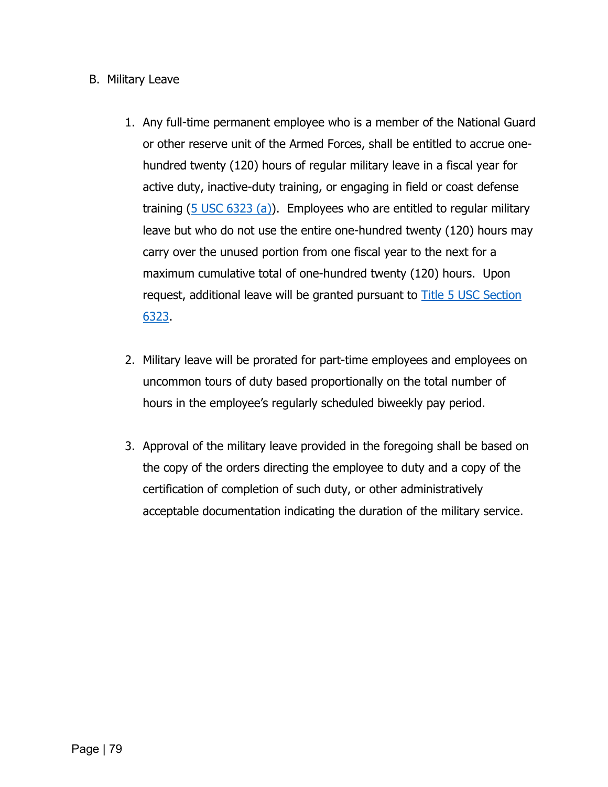#### B. Military Leave

- 1. Any full-time permanent employee who is a member of the National Guard or other reserve unit of the Armed Forces, shall be entitled to accrue onehundred twenty (120) hours of regular military leave in a fiscal year for active duty, inactive-duty training, or engaging in field or coast defense training (5 [USC 6323 \(a\)\)](https://uscode.house.gov/view.xhtml?req=granuleid:USC-prelim-title5-section6323&num=0&edition=prelim). Employees who are entitled to regular military leave but who do not use the entire one-hundred twenty (120) hours may carry over the unused portion from one fiscal year to the next for a maximum cumulative total of one-hundred twenty (120) hours. Upon request, additional leave will be granted pursuant to [Title 5 USC Section](https://uscode.house.gov/view.xhtml?req=granuleid:USC-prelim-title5-section6323&num=0&edition=prelim)  [6323.](https://uscode.house.gov/view.xhtml?req=granuleid:USC-prelim-title5-section6323&num=0&edition=prelim)
- 2. Military leave will be prorated for part-time employees and employees on uncommon tours of duty based proportionally on the total number of hours in the employee's regularly scheduled biweekly pay period.
- 3. Approval of the military leave provided in the foregoing shall be based on the copy of the orders directing the employee to duty and a copy of the certification of completion of such duty, or other administratively acceptable documentation indicating the duration of the military service.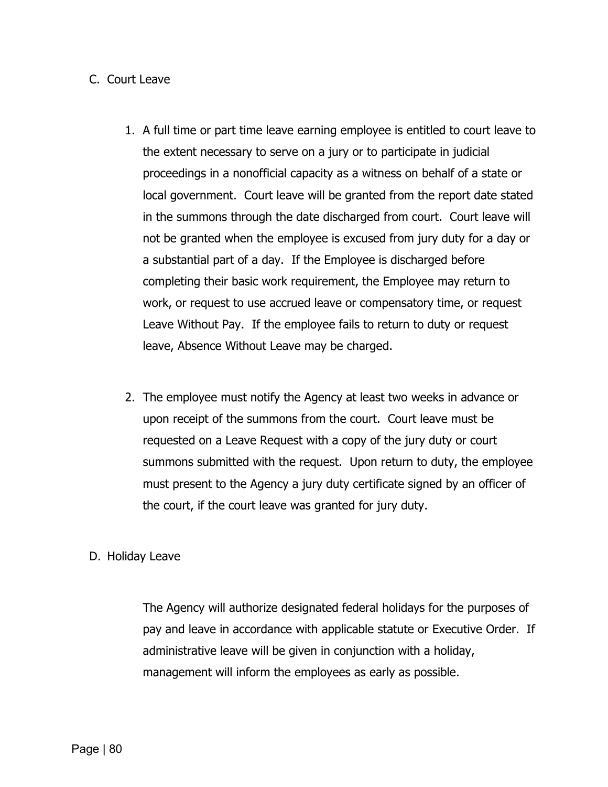#### C. Court Leave

- 1. A full time or part time leave earning employee is entitled to court leave to the extent necessary to serve on a jury or to participate in judicial proceedings in a nonofficial capacity as a witness on behalf of a state or local government. Court leave will be granted from the report date stated in the summons through the date discharged from court. Court leave will not be granted when the employee is excused from jury duty for a day or a substantial part of a day. If the Employee is discharged before completing their basic work requirement, the Employee may return to work, or request to use accrued leave or compensatory time, or request Leave Without Pay. If the employee fails to return to duty or request leave, Absence Without Leave may be charged.
- 2. The employee must notify the Agency at least two weeks in advance or upon receipt of the summons from the court. Court leave must be requested on a Leave Request with a copy of the jury duty or court summons submitted with the request. Upon return to duty, the employee must present to the Agency a jury duty certificate signed by an officer of the court, if the court leave was granted for jury duty.

#### D. Holiday Leave

The Agency will authorize designated federal holidays for the purposes of pay and leave in accordance with applicable statute or Executive Order. If administrative leave will be given in conjunction with a holiday, management will inform the employees as early as possible.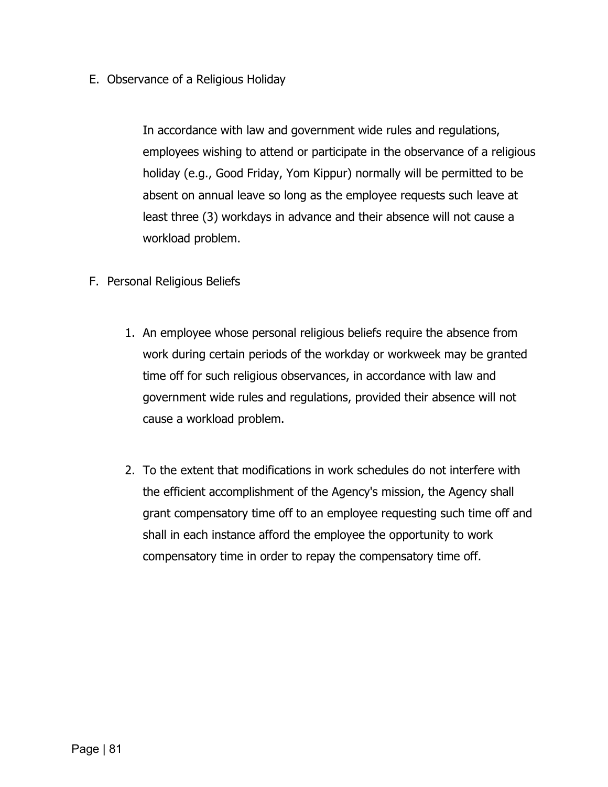E. Observance of a Religious Holiday

In accordance with law and government wide rules and regulations, employees wishing to attend or participate in the observance of a religious holiday (e.g., Good Friday, Yom Kippur) normally will be permitted to be absent on annual leave so long as the employee requests such leave at least three (3) workdays in advance and their absence will not cause a workload problem.

- F. Personal Religious Beliefs
	- 1. An employee whose personal religious beliefs require the absence from work during certain periods of the workday or workweek may be granted time off for such religious observances, in accordance with law and government wide rules and regulations, provided their absence will not cause a workload problem.
	- 2. To the extent that modifications in work schedules do not interfere with the efficient accomplishment of the Agency's mission, the Agency shall grant compensatory time off to an employee requesting such time off and shall in each instance afford the employee the opportunity to work compensatory time in order to repay the compensatory time off.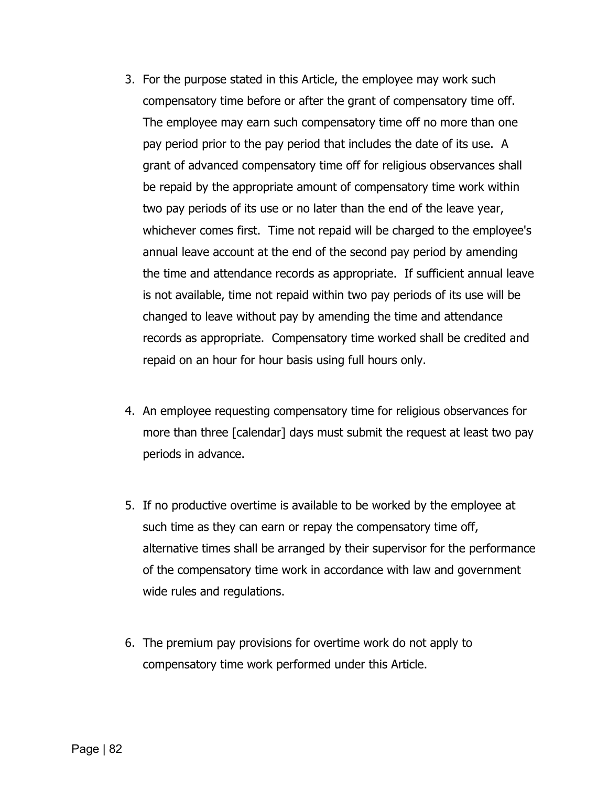- 3. For the purpose stated in this Article, the employee may work such compensatory time before or after the grant of compensatory time off. The employee may earn such compensatory time off no more than one pay period prior to the pay period that includes the date of its use. A grant of advanced compensatory time off for religious observances shall be repaid by the appropriate amount of compensatory time work within two pay periods of its use or no later than the end of the leave year, whichever comes first. Time not repaid will be charged to the employee's annual leave account at the end of the second pay period by amending the time and attendance records as appropriate. If sufficient annual leave is not available, time not repaid within two pay periods of its use will be changed to leave without pay by amending the time and attendance records as appropriate. Compensatory time worked shall be credited and repaid on an hour for hour basis using full hours only.
- 4. An employee requesting compensatory time for religious observances for more than three [calendar] days must submit the request at least two pay periods in advance.
- 5. If no productive overtime is available to be worked by the employee at such time as they can earn or repay the compensatory time off, alternative times shall be arranged by their supervisor for the performance of the compensatory time work in accordance with law and government wide rules and regulations.
- 6. The premium pay provisions for overtime work do not apply to compensatory time work performed under this Article.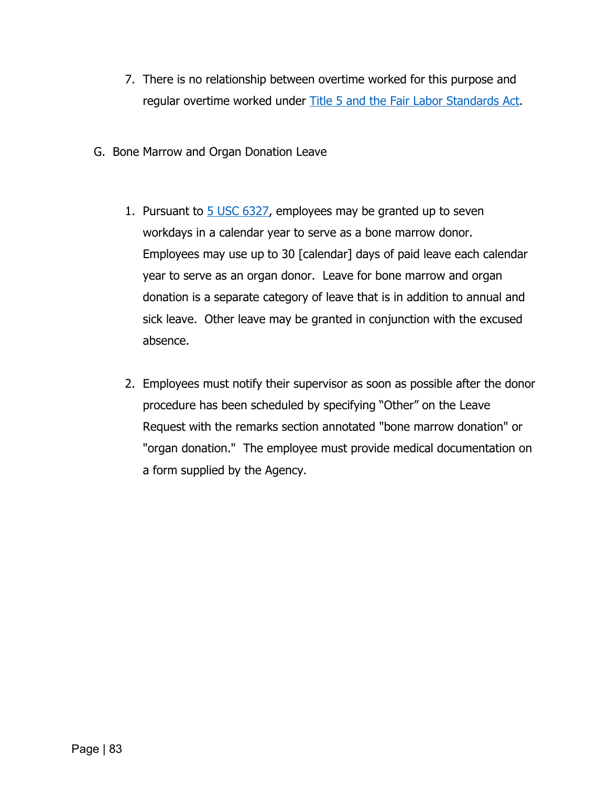- 7. There is no relationship between overtime worked for this purpose and regular overtime worked under [Title 5 and the Fair Labor Standards Act.](https://www.dol.gov/whd/regs/statutes/FairLaborStandAct.pdf)
- G. Bone Marrow and Organ Donation Leave
	- 1. Pursuant to [5 USC 6327,](https://uscode.house.gov/view.xhtml?req=granuleid:USC-prelim-title5-section6327&num=0&edition=prelim) employees may be granted up to seven workdays in a calendar year to serve as a bone marrow donor. Employees may use up to 30 [calendar] days of paid leave each calendar year to serve as an organ donor. Leave for bone marrow and organ donation is a separate category of leave that is in addition to annual and sick leave. Other leave may be granted in conjunction with the excused absence.
	- 2. Employees must notify their supervisor as soon as possible after the donor procedure has been scheduled by specifying "Other" on the Leave Request with the remarks section annotated "bone marrow donation" or "organ donation." The employee must provide medical documentation on a form supplied by the Agency.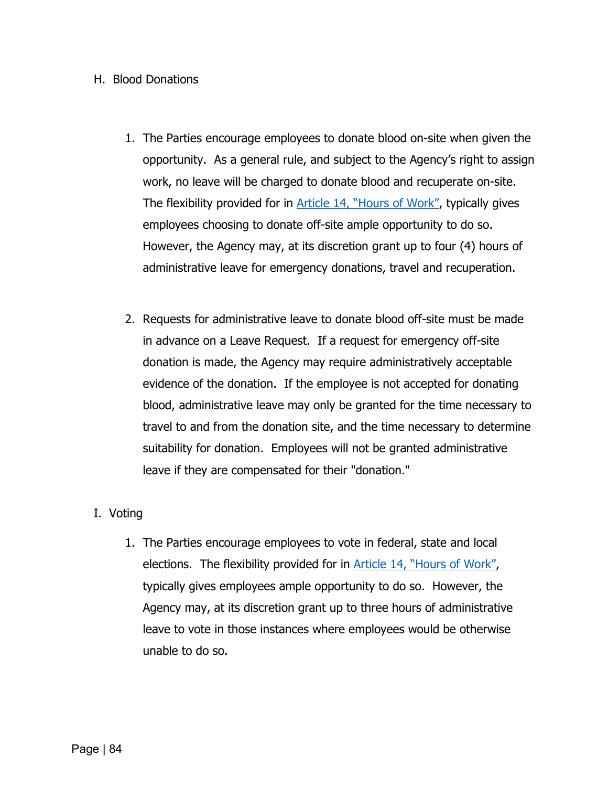#### H. Blood Donations

- 1. The Parties encourage employees to donate blood on-site when given the opportunity. As a general rule, and subject to the Agency's right to assign work, no leave will be charged to donate blood and recuperate on-site. The flexibility provided for in [Article 14, "Hours of Work",](#page-65-0) typically gives employees choosing to donate off-site ample opportunity to do so. However, the Agency may, at its discretion grant up to four (4) hours of administrative leave for emergency donations, travel and recuperation.
- 2. Requests for administrative leave to donate blood off-site must be made in advance on a Leave Request. If a request for emergency off-site donation is made, the Agency may require administratively acceptable evidence of the donation. If the employee is not accepted for donating blood, administrative leave may only be granted for the time necessary to travel to and from the donation site, and the time necessary to determine suitability for donation. Employees will not be granted administrative leave if they are compensated for their "donation."

#### I. Voting

1. The Parties encourage employees to vote in federal, state and local elections. The flexibility provided for in Article [14, "Hours of Work",](#page-65-0) typically gives employees ample opportunity to do so. However, the Agency may, at its discretion grant up to three hours of administrative leave to vote in those instances where employees would be otherwise unable to do so.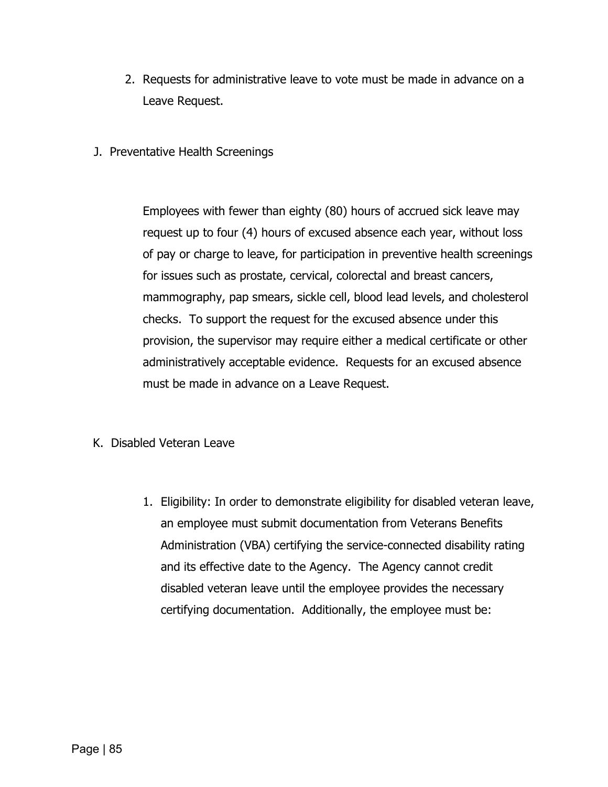- 2. Requests for administrative leave to vote must be made in advance on a Leave Request.
- J. Preventative Health Screenings

Employees with fewer than eighty (80) hours of accrued sick leave may request up to four (4) hours of excused absence each year, without loss of pay or charge to leave, for participation in preventive health screenings for issues such as prostate, cervical, colorectal and breast cancers, mammography, pap smears, sickle cell, blood lead levels, and cholesterol checks. To support the request for the excused absence under this provision, the supervisor may require either a medical certificate or other administratively acceptable evidence. Requests for an excused absence must be made in advance on a Leave Request.

- K. Disabled Veteran Leave
	- 1. Eligibility: In order to demonstrate eligibility for disabled veteran leave, an employee must submit documentation from Veterans Benefits Administration (VBA) certifying the service-connected disability rating and its effective date to the Agency. The Agency cannot credit disabled veteran leave until the employee provides the necessary certifying documentation. Additionally, the employee must be: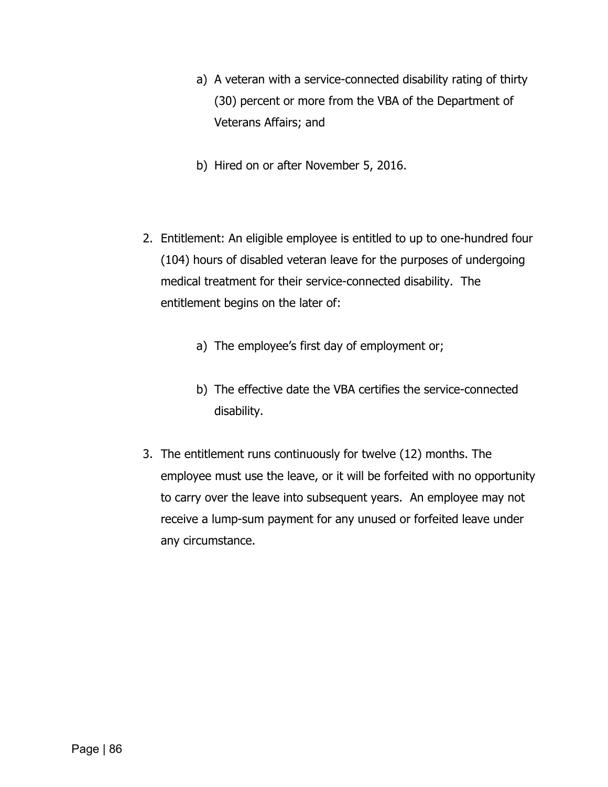- a) A veteran with a service-connected disability rating of thirty (30) percent or more from the VBA of the Department of Veterans Affairs; and
- b) Hired on or after November 5, 2016.
- 2. Entitlement: An eligible employee is entitled to up to one-hundred four (104) hours of disabled veteran leave for the purposes of undergoing medical treatment for their service-connected disability. The entitlement begins on the later of:
	- a) The employee's first day of employment or;
	- b) The effective date the VBA certifies the service-connected disability.
- 3. The entitlement runs continuously for twelve (12) months. The employee must use the leave, or it will be forfeited with no opportunity to carry over the leave into subsequent years. An employee may not receive a lump-sum payment for any unused or forfeited leave under any circumstance.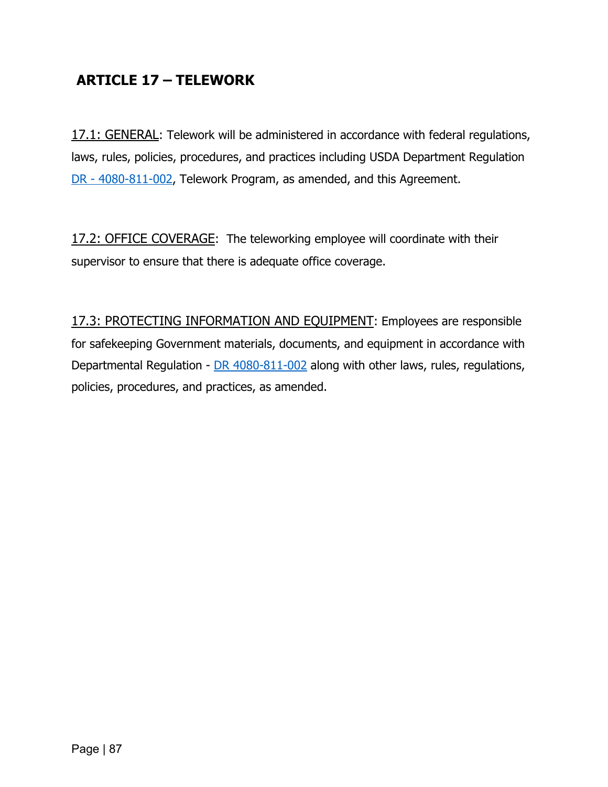## **ARTICLE 17 – TELEWORK**

17.1: GENERAL: Telework will be administered in accordance with federal regulations, laws, rules, policies, procedures, and practices including USDA Department Regulation DR - [4080-811-002,](https://www.ocio.usda.gov/sites/default/files/docs/2012/DR%204080-811-002_Telework%20Program.pdf) Telework Program, as amended, and this Agreement.

17.2: OFFICE COVERAGE: The teleworking employee will coordinate with their supervisor to ensure that there is adequate office coverage.

17.3: PROTECTING INFORMATION AND EQUIPMENT: Employees are responsible for safekeeping Government materials, documents, and equipment in accordance with Departmental Regulation - [DR 4080-811-002](https://www.ocio.usda.gov/sites/default/files/docs/2012/DR%204080-811-002_Telework%20Program.pdf) along with other laws, rules, regulations, policies, procedures, and practices, as amended.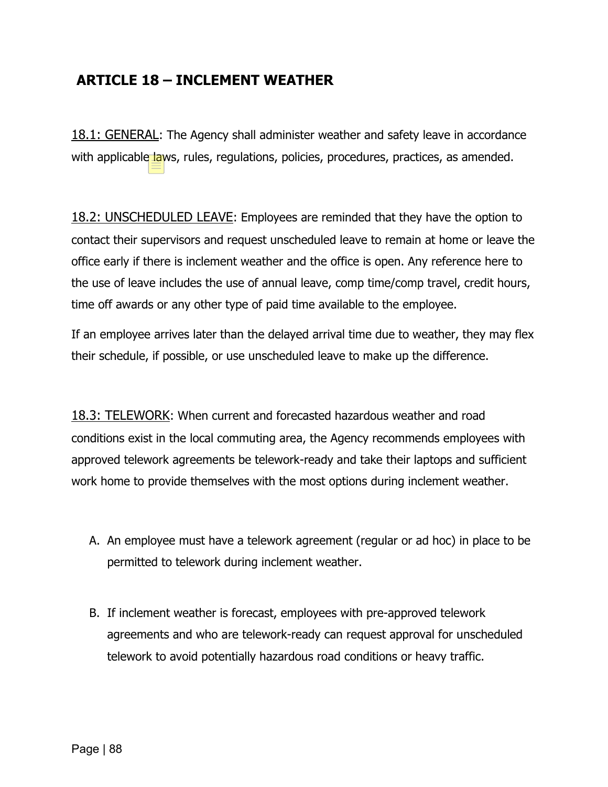#### **ARTICLE 18 – INCLEMENT WEATHER**

18.1: GENERAL: The Agency shall administer weather and safety leave in accordance with applicable laws, rules, regulations, policies, procedures, practices, as amended.

18.2: UNSCHEDULED LEAVE: Employees are reminded that they have the option to contact their supervisors and request unscheduled leave to remain at home or leave the office early if there is inclement weather and the office is open. Any reference here to the use of leave includes the use of annual leave, comp time/comp travel, credit hours, time off awards or any other type of paid time available to the employee.

If an employee arrives later than the delayed arrival time due to weather, they may flex their schedule, if possible, or use unscheduled leave to make up the difference.

18.3: TELEWORK: When current and forecasted hazardous weather and road conditions exist in the local commuting area, the Agency recommends employees with approved telework agreements be telework-ready and take their laptops and sufficient work home to provide themselves with the most options during inclement weather.

- A. An employee must have a telework agreement (regular or ad hoc) in place to be permitted to telework during inclement weather.
- B. If inclement weather is forecast, employees with pre-approved telework agreements and who are telework-ready can request approval for unscheduled telework to avoid potentially hazardous road conditions or heavy traffic.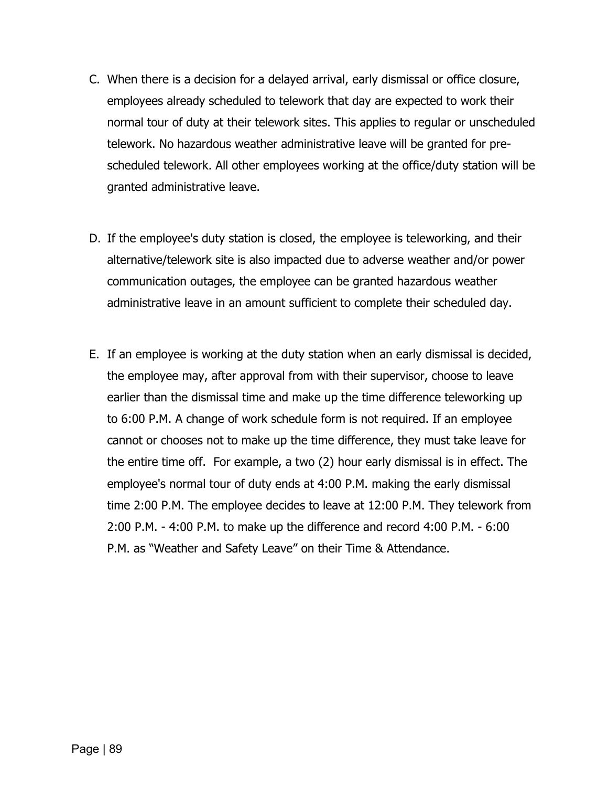- C. When there is a decision for a delayed arrival, early dismissal or office closure, employees already scheduled to telework that day are expected to work their normal tour of duty at their telework sites. This applies to regular or unscheduled telework. No hazardous weather administrative leave will be granted for prescheduled telework. All other employees working at the office/duty station will be granted administrative leave.
- D. If the employee's duty station is closed, the employee is teleworking, and their alternative/telework site is also impacted due to adverse weather and/or power communication outages, the employee can be granted hazardous weather administrative leave in an amount sufficient to complete their scheduled day.
- E. If an employee is working at the duty station when an early dismissal is decided, the employee may, after approval from with their supervisor, choose to leave earlier than the dismissal time and make up the time difference teleworking up to 6:00 P.M. A change of work schedule form is not required. If an employee cannot or chooses not to make up the time difference, they must take leave for the entire time off. For example, a two (2) hour early dismissal is in effect. The employee's normal tour of duty ends at 4:00 P.M. making the early dismissal time 2:00 P.M. The employee decides to leave at 12:00 P.M. They telework from 2:00 P.M. - 4:00 P.M. to make up the difference and record 4:00 P.M. - 6:00 P.M. as "Weather and Safety Leave" on their Time & Attendance.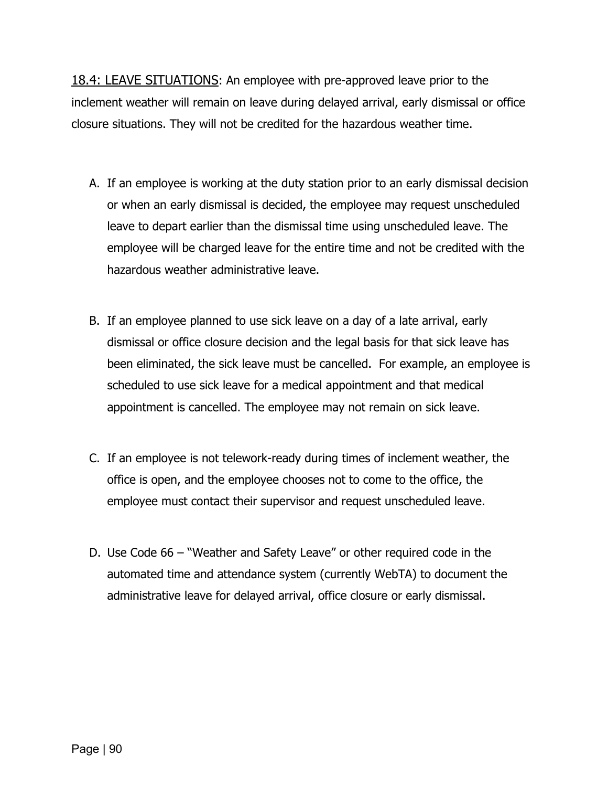18.4: LEAVE SITUATIONS: An employee with pre-approved leave prior to the inclement weather will remain on leave during delayed arrival, early dismissal or office closure situations. They will not be credited for the hazardous weather time.

- A. If an employee is working at the duty station prior to an early dismissal decision or when an early dismissal is decided, the employee may request unscheduled leave to depart earlier than the dismissal time using unscheduled leave. The employee will be charged leave for the entire time and not be credited with the hazardous weather administrative leave.
- B. If an employee planned to use sick leave on a day of a late arrival, early dismissal or office closure decision and the legal basis for that sick leave has been eliminated, the sick leave must be cancelled. For example, an employee is scheduled to use sick leave for a medical appointment and that medical appointment is cancelled. The employee may not remain on sick leave.
- C. If an employee is not telework-ready during times of inclement weather, the office is open, and the employee chooses not to come to the office, the employee must contact their supervisor and request unscheduled leave.
- D. Use Code 66 "Weather and Safety Leave" or other required code in the automated time and attendance system (currently WebTA) to document the administrative leave for delayed arrival, office closure or early dismissal.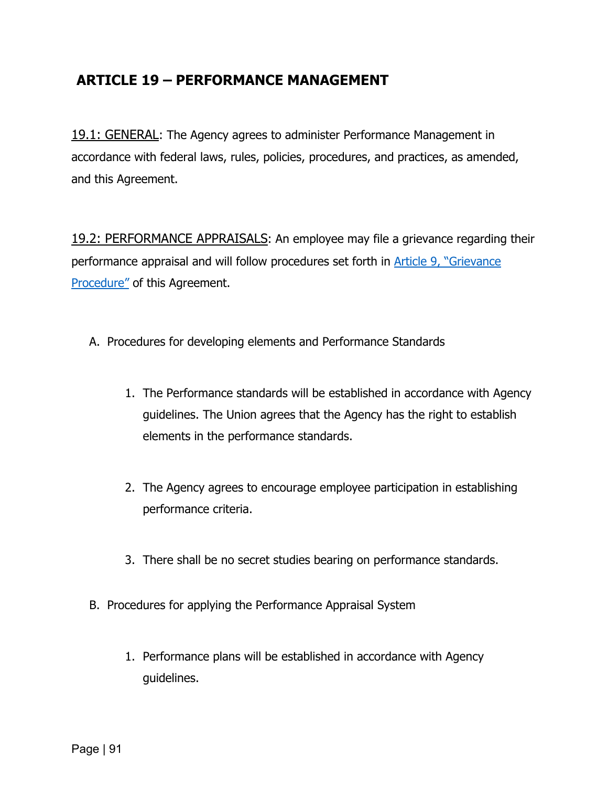### **ARTICLE 19 – PERFORMANCE MANAGEMENT**

19.1: GENERAL: The Agency agrees to administer Performance Management in accordance with federal laws, rules, policies, procedures, and practices, as amended, and this Agreement.

19.2: PERFORMANCE APPRAISALS: An employee may file a grievance regarding their performance appraisal and will follow procedures set forth in [Article 9, "Grievance](#page-39-0)  [Procedure"](#page-39-0) of this Agreement.

- A. Procedures for developing elements and Performance Standards
	- 1. The Performance standards will be established in accordance with Agency guidelines. The Union agrees that the Agency has the right to establish elements in the performance standards.
	- 2. The Agency agrees to encourage employee participation in establishing performance criteria.
	- 3. There shall be no secret studies bearing on performance standards.
- B. Procedures for applying the Performance Appraisal System
	- 1. Performance plans will be established in accordance with Agency guidelines.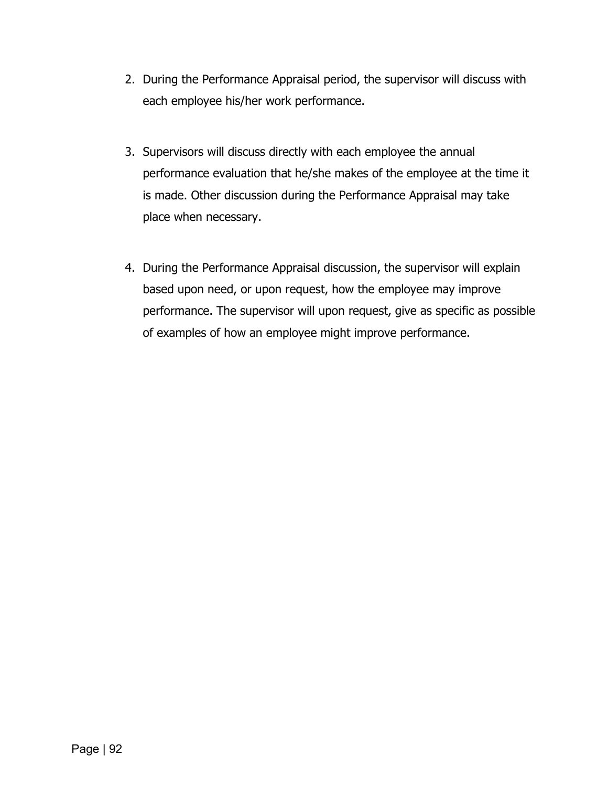- 2. During the Performance Appraisal period, the supervisor will discuss with each employee his/her work performance.
- 3. Supervisors will discuss directly with each employee the annual performance evaluation that he/she makes of the employee at the time it is made. Other discussion during the Performance Appraisal may take place when necessary.
- 4. During the Performance Appraisal discussion, the supervisor will explain based upon need, or upon request, how the employee may improve performance. The supervisor will upon request, give as specific as possible of examples of how an employee might improve performance.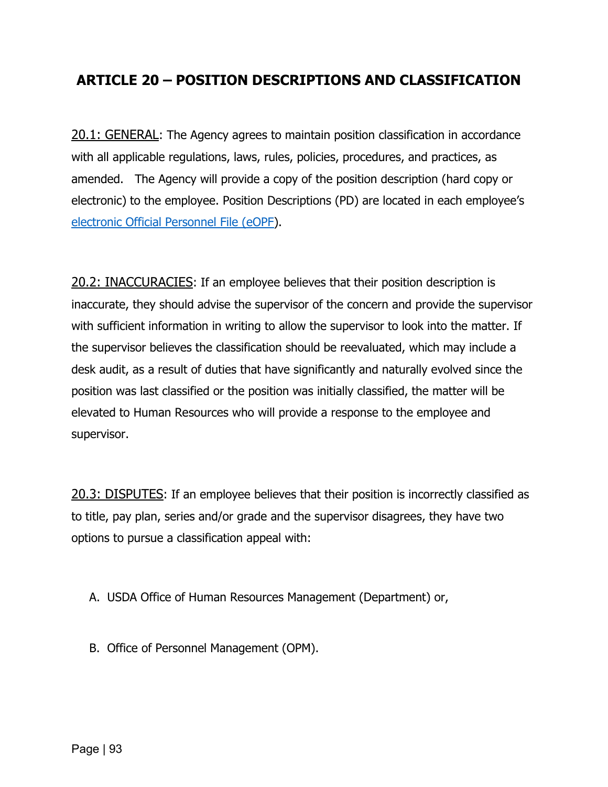#### **ARTICLE 20 – POSITION DESCRIPTIONS AND CLASSIFICATION**

20.1: GENERAL: The Agency agrees to maintain position classification in accordance with all applicable regulations, laws, rules, policies, procedures, and practices, as amended. The Agency will provide a copy of the position description (hard copy or electronic) to the employee. Position Descriptions (PD) are located in each employee's [electronic Official Personnel File \(eOPF\)](https://www.eauth.usda.gov/Login/login.aspx?zone=z2&fedmode=eopf&TYPE=33554433&REALMOID=06-7c4084d3-02db-4cc7-804b-a526513f6984&GUID=&SMAUTHREASON=0&METHOD=GET&SMAGENTNAME=-SM-Ede3ShhUOElp5Gy1lgw%2frNeeh9NpZTSp54R90f%2flhMvz%2fm8iQ%2blXVSdNYHcMBvyQaxgkufK15wmc6x8blUeiom%2bUIjxg%2fVjeUBhNWssHwtPxzQmQk0wl8ecwtH0OxDSh&TARGET=-SM-HTTPS%3a%2f%2fwww%2eeauth%2eusda%2egov%2faffwebservices%2feopf%2fredirectjsp%2fredirect%2ejsp%3fSAMLRequest%3dfZJRS8MwFIX-%2FSsn72nS6dQ3toGwIAxVx4oNvaXq7Bdok5ibr-%2FPemHcpE9PXmnJzv3KRA3neGVd4d1TO8e0AXnftOIRsPSuKtYpqjRKZ4D8icYPvq4Z7NY8o4IlgntSJXFvO-%2Fx1jttNAdiaov90Yr9D3YPdiTFLBTDZxLQoPCOStr7-%2BCikOrwUzIn0TbwSsXHa0pydM4gS5JhGGLgoVHsseHxQZ8S3rYD1HixY2J83UmRjLxzRE2i3bYkYgXZIk9XQmTZktK2piKts3y5uF2KFpo6qBB9CEfHlQvxNM1nNJ-%2Bl-%2BUu6Yjcpo-%2FSNRK9gcaIJbcm6GCPY5LPrLz7Qpo216SeyEbHjqgntkiK5lheXp3kMO9xtn3QA-%2FoiqrtPDxgJ3UBJnPZDoTtueu7-%2B3nsbpNJHNrJ2kzCs0IGQroQmEye-%2BY7-%2BH1t1h-%2FAg-%3D-%3D%26RelayState%3df4af82990285a7ae525590bb70a36ed9%26SMPORTALURL%3dhttps-%3A-%2F-%2Fwww%2eeauth%2eusda%2egov-%2Faffwebservices-%2Fpublic-%2Fsaml2sso%26SAMLTRANSACTIONID%3d2c8e3341--a15696c5--627d2ed7--f40453fc--22731794--bf).

20.2: INACCURACIES: If an employee believes that their position description is inaccurate, they should advise the supervisor of the concern and provide the supervisor with sufficient information in writing to allow the supervisor to look into the matter. If the supervisor believes the classification should be reevaluated, which may include a desk audit, as a result of duties that have significantly and naturally evolved since the position was last classified or the position was initially classified, the matter will be elevated to Human Resources who will provide a response to the employee and supervisor.

20.3: DISPUTES: If an employee believes that their position is incorrectly classified as to title, pay plan, series and/or grade and the supervisor disagrees, they have two options to pursue a classification appeal with:

- A. USDA Office of Human Resources Management (Department) or,
- B. Office of Personnel Management (OPM).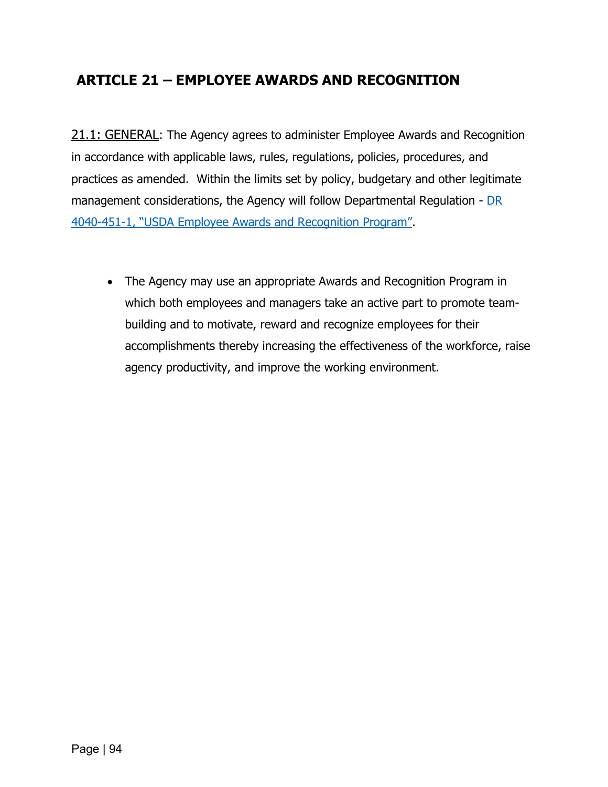# **ARTICLE 21 – EMPLOYEE AWARDS AND RECOGNITION**

21.1: GENERAL: The Agency agrees to administer Employee Awards and Recognition in accordance with applicable laws, rules, regulations, policies, procedures, and practices as amended. Within the limits set by policy, budgetary and other legitimate management considerations, the Agency will follow Departmental Regulation -  $DR$ [4040-451-1, "USDA Employee Awards and Recognition Program".](https://www.dm.usda.gov/employ/policy/docs/DR4040-451-1%20Awards%20and%20Recognition.pdf)

• The Agency may use an appropriate Awards and Recognition Program in which both employees and managers take an active part to promote teambuilding and to motivate, reward and recognize employees for their accomplishments thereby increasing the effectiveness of the workforce, raise agency productivity, and improve the working environment.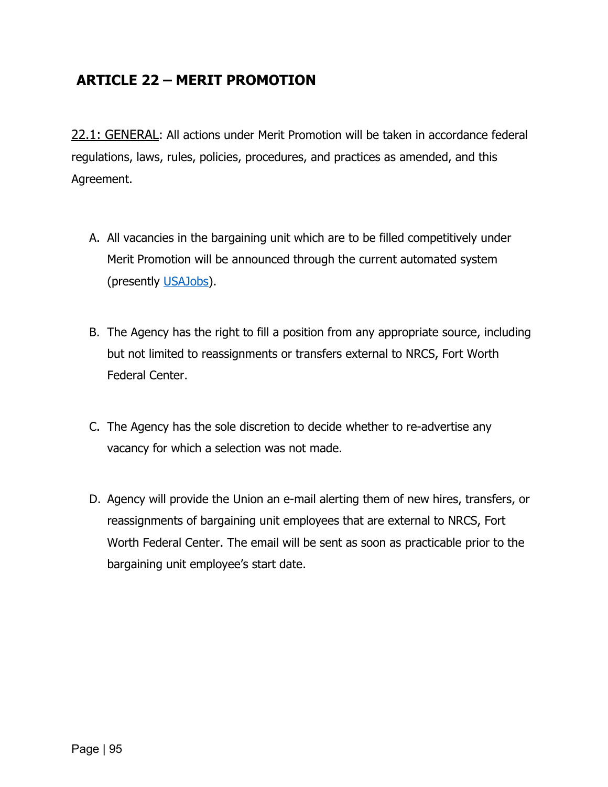## **ARTICLE 22 – MERIT PROMOTION**

22.1: GENERAL: All actions under Merit Promotion will be taken in accordance federal regulations, laws, rules, policies, procedures, and practices as amended, and this Agreement.

- A. All vacancies in the bargaining unit which are to be filled competitively under Merit Promotion will be announced through the current automated system (presently [USAJobs\)](https://www.usajobs.gov/).
- B. The Agency has the right to fill a position from any appropriate source, including but not limited to reassignments or transfers external to NRCS, Fort Worth Federal Center.
- C. The Agency has the sole discretion to decide whether to re-advertise any vacancy for which a selection was not made.
- D. Agency will provide the Union an e-mail alerting them of new hires, transfers, or reassignments of bargaining unit employees that are external to NRCS, Fort Worth Federal Center. The email will be sent as soon as practicable prior to the bargaining unit employee's start date.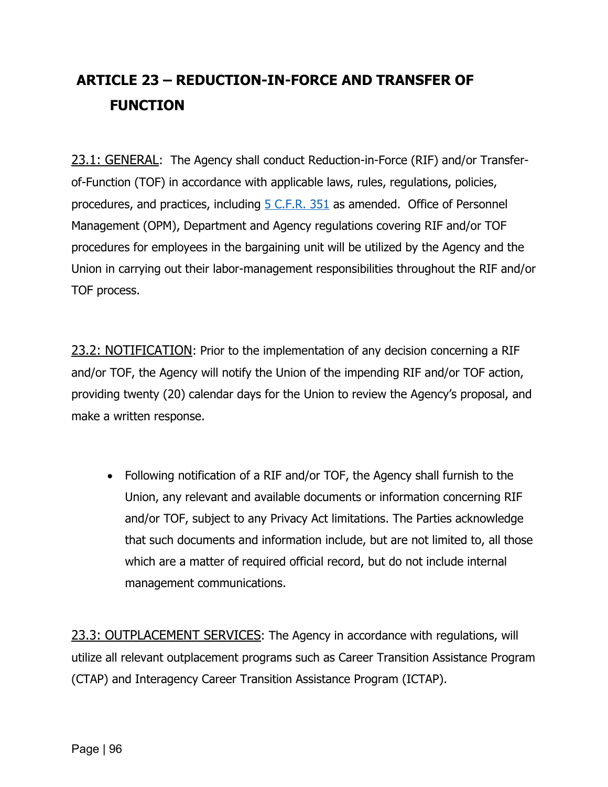# <span id="page-97-0"></span>**ARTICLE 23 – REDUCTION-IN-FORCE AND TRANSFER OF FUNCTION**

23.1: GENERAL: The Agency shall conduct Reduction-in-Force (RIF) and/or Transferof-Function (TOF) in accordance with applicable laws, rules, regulations, policies, procedures, and practices, including **5 C.F.R. 351** as amended. Office of Personnel Management (OPM), Department and Agency regulations covering RIF and/or TOF procedures for employees in the bargaining unit will be utilized by the Agency and the Union in carrying out their labor-management responsibilities throughout the RIF and/or TOF process.

23.2: NOTIFICATION: Prior to the implementation of any decision concerning a RIF and/or TOF, the Agency will notify the Union of the impending RIF and/or TOF action, providing twenty (20) calendar days for the Union to review the Agency's proposal, and make a written response.

• Following notification of a RIF and/or TOF, the Agency shall furnish to the Union, any relevant and available documents or information concerning RIF and/or TOF, subject to any Privacy Act limitations. The Parties acknowledge that such documents and information include, but are not limited to, all those which are a matter of required official record, but do not include internal management communications.

23.3: OUTPLACEMENT SERVICES: The Agency in accordance with regulations, will utilize all relevant outplacement programs such as Career Transition Assistance Program (CTAP) and Interagency Career Transition Assistance Program (ICTAP).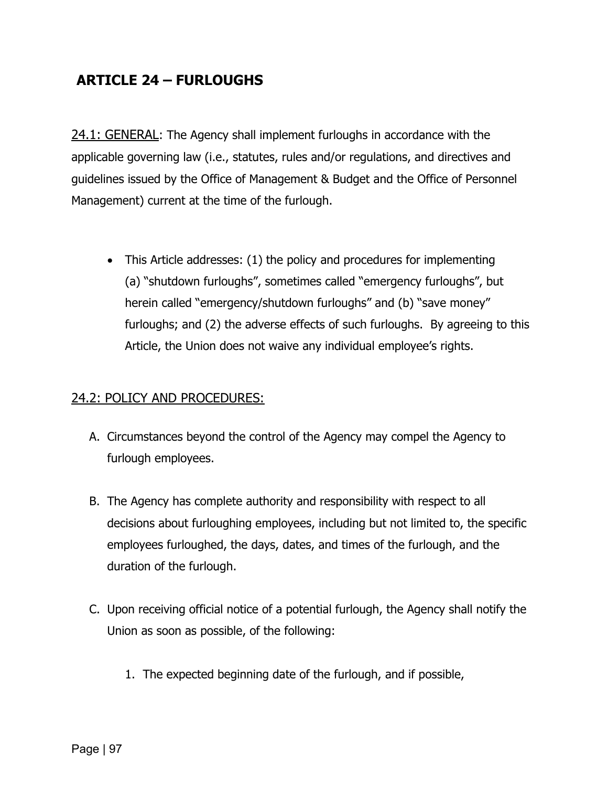# **ARTICLE 24 – FURLOUGHS**

24.1: GENERAL: The Agency shall implement furloughs in accordance with the applicable governing law (i.e., statutes, rules and/or regulations, and directives and guidelines issued by the Office of Management & Budget and the Office of Personnel Management) current at the time of the furlough.

• This Article addresses: (1) the policy and procedures for implementing (a) "shutdown furloughs", sometimes called "emergency furloughs", but herein called "emergency/shutdown furloughs" and (b) "save money" furloughs; and (2) the adverse effects of such furloughs. By agreeing to this Article, the Union does not waive any individual employee's rights.

#### 24.2: POLICY AND PROCEDURES:

- A. Circumstances beyond the control of the Agency may compel the Agency to furlough employees.
- B. The Agency has complete authority and responsibility with respect to all decisions about furloughing employees, including but not limited to, the specific employees furloughed, the days, dates, and times of the furlough, and the duration of the furlough.
- C. Upon receiving official notice of a potential furlough, the Agency shall notify the Union as soon as possible, of the following:
	- 1. The expected beginning date of the furlough, and if possible,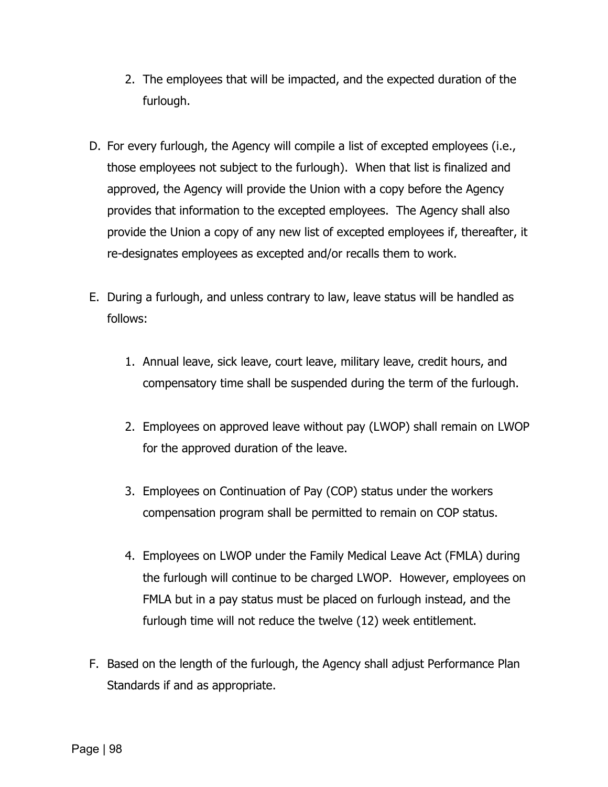- 2. The employees that will be impacted, and the expected duration of the furlough.
- D. For every furlough, the Agency will compile a list of excepted employees (i.e., those employees not subject to the furlough). When that list is finalized and approved, the Agency will provide the Union with a copy before the Agency provides that information to the excepted employees. The Agency shall also provide the Union a copy of any new list of excepted employees if, thereafter, it re-designates employees as excepted and/or recalls them to work.
- E. During a furlough, and unless contrary to law, leave status will be handled as follows:
	- 1. Annual leave, sick leave, court leave, military leave, credit hours, and compensatory time shall be suspended during the term of the furlough.
	- 2. Employees on approved leave without pay (LWOP) shall remain on LWOP for the approved duration of the leave.
	- 3. Employees on Continuation of Pay (COP) status under the workers compensation program shall be permitted to remain on COP status.
	- 4. Employees on LWOP under the Family Medical Leave Act (FMLA) during the furlough will continue to be charged LWOP. However, employees on FMLA but in a pay status must be placed on furlough instead, and the furlough time will not reduce the twelve (12) week entitlement.
- F. Based on the length of the furlough, the Agency shall adjust Performance Plan Standards if and as appropriate.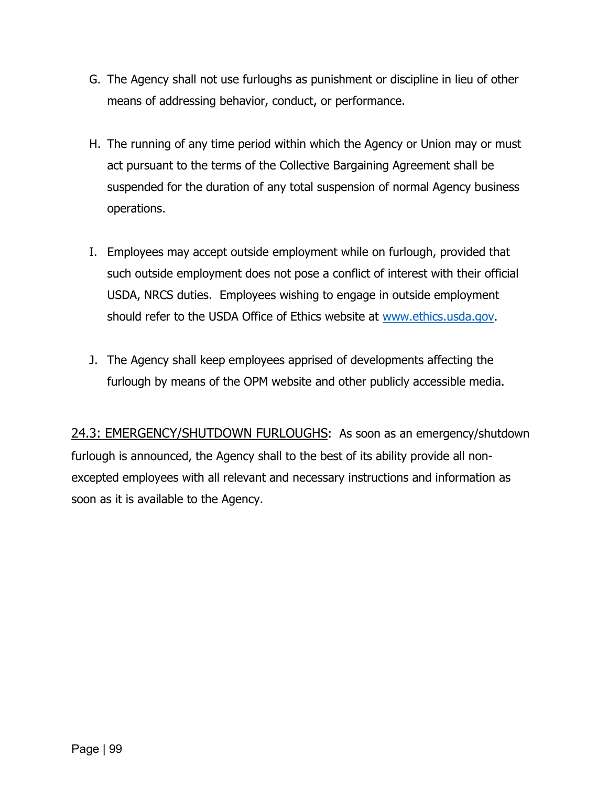- G. The Agency shall not use furloughs as punishment or discipline in lieu of other means of addressing behavior, conduct, or performance.
- H. The running of any time period within which the Agency or Union may or must act pursuant to the terms of the Collective Bargaining Agreement shall be suspended for the duration of any total suspension of normal Agency business operations.
- I. Employees may accept outside employment while on furlough, provided that such outside employment does not pose a conflict of interest with their official USDA, NRCS duties. Employees wishing to engage in outside employment should refer to the USDA Office of Ethics website at [www.ethics.usda.gov.](http://www.ethics.usda.gov/)
- J. The Agency shall keep employees apprised of developments affecting the furlough by means of the OPM website and other publicly accessible media.

24.3: EMERGENCY/SHUTDOWN FURLOUGHS: As soon as an emergency/shutdown furlough is announced, the Agency shall to the best of its ability provide all nonexcepted employees with all relevant and necessary instructions and information as soon as it is available to the Agency.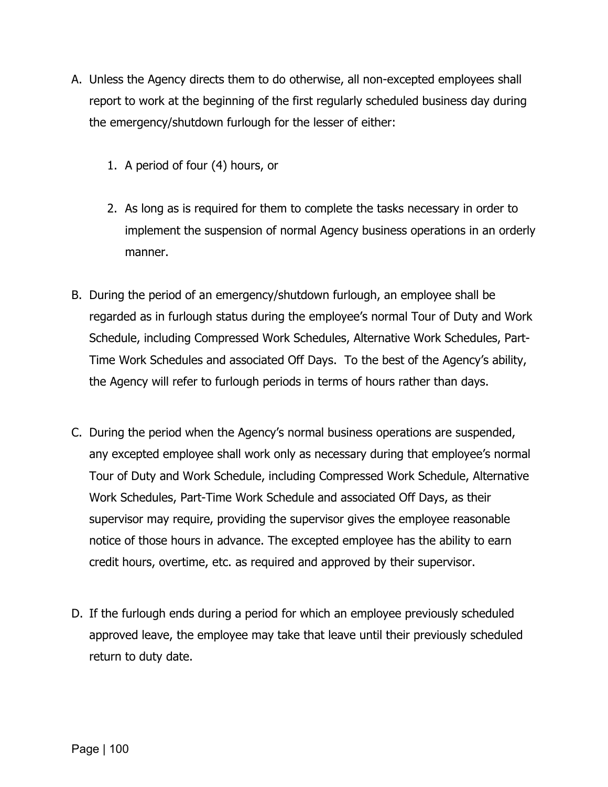- A. Unless the Agency directs them to do otherwise, all non-excepted employees shall report to work at the beginning of the first regularly scheduled business day during the emergency/shutdown furlough for the lesser of either:
	- 1. A period of four (4) hours, or
	- 2. As long as is required for them to complete the tasks necessary in order to implement the suspension of normal Agency business operations in an orderly manner.
- B. During the period of an emergency/shutdown furlough, an employee shall be regarded as in furlough status during the employee's normal Tour of Duty and Work Schedule, including Compressed Work Schedules, Alternative Work Schedules, Part-Time Work Schedules and associated Off Days. To the best of the Agency's ability, the Agency will refer to furlough periods in terms of hours rather than days.
- C. During the period when the Agency's normal business operations are suspended, any excepted employee shall work only as necessary during that employee's normal Tour of Duty and Work Schedule, including Compressed Work Schedule, Alternative Work Schedules, Part-Time Work Schedule and associated Off Days, as their supervisor may require, providing the supervisor gives the employee reasonable notice of those hours in advance. The excepted employee has the ability to earn credit hours, overtime, etc. as required and approved by their supervisor.
- D. If the furlough ends during a period for which an employee previously scheduled approved leave, the employee may take that leave until their previously scheduled return to duty date.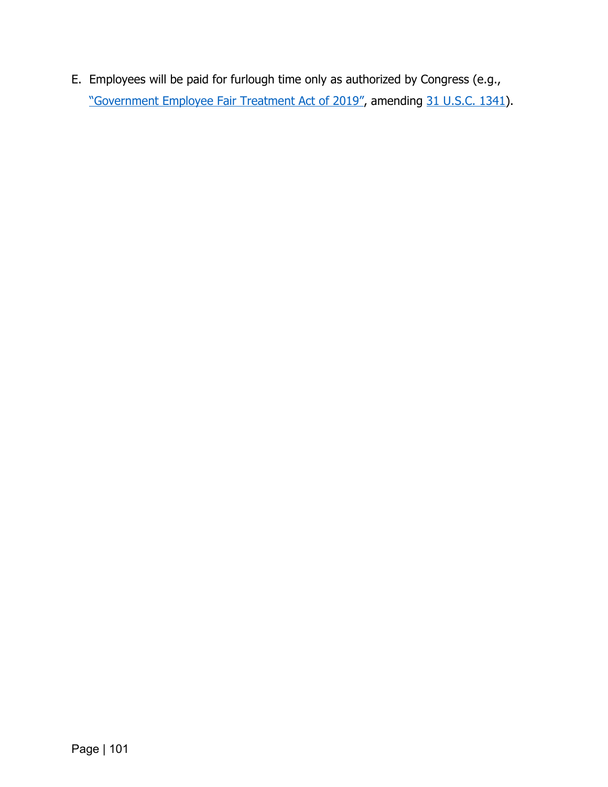E. Employees will be paid for furlough time only as authorized by Congress (e.g., ["Government Employee Fair Treatment Act of 2019",](https://www.congress.gov/bill/116th-congress/senate-bill/24) amending [31 U.S.C. 1341\)](https://uscode.house.gov/view.xhtml?req=(title:31%20section:1341%20edition:prelim)%20OR%20(granuleid:USC-prelim-title31-section1341)&f=treesort&edition=prelim&num=0&jumpTo=true).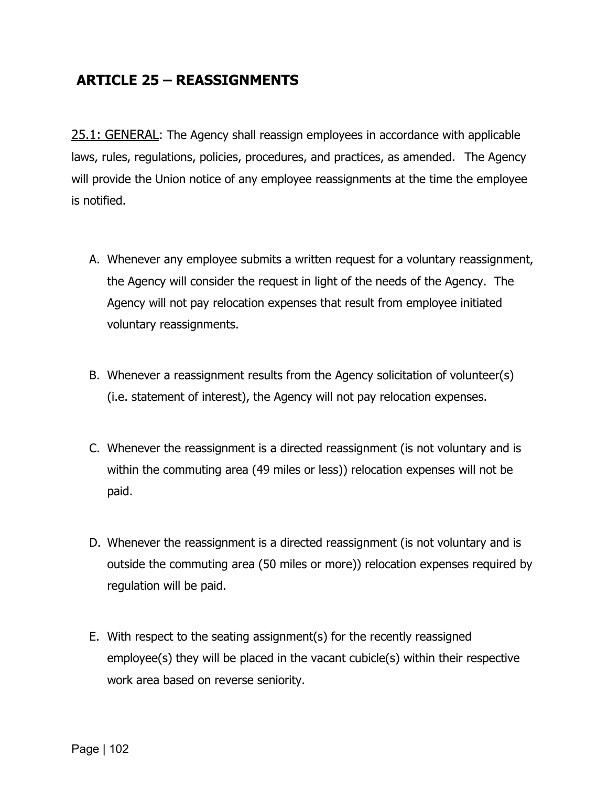### **ARTICLE 25 – REASSIGNMENTS**

25.1: GENERAL: The Agency shall reassign employees in accordance with applicable laws, rules, regulations, policies, procedures, and practices, as amended. The Agency will provide the Union notice of any employee reassignments at the time the employee is notified.

- A. Whenever any employee submits a written request for a voluntary reassignment, the Agency will consider the request in light of the needs of the Agency. The Agency will not pay relocation expenses that result from employee initiated voluntary reassignments.
- B. Whenever a reassignment results from the Agency solicitation of volunteer(s) (i.e. statement of interest), the Agency will not pay relocation expenses.
- C. Whenever the reassignment is a directed reassignment (is not voluntary and is within the commuting area (49 miles or less)) relocation expenses will not be paid.
- D. Whenever the reassignment is a directed reassignment (is not voluntary and is outside the commuting area (50 miles or more)) relocation expenses required by regulation will be paid.
- E. With respect to the seating assignment(s) for the recently reassigned employee(s) they will be placed in the vacant cubicle(s) within their respective work area based on reverse seniority.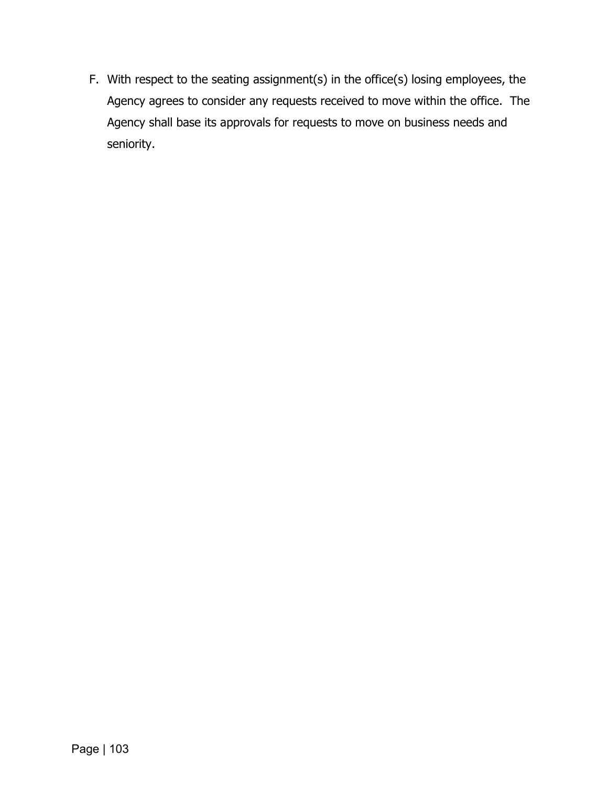F. With respect to the seating assignment(s) in the office(s) losing employees, the Agency agrees to consider any requests received to move within the office. The Agency shall base its approvals for requests to move on business needs and seniority.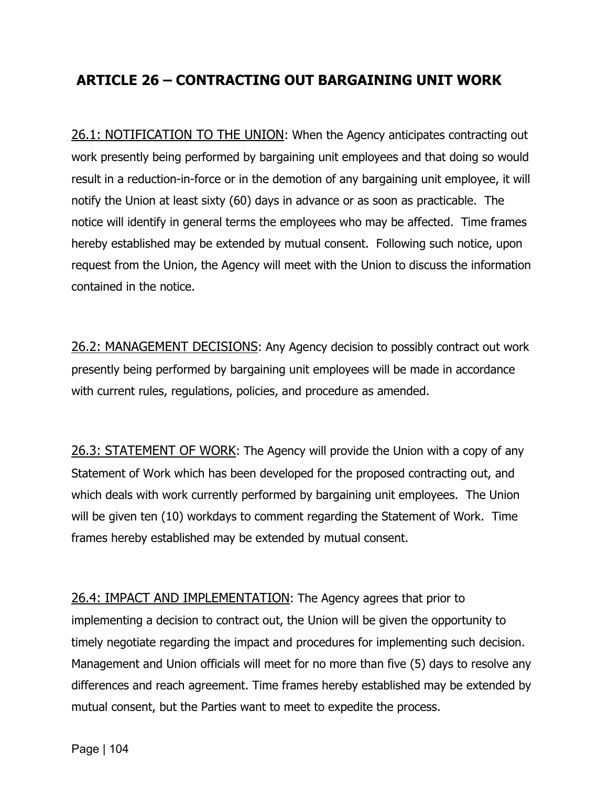### **ARTICLE 26 – CONTRACTING OUT BARGAINING UNIT WORK**

26.1: NOTIFICATION TO THE UNION: When the Agency anticipates contracting out work presently being performed by bargaining unit employees and that doing so would result in a reduction-in-force or in the demotion of any bargaining unit employee, it will notify the Union at least sixty (60) days in advance or as soon as practicable. The notice will identify in general terms the employees who may be affected. Time frames hereby established may be extended by mutual consent. Following such notice, upon request from the Union, the Agency will meet with the Union to discuss the information contained in the notice.

26.2: MANAGEMENT DECISIONS: Any Agency decision to possibly contract out work presently being performed by bargaining unit employees will be made in accordance with current rules, regulations, policies, and procedure as amended.

26.3: STATEMENT OF WORK: The Agency will provide the Union with a copy of any Statement of Work which has been developed for the proposed contracting out, and which deals with work currently performed by bargaining unit employees. The Union will be given ten (10) workdays to comment regarding the Statement of Work. Time frames hereby established may be extended by mutual consent.

26.4: IMPACT AND IMPLEMENTATION: The Agency agrees that prior to implementing a decision to contract out, the Union will be given the opportunity to timely negotiate regarding the impact and procedures for implementing such decision. Management and Union officials will meet for no more than five (5) days to resolve any differences and reach agreement. Time frames hereby established may be extended by mutual consent, but the Parties want to meet to expedite the process.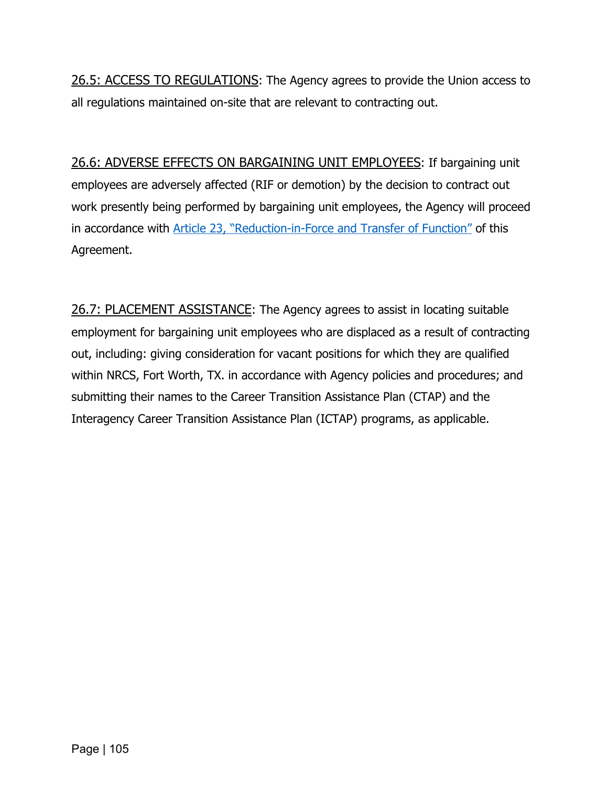26.5: ACCESS TO REGULATIONS: The Agency agrees to provide the Union access to all regulations maintained on-site that are relevant to contracting out.

26.6: ADVERSE EFFECTS ON BARGAINING UNIT EMPLOYEES: If bargaining unit employees are adversely affected (RIF or demotion) by the decision to contract out work presently being performed by bargaining unit employees, the Agency will proceed in accordance with [Article 23, "Reduction-in-Force and Transfer of Function"](#page-97-0) of this Agreement.

26.7: PLACEMENT ASSISTANCE: The Agency agrees to assist in locating suitable employment for bargaining unit employees who are displaced as a result of contracting out, including: giving consideration for vacant positions for which they are qualified within NRCS, Fort Worth, TX. in accordance with Agency policies and procedures; and submitting their names to the Career Transition Assistance Plan (CTAP) and the Interagency Career Transition Assistance Plan (ICTAP) programs, as applicable.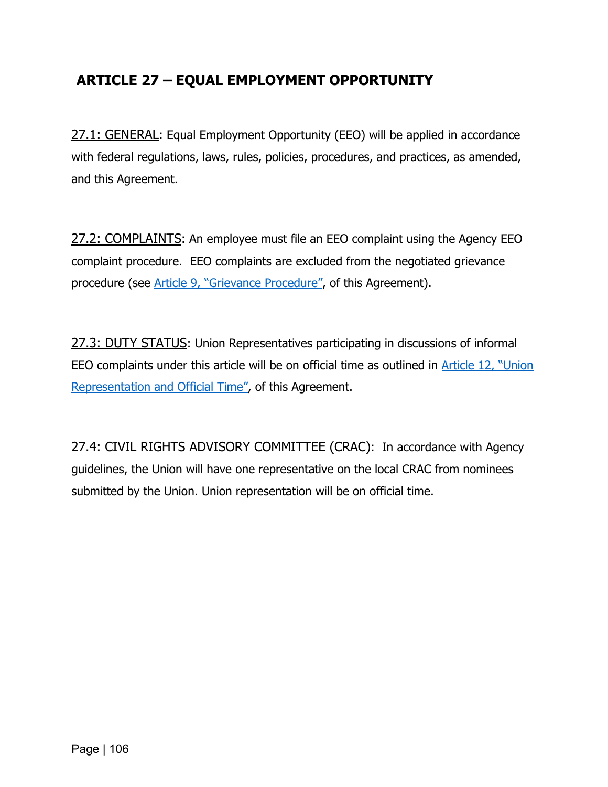## **ARTICLE 27 – EQUAL EMPLOYMENT OPPORTUNITY**

27.1: GENERAL: Equal Employment Opportunity (EEO) will be applied in accordance with federal regulations, laws, rules, policies, procedures, and practices, as amended, and this Agreement.

27.2: COMPLAINTS: An employee must file an EEO complaint using the Agency EEO complaint procedure. EEO complaints are excluded from the negotiated grievance procedure (see [Article 9, "Grievance](#page-39-0) Procedure", of this Agreement).

27.3: DUTY STATUS: Union Representatives participating in discussions of informal EEO complaints under this article will be on official time as outlined in [Article 12, "Union](#page-54-0)  [Representation and Official Time",](#page-54-0) of this Agreement.

27.4: CIVIL RIGHTS ADVISORY COMMITTEE (CRAC): In accordance with Agency guidelines, the Union will have one representative on the local CRAC from nominees submitted by the Union. Union representation will be on official time.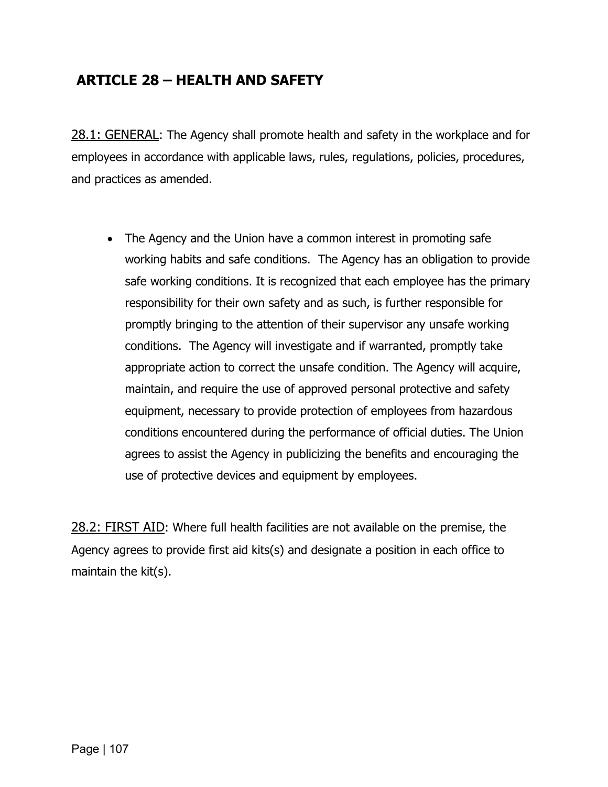# **ARTICLE 28 – HEALTH AND SAFETY**

28.1: GENERAL: The Agency shall promote health and safety in the workplace and for employees in accordance with applicable laws, rules, regulations, policies, procedures, and practices as amended.

• The Agency and the Union have a common interest in promoting safe working habits and safe conditions. The Agency has an obligation to provide safe working conditions. It is recognized that each employee has the primary responsibility for their own safety and as such, is further responsible for promptly bringing to the attention of their supervisor any unsafe working conditions. The Agency will investigate and if warranted, promptly take appropriate action to correct the unsafe condition. The Agency will acquire, maintain, and require the use of approved personal protective and safety equipment, necessary to provide protection of employees from hazardous conditions encountered during the performance of official duties. The Union agrees to assist the Agency in publicizing the benefits and encouraging the use of protective devices and equipment by employees.

28.2: FIRST AID: Where full health facilities are not available on the premise, the Agency agrees to provide first aid kits(s) and designate a position in each office to maintain the kit(s).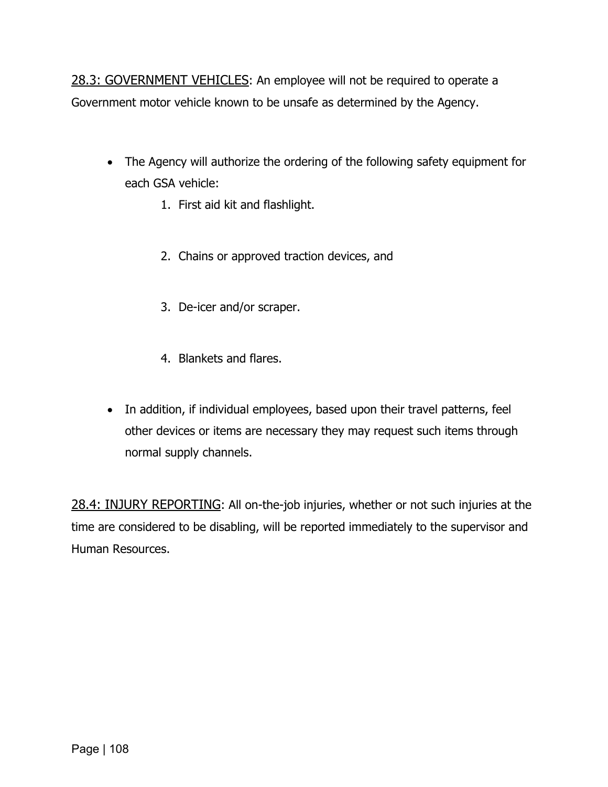28.3: GOVERNMENT VEHICLES: An employee will not be required to operate a Government motor vehicle known to be unsafe as determined by the Agency.

- The Agency will authorize the ordering of the following safety equipment for each GSA vehicle:
	- 1. First aid kit and flashlight.
	- 2. Chains or approved traction devices, and
	- 3. De-icer and/or scraper.
	- 4. Blankets and flares.
- In addition, if individual employees, based upon their travel patterns, feel other devices or items are necessary they may request such items through normal supply channels.

28.4: INJURY REPORTING: All on-the-job injuries, whether or not such injuries at the time are considered to be disabling, will be reported immediately to the supervisor and Human Resources.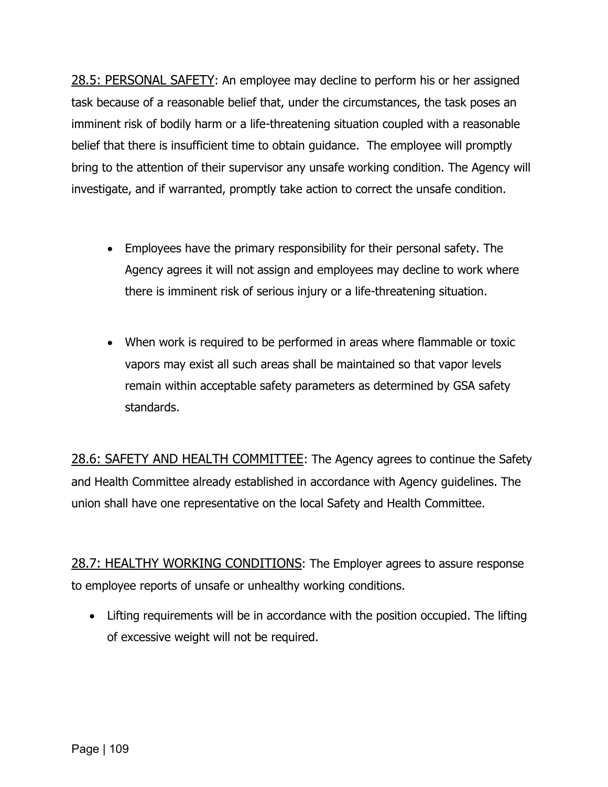28.5: PERSONAL SAFETY: An employee may decline to perform his or her assigned task because of a reasonable belief that, under the circumstances, the task poses an imminent risk of bodily harm or a life-threatening situation coupled with a reasonable belief that there is insufficient time to obtain guidance. The employee will promptly bring to the attention of their supervisor any unsafe working condition. The Agency will investigate, and if warranted, promptly take action to correct the unsafe condition.

- Employees have the primary responsibility for their personal safety. The Agency agrees it will not assign and employees may decline to work where there is imminent risk of serious injury or a life-threatening situation.
- When work is required to be performed in areas where flammable or toxic vapors may exist all such areas shall be maintained so that vapor levels remain within acceptable safety parameters as determined by GSA safety standards.

28.6: SAFETY AND HEALTH COMMITTEE: The Agency agrees to continue the Safety and Health Committee already established in accordance with Agency guidelines. The union shall have one representative on the local Safety and Health Committee.

28.7: HEALTHY WORKING CONDITIONS: The Employer agrees to assure response to employee reports of unsafe or unhealthy working conditions.

• Lifting requirements will be in accordance with the position occupied. The lifting of excessive weight will not be required.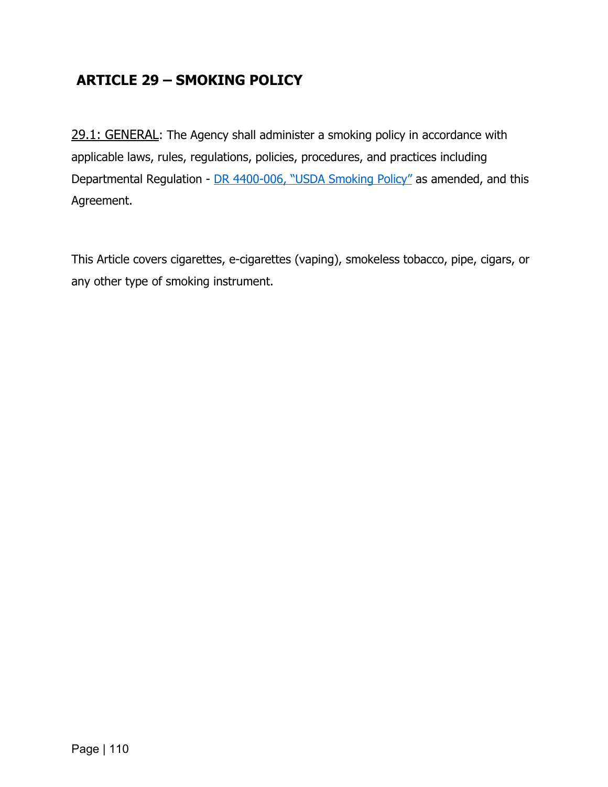# **ARTICLE 29 – SMOKING POLICY**

29.1: GENERAL: The Agency shall administer a smoking policy in accordance with applicable laws, rules, regulations, policies, procedures, and practices including Departmental Regulation - DR [4400-006, "USDA Smoking Policy"](https://www.ocio.usda.gov/document/departmental-regulation-4400-006) as amended, and this Agreement.

This Article covers cigarettes, e-cigarettes (vaping), smokeless tobacco, pipe, cigars, or any other type of smoking instrument.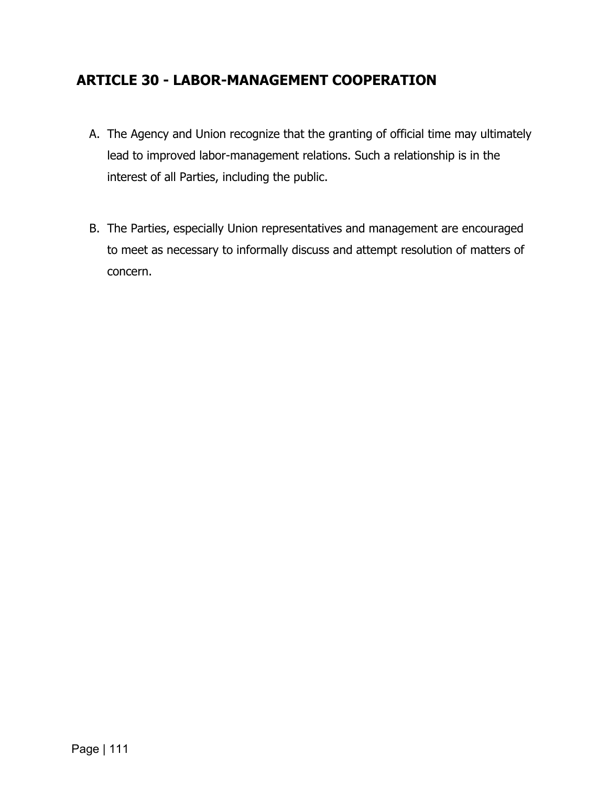### **ARTICLE 30 - LABOR-MANAGEMENT COOPERATION**

- A. The Agency and Union recognize that the granting of official time may ultimately lead to improved labor-management relations. Such a relationship is in the interest of all Parties, including the public.
- B. The Parties, especially Union representatives and management are encouraged to meet as necessary to informally discuss and attempt resolution of matters of concern.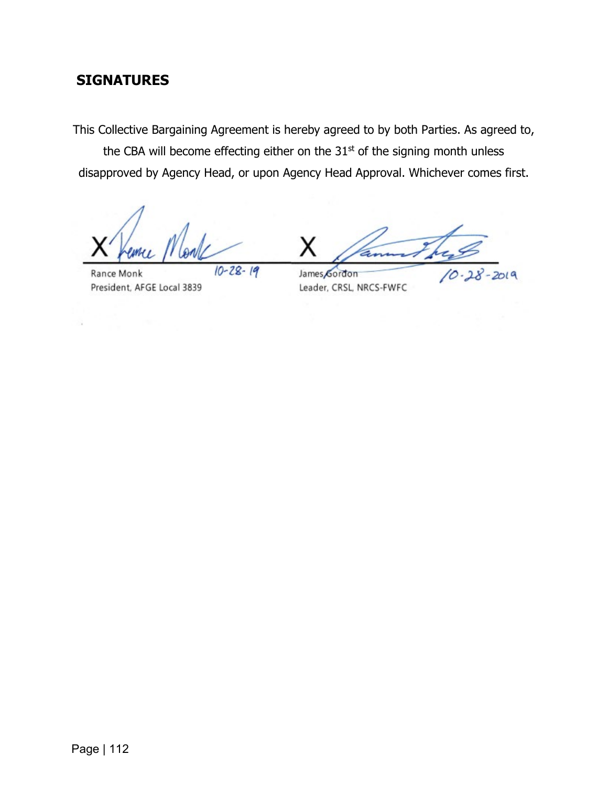# **SIGNATURES**

This Collective Bargaining Agreement is hereby agreed to by both Parties. As agreed to,

the CBA will become effecting either on the  $31<sup>st</sup>$  of the signing month unless disapproved by Agency Head, or upon Agency Head Approval. Whichever comes first.

 $10 - 28 - 19$ 

Rance Monk President, AFGE Local 3839

 $2019$ 

James Gordon Leader, CRSL, NRCS-FWFC